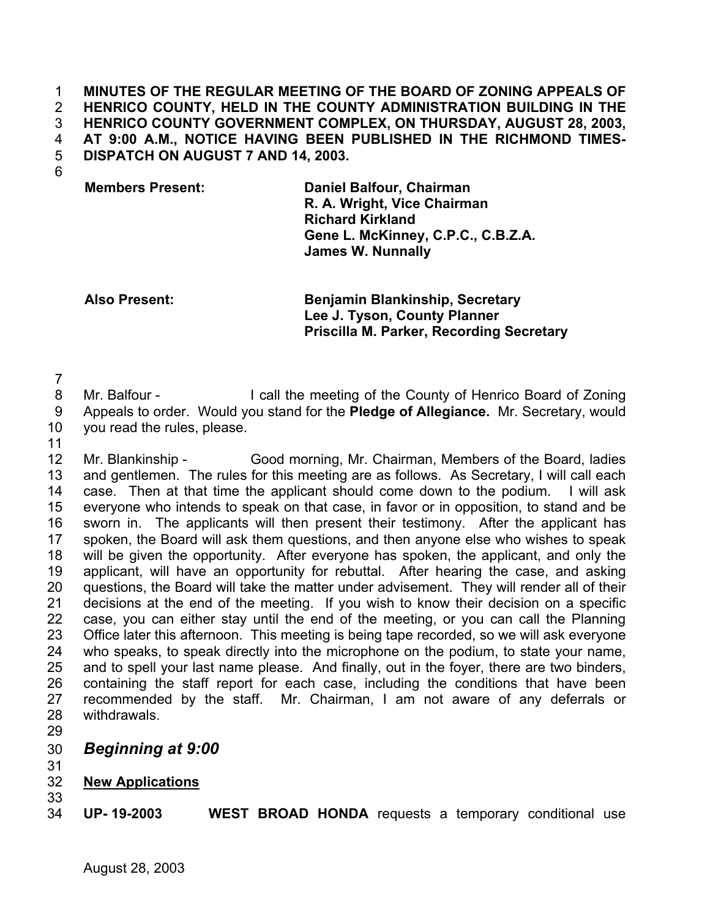**MINUTES OF THE REGULAR MEETING OF THE BOARD OF ZONING APPEALS OF HENRICO COUNTY, HELD IN THE COUNTY ADMINISTRATION BUILDING IN THE HENRICO COUNTY GOVERNMENT COMPLEX, ON THURSDAY, AUGUST 28, 2003, AT 9:00 A.M., NOTICE HAVING BEEN PUBLISHED IN THE RICHMOND TIMES-DISPATCH ON AUGUST 7 AND 14, 2003.**  1 2 3 4 5

6

**Members Present: Daniel Balfour, Chairman R. A. Wright, Vice Chairman Richard Kirkland Gene L. McKinney, C.P.C., C.B.Z.A. James W. Nunnally**

**Also Present: Benjamin Blankinship, Secretary Lee J. Tyson, County Planner Priscilla M. Parker, Recording Secretary**

7

8 9 Mr. Balfour - I call the meeting of the County of Henrico Board of Zoning Appeals to order. Would you stand for the **Pledge of Allegiance.** Mr. Secretary, would

- 10 you read the rules, please.
- 11

12 13 14 15 16 17 18 19 20 21 22 23 24 25 26 27 28 Mr. Blankinship - Good morning, Mr. Chairman, Members of the Board, ladies and gentlemen. The rules for this meeting are as follows. As Secretary, I will call each case. Then at that time the applicant should come down to the podium. I will ask everyone who intends to speak on that case, in favor or in opposition, to stand and be sworn in. The applicants will then present their testimony. After the applicant has spoken, the Board will ask them questions, and then anyone else who wishes to speak will be given the opportunity. After everyone has spoken, the applicant, and only the applicant, will have an opportunity for rebuttal. After hearing the case, and asking questions, the Board will take the matter under advisement. They will render all of their decisions at the end of the meeting. If you wish to know their decision on a specific case, you can either stay until the end of the meeting, or you can call the Planning Office later this afternoon. This meeting is being tape recorded, so we will ask everyone who speaks, to speak directly into the microphone on the podium, to state your name, and to spell your last name please. And finally, out in the foyer, there are two binders, containing the staff report for each case, including the conditions that have been recommended by the staff. Mr. Chairman, I am not aware of any deferrals or withdrawals.

- 29
- 30 *Beginning at 9:00*
- 31

## 32 **New Applications** 33

34 **UP- 19-2003 WEST BROAD HONDA** requests a temporary conditional use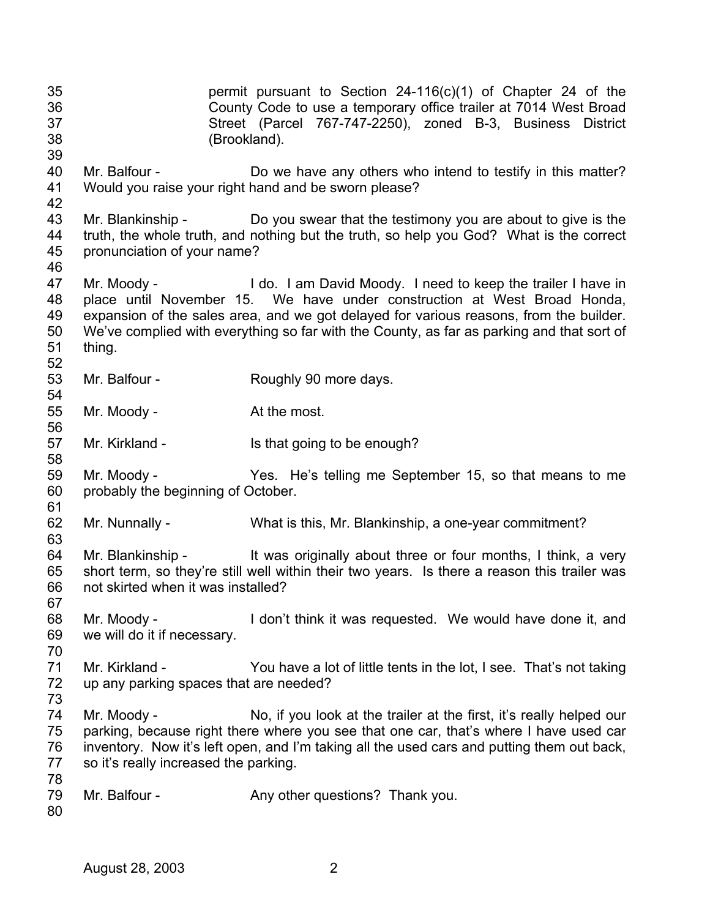35 36 37 38 39 40 41 42 43 44 45 46 47 48 49 50 51 52 53 54 55 56 57 58 59 60 61 62 63 64 65 66 67 68 69 70 71 72 73 74 75 76 77 78 79 80 permit pursuant to Section 24-116(c)(1) of Chapter 24 of the County Code to use a temporary office trailer at 7014 West Broad Street (Parcel 767-747-2250), zoned B-3, Business District (Brookland). Mr. Balfour - Do we have any others who intend to testify in this matter? Would you raise your right hand and be sworn please? Mr. Blankinship - Do you swear that the testimony you are about to give is the truth, the whole truth, and nothing but the truth, so help you God? What is the correct pronunciation of your name? Mr. Moody - I do. I am David Moody. I need to keep the trailer I have in place until November 15. We have under construction at West Broad Honda, expansion of the sales area, and we got delayed for various reasons, from the builder. We've complied with everything so far with the County, as far as parking and that sort of thing. Mr. Balfour - Roughly 90 more days. Mr. Moody - At the most. Mr. Kirkland - Is that going to be enough? Mr. Moody - Yes. He's telling me September 15, so that means to me probably the beginning of October. Mr. Nunnally - What is this, Mr. Blankinship, a one-year commitment? Mr. Blankinship - It was originally about three or four months, I think, a very short term, so they're still well within their two years. Is there a reason this trailer was not skirted when it was installed? Mr. Moody - I don't think it was requested. We would have done it, and we will do it if necessary. Mr. Kirkland - You have a lot of little tents in the lot, I see. That's not taking up any parking spaces that are needed? Mr. Moody - No, if you look at the trailer at the first, it's really helped our parking, because right there where you see that one car, that's where I have used car inventory. Now it's left open, and I'm taking all the used cars and putting them out back, so it's really increased the parking. Mr. Balfour - Any other questions? Thank you.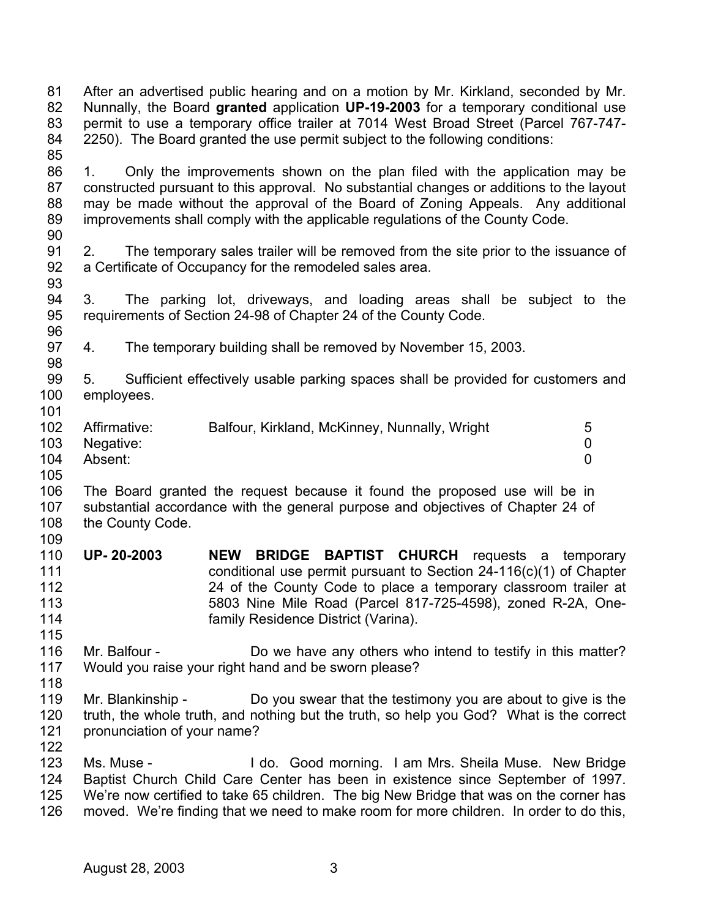81 82 83 84 85 86 87 88 89 90 91 92 93 94 95 96 97 98 99 100 101 102 103 104 105 106 107 108 109 110 111 112 113 114 115 116 117 118 119 120 121 122 123 124 125 126 After an advertised public hearing and on a motion by Mr. Kirkland, seconded by Mr. Nunnally, the Board **granted** application **UP-19-2003** for a temporary conditional use permit to use a temporary office trailer at 7014 West Broad Street (Parcel 767-747- 2250). The Board granted the use permit subject to the following conditions: 1. Only the improvements shown on the plan filed with the application may be constructed pursuant to this approval. No substantial changes or additions to the layout may be made without the approval of the Board of Zoning Appeals. Any additional improvements shall comply with the applicable regulations of the County Code. 2. The temporary sales trailer will be removed from the site prior to the issuance of a Certificate of Occupancy for the remodeled sales area. 3. The parking lot, driveways, and loading areas shall be subject to the requirements of Section 24-98 of Chapter 24 of the County Code. 4. The temporary building shall be removed by November 15, 2003. 5. Sufficient effectively usable parking spaces shall be provided for customers and employees. Affirmative: Balfour, Kirkland, McKinney, Nunnally, Wright 5 Negative: 0 Absent: 0 The Board granted the request because it found the proposed use will be in substantial accordance with the general purpose and objectives of Chapter 24 of the County Code. **UP- 20-2003 NEW BRIDGE BAPTIST CHURCH** requests a temporary conditional use permit pursuant to Section 24-116(c)(1) of Chapter 24 of the County Code to place a temporary classroom trailer at 5803 Nine Mile Road (Parcel 817-725-4598), zoned R-2A, Onefamily Residence District (Varina). Mr. Balfour - **Do** we have any others who intend to testify in this matter? Would you raise your right hand and be sworn please? Mr. Blankinship - Do you swear that the testimony you are about to give is the truth, the whole truth, and nothing but the truth, so help you God? What is the correct pronunciation of your name? Ms. Muse - The Muse - I do. Good morning. I am Mrs. Sheila Muse. New Bridge Baptist Church Child Care Center has been in existence since September of 1997. We're now certified to take 65 children. The big New Bridge that was on the corner has moved. We're finding that we need to make room for more children. In order to do this,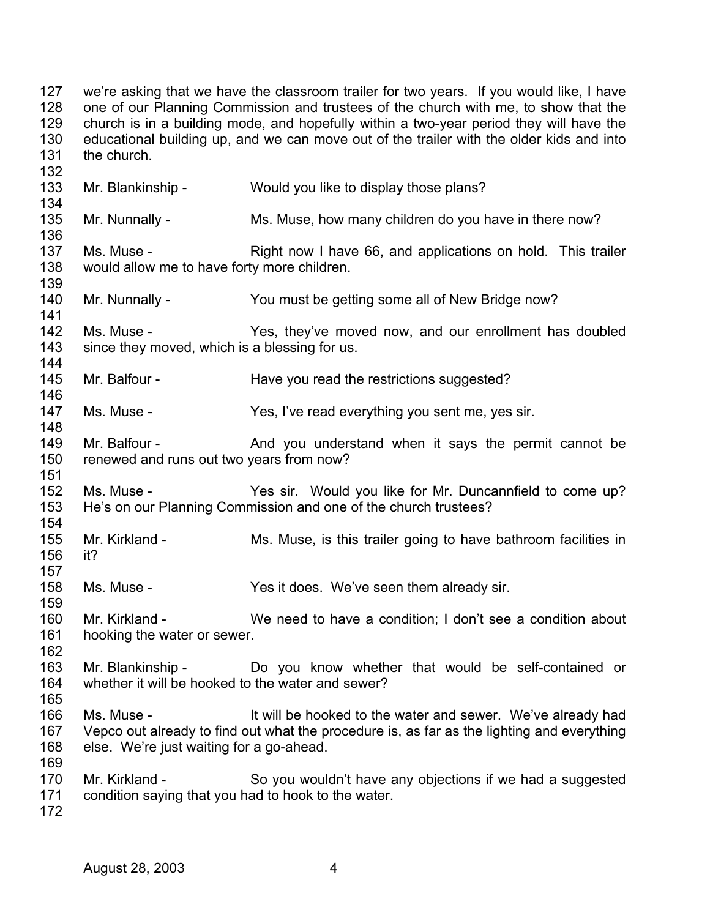127 128 129 130 131 132 133 134 135 136 137 138 139 140 141 142 143 144 145 146 147 148 149 150 151 152 153 154 155 156 157 158 159 160 161 162 163 164 165 166 167 168 169 170 171 172 we're asking that we have the classroom trailer for two years. If you would like, I have one of our Planning Commission and trustees of the church with me, to show that the church is in a building mode, and hopefully within a two-year period they will have the educational building up, and we can move out of the trailer with the older kids and into the church. Mr. Blankinship - Would you like to display those plans? Mr. Nunnally - Ms. Muse, how many children do you have in there now? Ms. Muse - This is a Right now I have 66, and applications on hold. This trailer would allow me to have forty more children. Mr. Nunnally - You must be getting some all of New Bridge now? Ms. Muse - Yes, they've moved now, and our enrollment has doubled since they moved, which is a blessing for us. Mr. Balfour - Have you read the restrictions suggested? Ms. Muse - Yes, I've read everything you sent me, yes sir. Mr. Balfour - The And you understand when it says the permit cannot be renewed and runs out two years from now? Ms. Muse - The Yes sir. Would you like for Mr. Duncannfield to come up? He's on our Planning Commission and one of the church trustees? Mr. Kirkland - Ms. Muse, is this trailer going to have bathroom facilities in it? Ms. Muse - Yes it does. We've seen them already sir. Mr. Kirkland - We need to have a condition; I don't see a condition about hooking the water or sewer. Mr. Blankinship - Do you know whether that would be self-contained or whether it will be hooked to the water and sewer? Ms. Muse - It will be hooked to the water and sewer. We've already had Vepco out already to find out what the procedure is, as far as the lighting and everything else. We're just waiting for a go-ahead. Mr. Kirkland - So you wouldn't have any objections if we had a suggested condition saying that you had to hook to the water.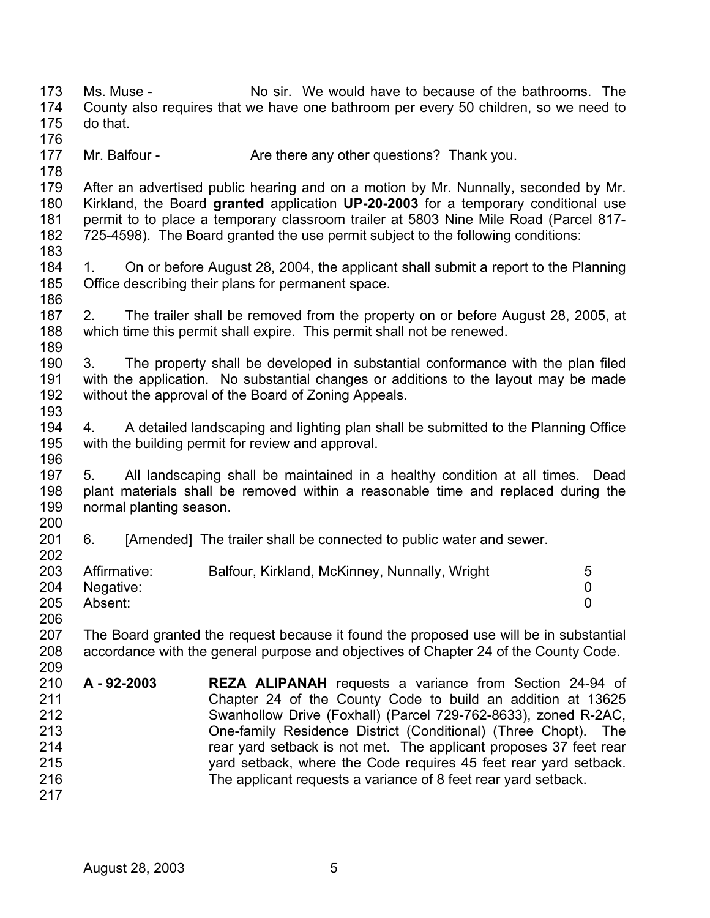173 174 175 176 177 178 179 180 181 182 183 184 185 186 187 188 189 190 191 192 193 194 195 196 197 198 199 200 201 202 203 204 205 206 207 208 209 210 211 212 213 214 215 216 217 Ms. Muse - No sir. We would have to because of the bathrooms. The County also requires that we have one bathroom per every 50 children, so we need to do that. Mr. Balfour - Are there any other questions? Thank you. After an advertised public hearing and on a motion by Mr. Nunnally, seconded by Mr. Kirkland, the Board **granted** application **UP-20-2003** for a temporary conditional use permit to to place a temporary classroom trailer at 5803 Nine Mile Road (Parcel 817- 725-4598). The Board granted the use permit subject to the following conditions: 1. On or before August 28, 2004, the applicant shall submit a report to the Planning Office describing their plans for permanent space. 2. The trailer shall be removed from the property on or before August 28, 2005, at which time this permit shall expire. This permit shall not be renewed. 3. The property shall be developed in substantial conformance with the plan filed with the application. No substantial changes or additions to the layout may be made without the approval of the Board of Zoning Appeals. 4. A detailed landscaping and lighting plan shall be submitted to the Planning Office with the building permit for review and approval. 5. All landscaping shall be maintained in a healthy condition at all times. Dead plant materials shall be removed within a reasonable time and replaced during the normal planting season. 6. [Amended] The trailer shall be connected to public water and sewer. Affirmative: Balfour, Kirkland, McKinney, Nunnally, Wright 5 Negative: 0 Absent: 0 The Board granted the request because it found the proposed use will be in substantial accordance with the general purpose and objectives of Chapter 24 of the County Code. **A - 92-2003 REZA ALIPANAH** requests a variance from Section 24-94 of Chapter 24 of the County Code to build an addition at 13625 Swanhollow Drive (Foxhall) (Parcel 729-762-8633), zoned R-2AC, One-family Residence District (Conditional) (Three Chopt). The rear yard setback is not met. The applicant proposes 37 feet rear yard setback, where the Code requires 45 feet rear yard setback. The applicant requests a variance of 8 feet rear yard setback.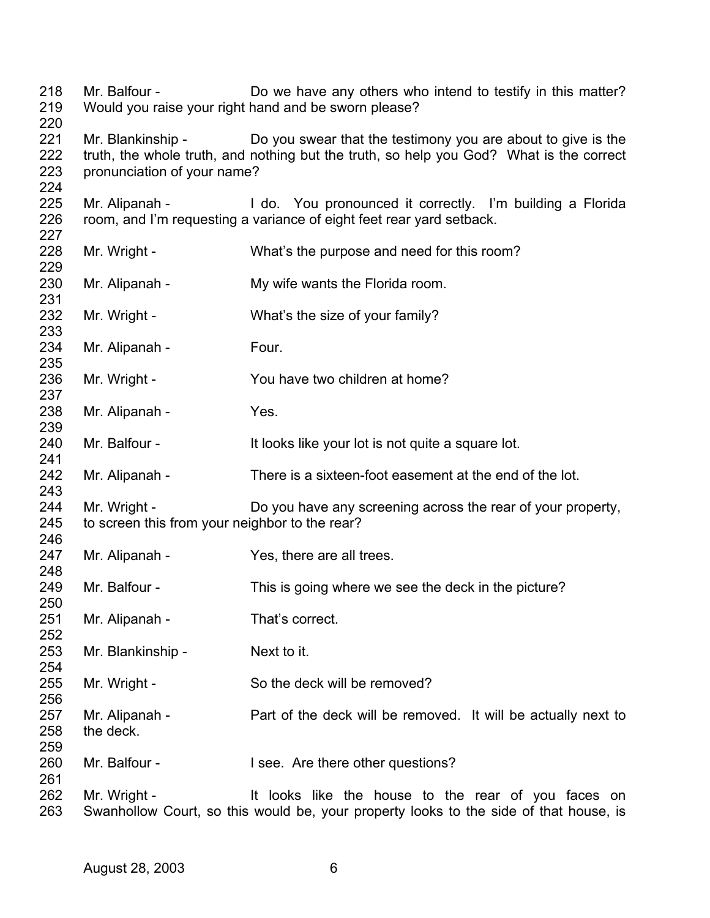Mr. Balfour - Do we have any others who intend to testify in this matter? Would you raise your right hand and be sworn please? Mr. Blankinship - Do you swear that the testimony you are about to give is the truth, the whole truth, and nothing but the truth, so help you God? What is the correct pronunciation of your name? Mr. Alipanah - I do. You pronounced it correctly. I'm building a Florida room, and I'm requesting a variance of eight feet rear yard setback. Mr. Wright - What's the purpose and need for this room? Mr. Alipanah - My wife wants the Florida room. Mr. Wright - What's the size of your family? Mr. Alipanah - Four. Mr. Wright - You have two children at home? Mr. Alipanah - Yes. Mr. Balfour - The It looks like your lot is not quite a square lot. Mr. Alipanah - There is a sixteen-foot easement at the end of the lot. Mr. Wright - Do you have any screening across the rear of your property, to screen this from your neighbor to the rear? Mr. Alipanah - Yes, there are all trees. Mr. Balfour - This is going where we see the deck in the picture? Mr. Alipanah - That's correct. Mr. Blankinship - Next to it. Mr. Wright - So the deck will be removed? Mr. Alipanah - Part of the deck will be removed. It will be actually next to the deck. Mr. Balfour - I see. Are there other questions? Mr. Wright - It looks like the house to the rear of you faces on Swanhollow Court, so this would be, your property looks to the side of that house, is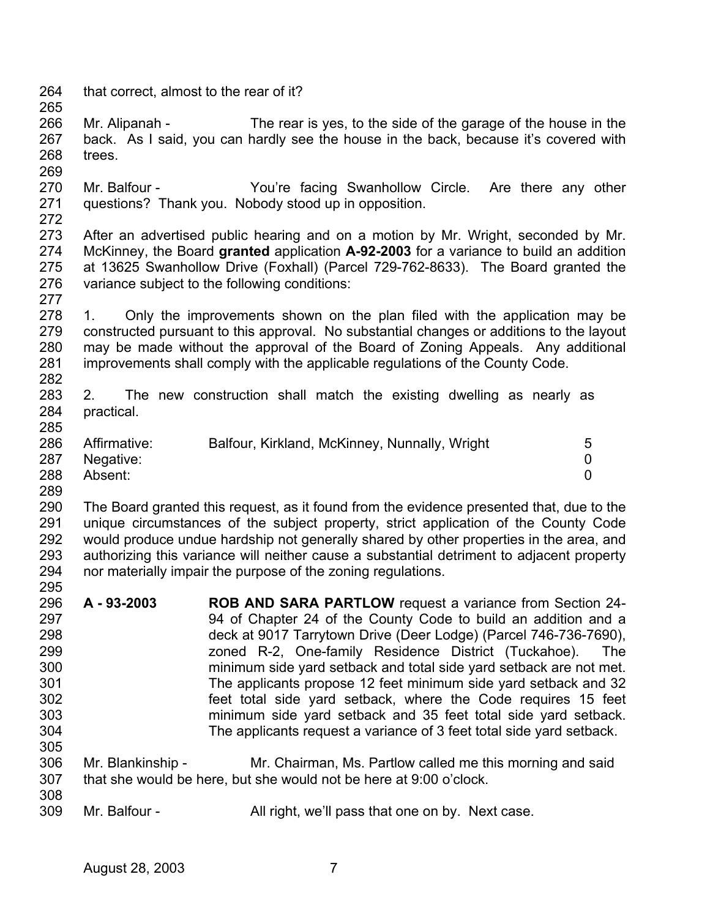264 that correct, almost to the rear of it?

266 267 268 Mr. Alipanah - The rear is yes, to the side of the garage of the house in the back. As I said, you can hardly see the house in the back, because it's covered with trees.

270 271 Mr. Balfour - You're facing Swanhollow Circle. Are there any other questions? Thank you. Nobody stood up in opposition.

272

277

269

265

273 274 275 276 After an advertised public hearing and on a motion by Mr. Wright, seconded by Mr. McKinney, the Board **granted** application **A-92-2003** for a variance to build an addition at 13625 Swanhollow Drive (Foxhall) (Parcel 729-762-8633). The Board granted the variance subject to the following conditions:

278 279 280 281 282 1. Only the improvements shown on the plan filed with the application may be constructed pursuant to this approval. No substantial changes or additions to the layout may be made without the approval of the Board of Zoning Appeals. Any additional improvements shall comply with the applicable regulations of the County Code.

283 284 285 2. The new construction shall match the existing dwelling as nearly as practical.

| 286 | Affirmative: | Balfour, Kirkland, McKinney, Nunnally, Wright | 5 |
|-----|--------------|-----------------------------------------------|---|
| 287 | Negative:    |                                               |   |
| 288 | Absent:      |                                               |   |

289

290 291 292 293 294 295 The Board granted this request, as it found from the evidence presented that, due to the unique circumstances of the subject property, strict application of the County Code would produce undue hardship not generally shared by other properties in the area, and authorizing this variance will neither cause a substantial detriment to adjacent property nor materially impair the purpose of the zoning regulations.

- 296 297 298 299 300 301 302 303 304 305 **A - 93-2003 ROB AND SARA PARTLOW** request a variance from Section 24- 94 of Chapter 24 of the County Code to build an addition and a deck at 9017 Tarrytown Drive (Deer Lodge) (Parcel 746-736-7690), zoned R-2, One-family Residence District (Tuckahoe). The minimum side yard setback and total side yard setback are not met. The applicants propose 12 feet minimum side yard setback and 32 feet total side yard setback, where the Code requires 15 feet minimum side yard setback and 35 feet total side yard setback. The applicants request a variance of 3 feet total side yard setback.
- 306 307 308 Mr. Blankinship - Mr. Chairman, Ms. Partlow called me this morning and said that she would be here, but she would not be here at 9:00 o'clock.
- 309 Mr. Balfour - All right, we'll pass that one on by. Next case.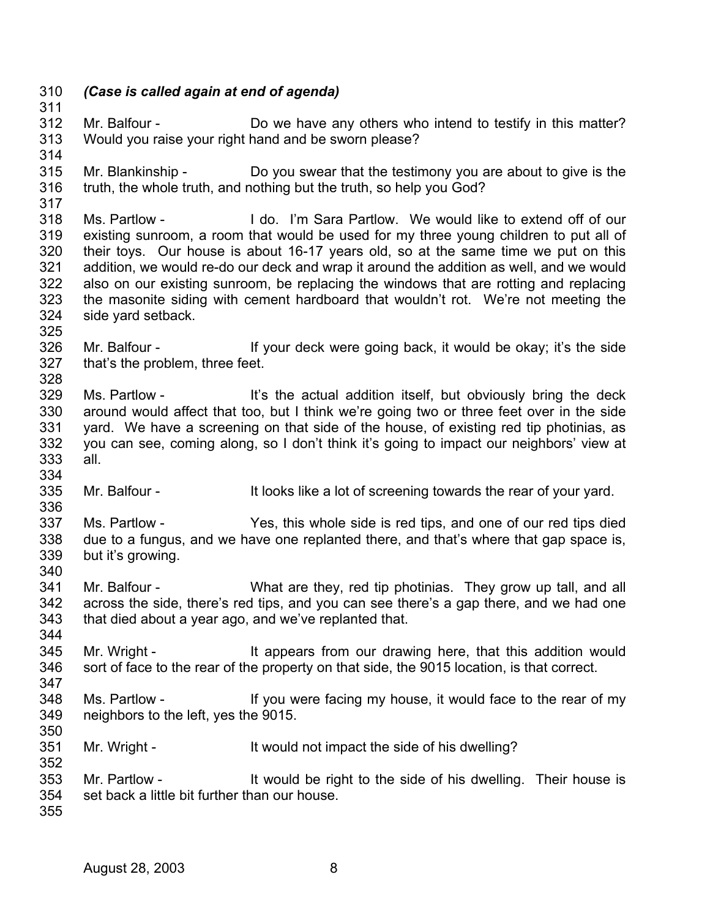- 310 *(Case is called again at end of agenda)*  311
- 312 313 Mr. Balfour - Do we have any others who intend to testify in this matter? Would you raise your right hand and be sworn please?
- 315 316 Mr. Blankinship - Do you swear that the testimony you are about to give is the truth, the whole truth, and nothing but the truth, so help you God?
- 317 318 319 320 321 322 323 324 Ms. Partlow - I do. I'm Sara Partlow. We would like to extend off of our existing sunroom, a room that would be used for my three young children to put all of their toys. Our house is about 16-17 years old, so at the same time we put on this addition, we would re-do our deck and wrap it around the addition as well, and we would also on our existing sunroom, be replacing the windows that are rotting and replacing the masonite siding with cement hardboard that wouldn't rot. We're not meeting the side yard setback.
- 325

314

- 326 327 328 Mr. Balfour - If your deck were going back, it would be okay; it's the side that's the problem, three feet.
- 329 330 331 332 333 334 Ms. Partlow - It's the actual addition itself, but obviously bring the deck around would affect that too, but I think we're going two or three feet over in the side yard. We have a screening on that side of the house, of existing red tip photinias, as you can see, coming along, so I don't think it's going to impact our neighbors' view at all.
- 335 336 Mr. Balfour - It looks like a lot of screening towards the rear of your yard.
- 337 338 339 340 Ms. Partlow - Yes, this whole side is red tips, and one of our red tips died due to a fungus, and we have one replanted there, and that's where that gap space is, but it's growing.
- 341 342 343 Mr. Balfour - What are they, red tip photinias. They grow up tall, and all across the side, there's red tips, and you can see there's a gap there, and we had one that died about a year ago, and we've replanted that.
- 345 346 347 Mr. Wright - It appears from our drawing here, that this addition would sort of face to the rear of the property on that side, the 9015 location, is that correct.
- 348 349 Ms. Partlow - If you were facing my house, it would face to the rear of my neighbors to the left, yes the 9015.
- 351 Mr. Wright - The It would not impact the side of his dwelling?
- 353 354 Mr. Partlow - It would be right to the side of his dwelling. Their house is set back a little bit further than our house.
- 355

350

352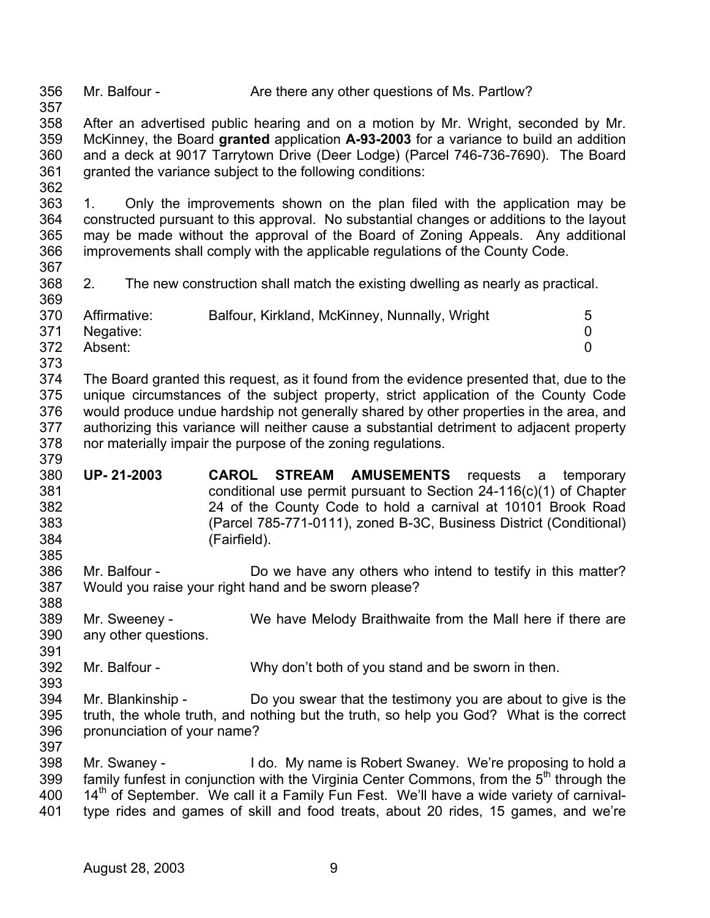356 357 358 359 360 361 362 363 364 365 366 367 368 369 370 371 372 373 374 375 376 377 378 379 380 381 382 383 384 385 386 387 388 389 390 391 392 393 394 395 396 397 398 399 400 401 Mr. Balfour - Are there any other questions of Ms. Partlow? After an advertised public hearing and on a motion by Mr. Wright, seconded by Mr. McKinney, the Board **granted** application **A-93-2003** for a variance to build an addition and a deck at 9017 Tarrytown Drive (Deer Lodge) (Parcel 746-736-7690). The Board granted the variance subject to the following conditions: 1. Only the improvements shown on the plan filed with the application may be constructed pursuant to this approval. No substantial changes or additions to the layout may be made without the approval of the Board of Zoning Appeals. Any additional improvements shall comply with the applicable regulations of the County Code. 2. The new construction shall match the existing dwelling as nearly as practical. Affirmative: Balfour, Kirkland, McKinney, Nunnally, Wright 5 Negative: 0 Absent: 0 The Board granted this request, as it found from the evidence presented that, due to the unique circumstances of the subject property, strict application of the County Code would produce undue hardship not generally shared by other properties in the area, and authorizing this variance will neither cause a substantial detriment to adjacent property nor materially impair the purpose of the zoning regulations. **UP- 21-2003 CAROL STREAM AMUSEMENTS** requests a temporary conditional use permit pursuant to Section 24-116(c)(1) of Chapter 24 of the County Code to hold a carnival at 10101 Brook Road (Parcel 785-771-0111), zoned B-3C, Business District (Conditional) (Fairfield). Mr. Balfour - Do we have any others who intend to testify in this matter? Would you raise your right hand and be sworn please? Mr. Sweeney - We have Melody Braithwaite from the Mall here if there are any other questions. Mr. Balfour - Why don't both of you stand and be sworn in then. Mr. Blankinship - Do you swear that the testimony you are about to give is the truth, the whole truth, and nothing but the truth, so help you God? What is the correct pronunciation of your name? Mr. Swaney - I do. My name is Robert Swaney. We're proposing to hold a family funfest in conjunction with the Virginia Center Commons, from the  $5<sup>th</sup>$  through the  $14<sup>th</sup>$  of September. We call it a Family Fun Fest. We'll have a wide variety of carnivaltype rides and games of skill and food treats, about 20 rides, 15 games, and we're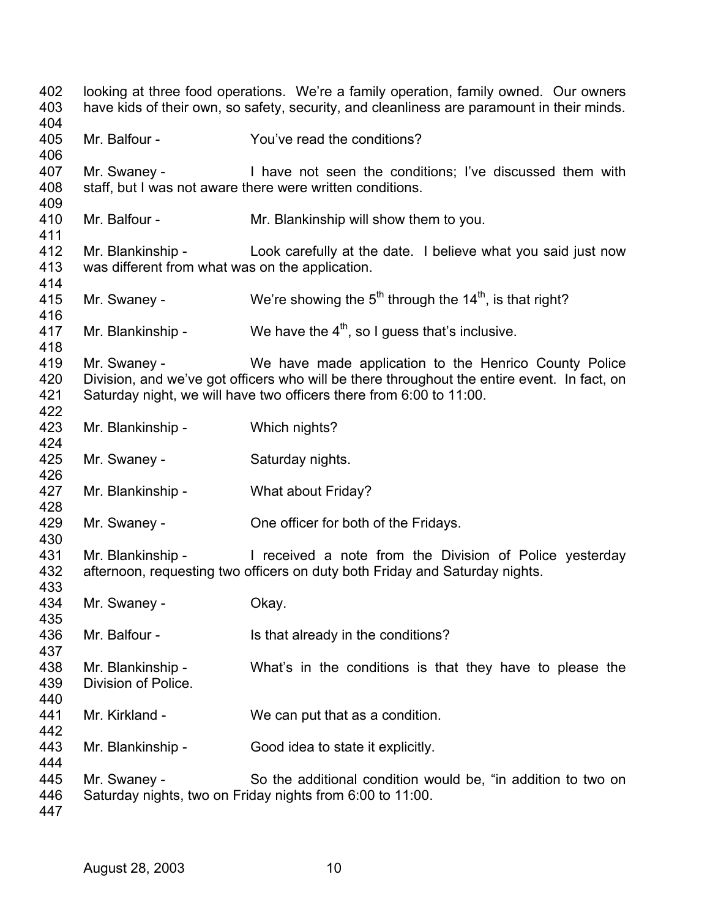looking at three food operations. We're a family operation, family owned. Our owners have kids of their own, so safety, security, and cleanliness are paramount in their minds. Mr. Balfour - The You've read the conditions? Mr. Swaney - I have not seen the conditions; I've discussed them with staff, but I was not aware there were written conditions. Mr. Balfour - Mr. Blankinship will show them to you. Mr. Blankinship - Look carefully at the date. I believe what you said just now was different from what was on the application. Mr. Swaney - We're showing the  $5<sup>th</sup>$  through the 14<sup>th</sup>, is that right? Mr. Blankinship - We have the  $4<sup>th</sup>$ , so I guess that's inclusive. Mr. Swaney - We have made application to the Henrico County Police Division, and we've got officers who will be there throughout the entire event. In fact, on Saturday night, we will have two officers there from 6:00 to 11:00. Mr. Blankinship - Which nights? Mr. Swaney - Saturday nights. Mr. Blankinship - What about Friday? Mr. Swaney - **One officer for both of the Fridays.** Mr. Blankinship - I received a note from the Division of Police vesterday afternoon, requesting two officers on duty both Friday and Saturday nights. Mr. Swaney - Chay. Mr. Balfour - Is that already in the conditions? Mr. Blankinship - What's in the conditions is that they have to please the Division of Police. Mr. Kirkland - We can put that as a condition. Mr. Blankinship - Good idea to state it explicitly. Mr. Swaney - So the additional condition would be, "in addition to two on Saturday nights, two on Friday nights from 6:00 to 11:00.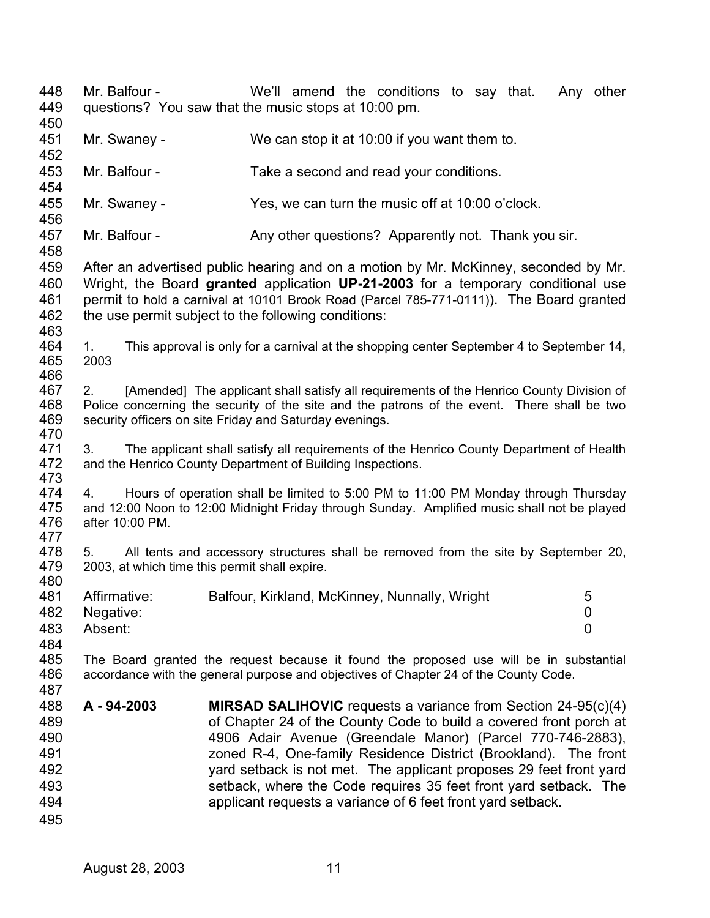448 449 450 451 452 453 454 455 456 457 458 459 460 461 462 463 464 465 466 467 468 469 470 471 472 473 474 475 476 477 478 479 480 481 482 483 484 485 486 487 488 489 490 491 492 493 494 495 Mr. Balfour - The We'll amend the conditions to say that. Any other questions? You saw that the music stops at 10:00 pm. Mr. Swaney - We can stop it at 10:00 if you want them to. Mr. Balfour - Take a second and read your conditions. Mr. Swaney - Yes, we can turn the music off at 10:00 o'clock. Mr. Balfour - Any other questions? Apparently not. Thank you sir. After an advertised public hearing and on a motion by Mr. McKinney, seconded by Mr. Wright, the Board **granted** application **UP-21-2003** for a temporary conditional use permit to hold a carnival at 10101 Brook Road (Parcel 785-771-0111)). The Board granted the use permit subject to the following conditions: 1. This approval is only for a carnival at the shopping center September 4 to September 14, 2003 2. [Amended] The applicant shall satisfy all requirements of the Henrico County Division of Police concerning the security of the site and the patrons of the event. There shall be two security officers on site Friday and Saturday evenings. 3. The applicant shall satisfy all requirements of the Henrico County Department of Health and the Henrico County Department of Building Inspections. 4. Hours of operation shall be limited to 5:00 PM to 11:00 PM Monday through Thursday and 12:00 Noon to 12:00 Midnight Friday through Sunday. Amplified music shall not be played after 10:00 PM. 5. All tents and accessory structures shall be removed from the site by September 20, 2003, at which time this permit shall expire. Affirmative: Balfour, Kirkland, McKinney, Nunnally, Wright 5 Negative: 0 Absent: 0 The Board granted the request because it found the proposed use will be in substantial accordance with the general purpose and objectives of Chapter 24 of the County Code. **A - 94-2003 MIRSAD SALIHOVIC** requests a variance from Section 24-95(c)(4) of Chapter 24 of the County Code to build a covered front porch at 4906 Adair Avenue (Greendale Manor) (Parcel 770-746-2883), zoned R-4, One-family Residence District (Brookland). The front yard setback is not met. The applicant proposes 29 feet front yard setback, where the Code requires 35 feet front yard setback. The applicant requests a variance of 6 feet front yard setback.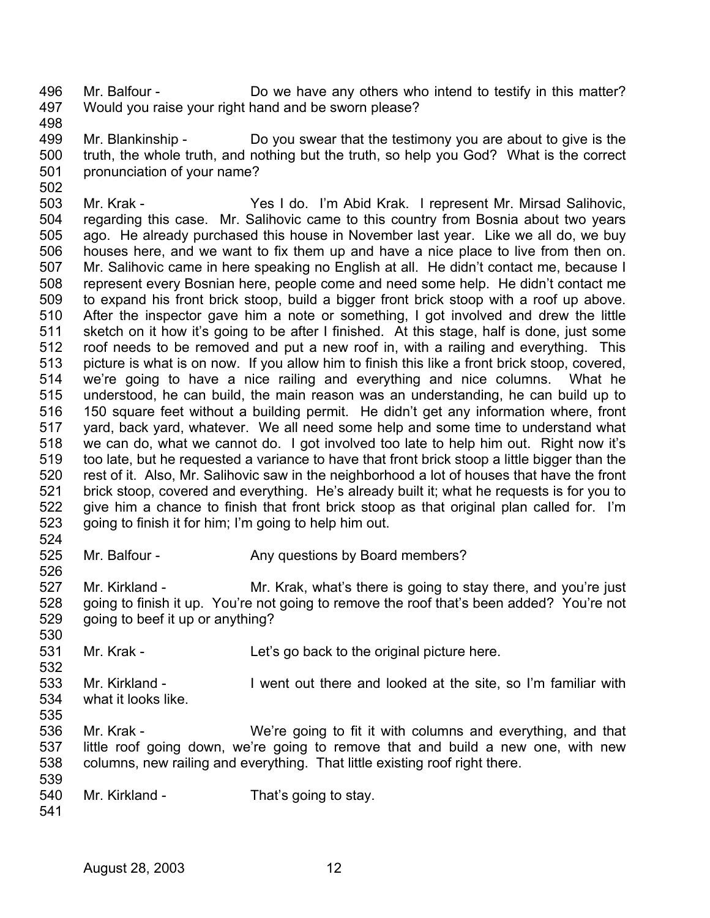496 497 Mr. Balfour - Do we have any others who intend to testify in this matter? Would you raise your right hand and be sworn please?

498

502

499 500 501 Mr. Blankinship - Do you swear that the testimony you are about to give is the truth, the whole truth, and nothing but the truth, so help you God? What is the correct pronunciation of your name?

503 504 505 506 507 508 509 510 511 512 513 514 515 516 517 518 519 520 521 522 523 Mr. Krak - Yes I do. I'm Abid Krak. I represent Mr. Mirsad Salihovic, regarding this case. Mr. Salihovic came to this country from Bosnia about two years ago. He already purchased this house in November last year. Like we all do, we buy houses here, and we want to fix them up and have a nice place to live from then on. Mr. Salihovic came in here speaking no English at all. He didn't contact me, because I represent every Bosnian here, people come and need some help. He didn't contact me to expand his front brick stoop, build a bigger front brick stoop with a roof up above. After the inspector gave him a note or something, I got involved and drew the little sketch on it how it's going to be after I finished. At this stage, half is done, just some roof needs to be removed and put a new roof in, with a railing and everything. This picture is what is on now. If you allow him to finish this like a front brick stoop, covered, we're going to have a nice railing and everything and nice columns. What he understood, he can build, the main reason was an understanding, he can build up to 150 square feet without a building permit. He didn't get any information where, front yard, back yard, whatever. We all need some help and some time to understand what we can do, what we cannot do. I got involved too late to help him out. Right now it's too late, but he requested a variance to have that front brick stoop a little bigger than the rest of it. Also, Mr. Salihovic saw in the neighborhood a lot of houses that have the front brick stoop, covered and everything. He's already built it; what he requests is for you to give him a chance to finish that front brick stoop as that original plan called for. I'm going to finish it for him; I'm going to help him out.

524 525 Mr. Balfour - Any questions by Board members?

527 528 529 Mr. Kirkland - Mr. Krak, what's there is going to stay there, and you're just going to finish it up. You're not going to remove the roof that's been added? You're not going to beef it up or anything?

531 Mr. Krak - Let's go back to the original picture here.

533 534 535 Mr. Kirkland - I went out there and looked at the site, so I'm familiar with what it looks like.

536 537 538 539 Mr. Krak - We're going to fit it with columns and everything, and that little roof going down, we're going to remove that and build a new one, with new columns, new railing and everything. That little existing roof right there.

- 540 Mr. Kirkland - That's going to stay.
- 541

526

530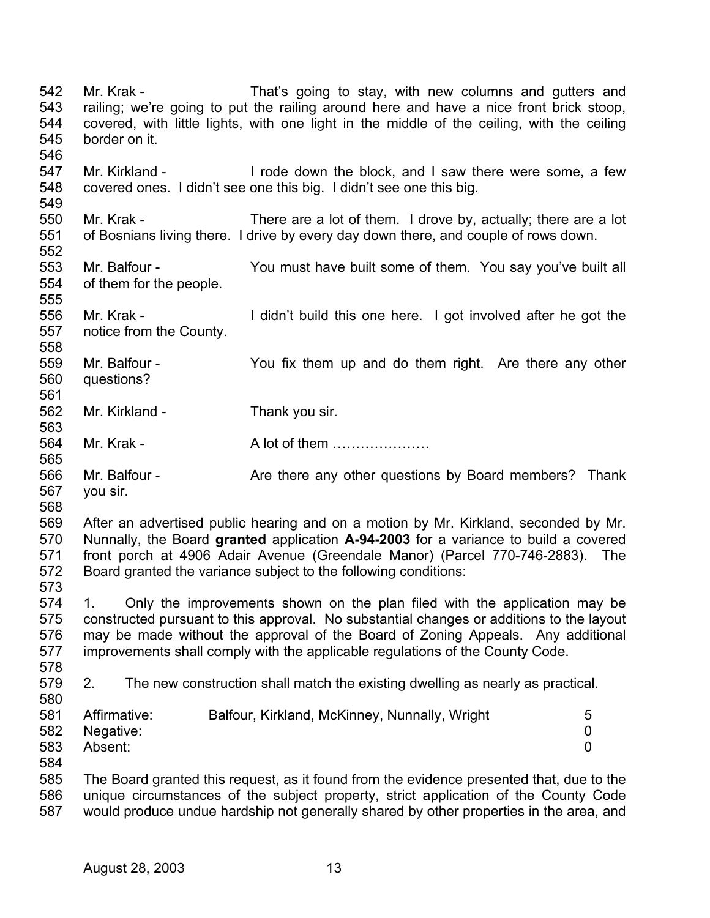542 543 544 545 546 547 548 549 550 551 552 553 554 555 556 557 558 559 560 561 562 563 564 565 566 567 568 569 570 571 572 573 574 575 576 577 578 579 580 581 582 583 584 585 586 587 Mr. Krak - That's going to stay, with new columns and gutters and railing; we're going to put the railing around here and have a nice front brick stoop, covered, with little lights, with one light in the middle of the ceiling, with the ceiling border on it. Mr. Kirkland - I rode down the block, and I saw there were some, a few covered ones. I didn't see one this big. I didn't see one this big. Mr. Krak - There are a lot of them. I drove by, actually; there are a lot of Bosnians living there. I drive by every day down there, and couple of rows down. Mr. Balfour - You must have built some of them. You say you've built all of them for the people. Mr. Krak - The I didn't build this one here. I got involved after he got the notice from the County. Mr. Balfour - The You fix them up and do them right. Are there any other questions? Mr. Kirkland - Thank you sir. Mr. Krak - A lot of them ………………… Mr. Balfour - Thank Are there any other questions by Board members? Thank you sir. After an advertised public hearing and on a motion by Mr. Kirkland, seconded by Mr. Nunnally, the Board **granted** application **A-94-2003** for a variance to build a covered front porch at 4906 Adair Avenue (Greendale Manor) (Parcel 770-746-2883). The Board granted the variance subject to the following conditions: 1. Only the improvements shown on the plan filed with the application may be constructed pursuant to this approval. No substantial changes or additions to the layout may be made without the approval of the Board of Zoning Appeals. Any additional improvements shall comply with the applicable regulations of the County Code. 2. The new construction shall match the existing dwelling as nearly as practical. Affirmative: Balfour, Kirkland, McKinney, Nunnally, Wright 5 Negative: 0 Absent: 0 The Board granted this request, as it found from the evidence presented that, due to the unique circumstances of the subject property, strict application of the County Code would produce undue hardship not generally shared by other properties in the area, and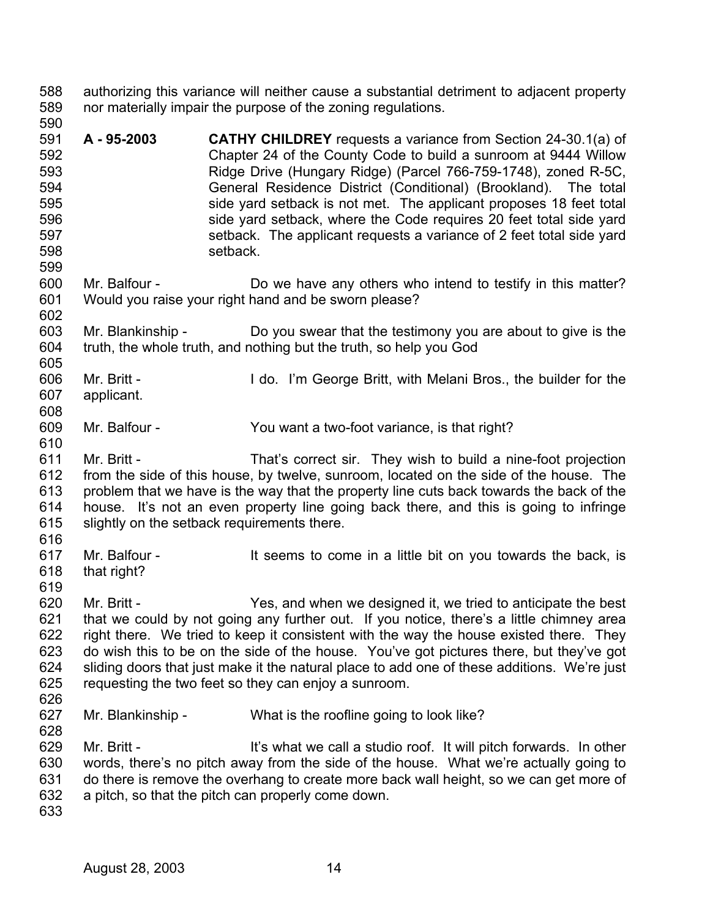588 589 590 authorizing this variance will neither cause a substantial detriment to adjacent property nor materially impair the purpose of the zoning regulations.

- 591 592 593 594 595 596 597 598 599 **A - 95-2003 CATHY CHILDREY** requests a variance from Section 24-30.1(a) of Chapter 24 of the County Code to build a sunroom at 9444 Willow Ridge Drive (Hungary Ridge) (Parcel 766-759-1748), zoned R-5C, General Residence District (Conditional) (Brookland). The total side yard setback is not met. The applicant proposes 18 feet total side yard setback, where the Code requires 20 feet total side yard setback. The applicant requests a variance of 2 feet total side yard setback.
- 600 601 602 Mr. Balfour - Do we have any others who intend to testify in this matter? Would you raise your right hand and be sworn please?
- 603 604 605 Mr. Blankinship - Do you swear that the testimony you are about to give is the truth, the whole truth, and nothing but the truth, so help you God
- 606 607 608 Mr. Britt - I do. I'm George Britt, with Melani Bros., the builder for the applicant.
- 609 Mr. Balfour - You want a two-foot variance, is that right?
- 611 612 613 614 615 Mr. Britt - That's correct sir. They wish to build a nine-foot projection from the side of this house, by twelve, sunroom, located on the side of the house. The problem that we have is the way that the property line cuts back towards the back of the house. It's not an even property line going back there, and this is going to infringe slightly on the setback requirements there.
- 616

610

- 617 618 Mr. Balfour - The State State State State in a little bit on you towards the back, is that right?
- 619
- 620 621 622 623 624 625 Mr. Britt - Yes, and when we designed it, we tried to anticipate the best that we could by not going any further out. If you notice, there's a little chimney area right there. We tried to keep it consistent with the way the house existed there. They do wish this to be on the side of the house. You've got pictures there, but they've got sliding doors that just make it the natural place to add one of these additions. We're just requesting the two feet so they can enjoy a sunroom.
- 626

- 627 Mr. Blankinship - What is the roofline going to look like?
- 629 630 631 632 Mr. Britt - It's what we call a studio roof. It will pitch forwards. In other words, there's no pitch away from the side of the house. What we're actually going to do there is remove the overhang to create more back wall height, so we can get more of a pitch, so that the pitch can properly come down.
- 633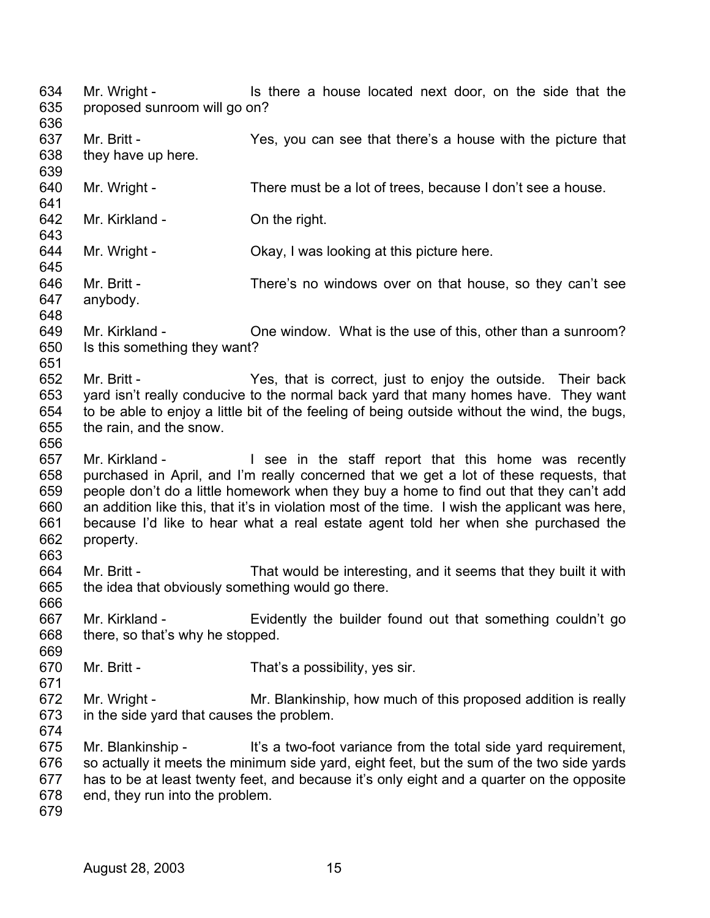634 635 636 637 638 639 640 641 642 643 644 645 646 647 648 649 650 651 652 653 654 655 656 657 658 659 660 661 662 663 664 665 666 667 668 669 670 671 672 673 674 675 676 677 678 679 Mr. Wright - Is there a house located next door, on the side that the proposed sunroom will go on? Mr. Britt - The Yes, you can see that there's a house with the picture that they have up here. Mr. Wright - There must be a lot of trees, because I don't see a house. Mr. Kirkland - **On the right.** Mr. Wright - Chay, I was looking at this picture here. Mr. Britt - There's no windows over on that house, so they can't see anybody. Mr. Kirkland - Che window. What is the use of this, other than a sunroom? Is this something they want? Mr. Britt - Their ves, that is correct, just to enjoy the outside. Their back yard isn't really conducive to the normal back yard that many homes have. They want to be able to enjoy a little bit of the feeling of being outside without the wind, the bugs, the rain, and the snow. Mr. Kirkland - The Staff report that this home was recently purchased in April, and I'm really concerned that we get a lot of these requests, that people don't do a little homework when they buy a home to find out that they can't add an addition like this, that it's in violation most of the time. I wish the applicant was here, because I'd like to hear what a real estate agent told her when she purchased the property. Mr. Britt - That would be interesting, and it seems that they built it with the idea that obviously something would go there. Mr. Kirkland - Evidently the builder found out that something couldn't go there, so that's why he stopped. Mr. Britt - That's a possibility, yes sir. Mr. Wright - Mr. Blankinship, how much of this proposed addition is really in the side yard that causes the problem. Mr. Blankinship - It's a two-foot variance from the total side yard requirement, so actually it meets the minimum side yard, eight feet, but the sum of the two side yards has to be at least twenty feet, and because it's only eight and a quarter on the opposite end, they run into the problem.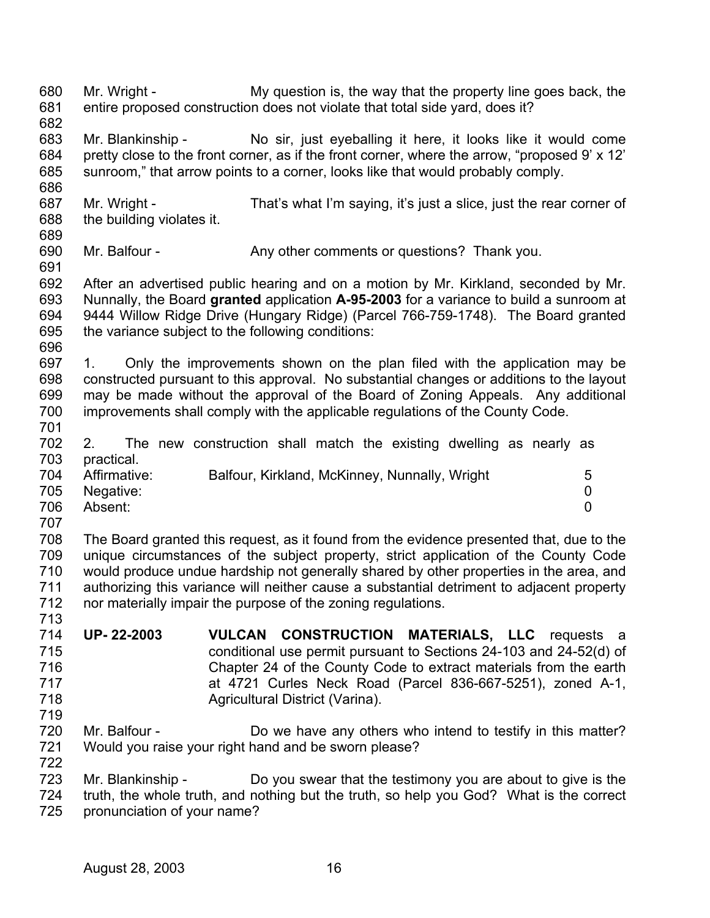680 681 682 683 684 685 686 687 688 689 690 691 692 693 694 695 696 697 698 699 700 701 702 703 704 705 706 707 708 709 710 711 712 713 714 715 716 717 718 719 720 721 722 723 724 725 Mr. Wright - My question is, the way that the property line goes back, the entire proposed construction does not violate that total side yard, does it? Mr. Blankinship - No sir, just eyeballing it here, it looks like it would come pretty close to the front corner, as if the front corner, where the arrow, "proposed 9' x 12' sunroom," that arrow points to a corner, looks like that would probably comply. Mr. Wright - That's what I'm saying, it's just a slice, just the rear corner of the building violates it. Mr. Balfour - **Any other comments or questions?** Thank you. After an advertised public hearing and on a motion by Mr. Kirkland, seconded by Mr. Nunnally, the Board **granted** application **A-95-2003** for a variance to build a sunroom at 9444 Willow Ridge Drive (Hungary Ridge) (Parcel 766-759-1748). The Board granted the variance subject to the following conditions: 1. Only the improvements shown on the plan filed with the application may be constructed pursuant to this approval. No substantial changes or additions to the layout may be made without the approval of the Board of Zoning Appeals. Any additional improvements shall comply with the applicable regulations of the County Code. 2. The new construction shall match the existing dwelling as nearly as practical. Affirmative: Balfour, Kirkland, McKinney, Nunnally, Wright 5 Negative: 0 Absent: 0 The Board granted this request, as it found from the evidence presented that, due to the unique circumstances of the subject property, strict application of the County Code would produce undue hardship not generally shared by other properties in the area, and authorizing this variance will neither cause a substantial detriment to adjacent property nor materially impair the purpose of the zoning regulations. **UP- 22-2003 VULCAN CONSTRUCTION MATERIALS, LLC** requests a conditional use permit pursuant to Sections 24-103 and 24-52(d) of Chapter 24 of the County Code to extract materials from the earth at 4721 Curles Neck Road (Parcel 836-667-5251), zoned A-1, Agricultural District (Varina). Mr. Balfour - **Do we have any others who intend to testify in this matter?** Would you raise your right hand and be sworn please? Mr. Blankinship - Do you swear that the testimony you are about to give is the truth, the whole truth, and nothing but the truth, so help you God? What is the correct pronunciation of your name?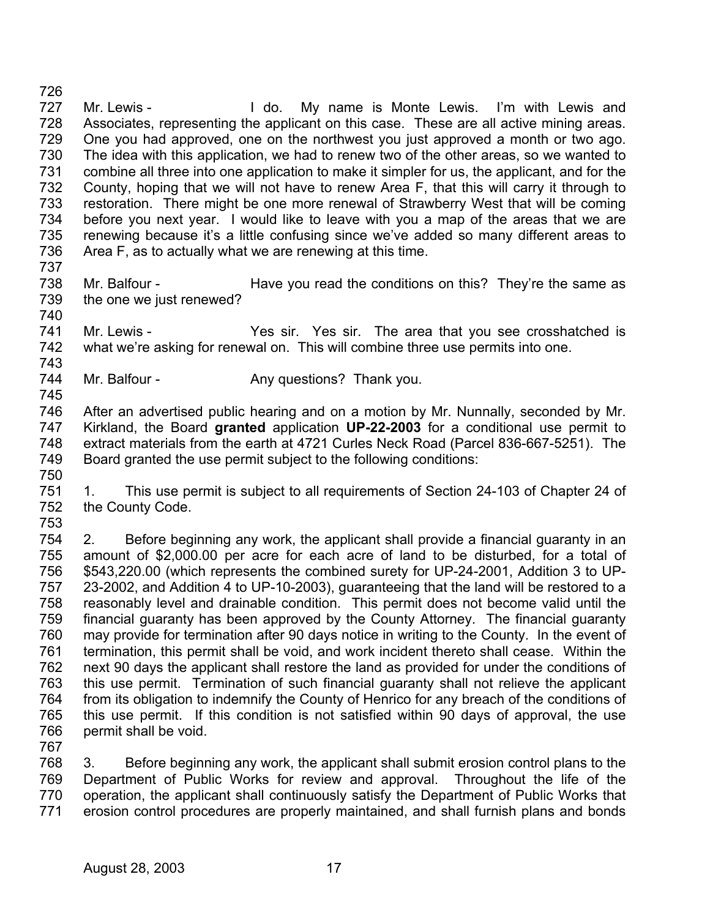726 727 728 729 730 731 732 733 734 735 736 737 Mr. Lewis - The Mull do. My name is Monte Lewis. I'm with Lewis and Associates, representing the applicant on this case. These are all active mining areas. One you had approved, one on the northwest you just approved a month or two ago. The idea with this application, we had to renew two of the other areas, so we wanted to combine all three into one application to make it simpler for us, the applicant, and for the County, hoping that we will not have to renew Area F, that this will carry it through to restoration. There might be one more renewal of Strawberry West that will be coming before you next year. I would like to leave with you a map of the areas that we are renewing because it's a little confusing since we've added so many different areas to Area F, as to actually what we are renewing at this time.

- 738 739 740 Mr. Balfour - Have you read the conditions on this? They're the same as the one we just renewed?
- 741 742 743 Mr. Lewis - The State of Mr. Lewis - The Area that you see crosshatched is what we're asking for renewal on. This will combine three use permits into one.
- 744 Mr. Balfour - Any questions? Thank you.
- 746 747 748 749 750 After an advertised public hearing and on a motion by Mr. Nunnally, seconded by Mr. Kirkland, the Board **granted** application **UP-22-2003** for a conditional use permit to extract materials from the earth at 4721 Curles Neck Road (Parcel 836-667-5251). The Board granted the use permit subject to the following conditions:
- 751 752 1. This use permit is subject to all requirements of Section 24-103 of Chapter 24 of the County Code.
- 753

745

754 755 756 757 758 759 760 761 762 763 764 765 766 2. Before beginning any work, the applicant shall provide a financial guaranty in an amount of \$2,000.00 per acre for each acre of land to be disturbed, for a total of \$543,220.00 (which represents the combined surety for UP-24-2001, Addition 3 to UP-23-2002, and Addition 4 to UP-10-2003), guaranteeing that the land will be restored to a reasonably level and drainable condition. This permit does not become valid until the financial guaranty has been approved by the County Attorney. The financial guaranty may provide for termination after 90 days notice in writing to the County. In the event of termination, this permit shall be void, and work incident thereto shall cease. Within the next 90 days the applicant shall restore the land as provided for under the conditions of this use permit. Termination of such financial guaranty shall not relieve the applicant from its obligation to indemnify the County of Henrico for any breach of the conditions of this use permit. If this condition is not satisfied within 90 days of approval, the use permit shall be void.

767

768 769 770 771 3. Before beginning any work, the applicant shall submit erosion control plans to the Department of Public Works for review and approval. Throughout the life of the operation, the applicant shall continuously satisfy the Department of Public Works that erosion control procedures are properly maintained, and shall furnish plans and bonds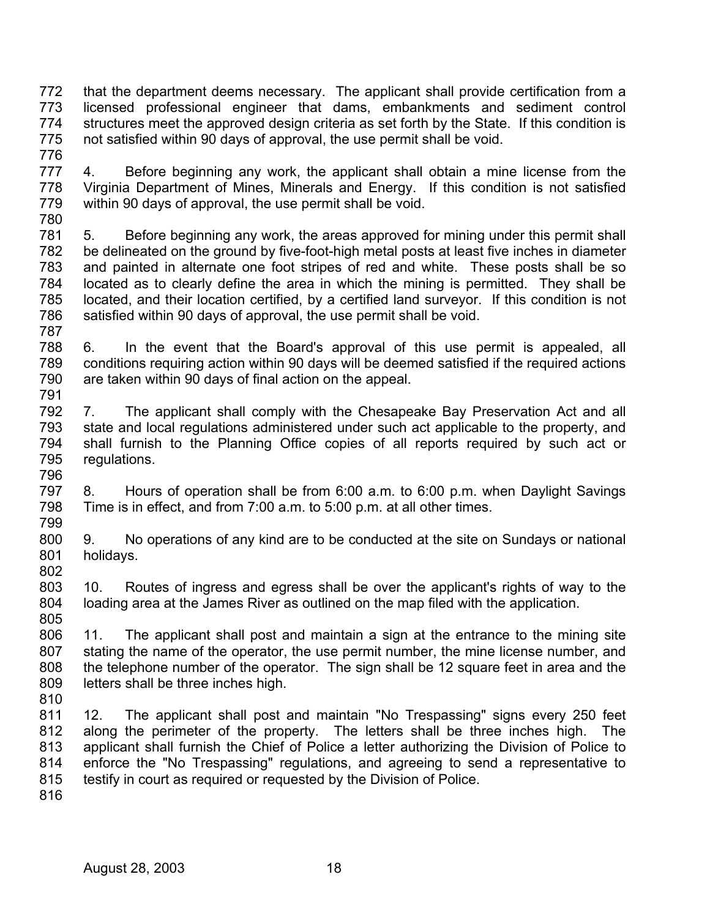772 773 774 775 that the department deems necessary. The applicant shall provide certification from a licensed professional engineer that dams, embankments and sediment control structures meet the approved design criteria as set forth by the State. If this condition is not satisfied within 90 days of approval, the use permit shall be void.

776

777 778 779 4. Before beginning any work, the applicant shall obtain a mine license from the Virginia Department of Mines, Minerals and Energy. If this condition is not satisfied within 90 days of approval, the use permit shall be void.

780

781 782 783 784 785 786 5. Before beginning any work, the areas approved for mining under this permit shall be delineated on the ground by five-foot-high metal posts at least five inches in diameter and painted in alternate one foot stripes of red and white. These posts shall be so located as to clearly define the area in which the mining is permitted. They shall be located, and their location certified, by a certified land surveyor. If this condition is not satisfied within 90 days of approval, the use permit shall be void.

787

788 789 790 791 6. In the event that the Board's approval of this use permit is appealed, all conditions requiring action within 90 days will be deemed satisfied if the required actions are taken within 90 days of final action on the appeal.

792 793 794 795 796 7. The applicant shall comply with the Chesapeake Bay Preservation Act and all state and local regulations administered under such act applicable to the property, and shall furnish to the Planning Office copies of all reports required by such act or regulations.

797 798 799 8. Hours of operation shall be from 6:00 a.m. to 6:00 p.m. when Daylight Savings Time is in effect, and from 7:00 a.m. to 5:00 p.m. at all other times.

800 801 802 9. No operations of any kind are to be conducted at the site on Sundays or national holidays.

803 804 805 10. Routes of ingress and egress shall be over the applicant's rights of way to the loading area at the James River as outlined on the map filed with the application.

806 807 808 809 11. The applicant shall post and maintain a sign at the entrance to the mining site stating the name of the operator, the use permit number, the mine license number, and the telephone number of the operator. The sign shall be 12 square feet in area and the letters shall be three inches high.

810

811 812 813 814 815 12. The applicant shall post and maintain "No Trespassing" signs every 250 feet along the perimeter of the property. The letters shall be three inches high. The applicant shall furnish the Chief of Police a letter authorizing the Division of Police to enforce the "No Trespassing" regulations, and agreeing to send a representative to testify in court as required or requested by the Division of Police.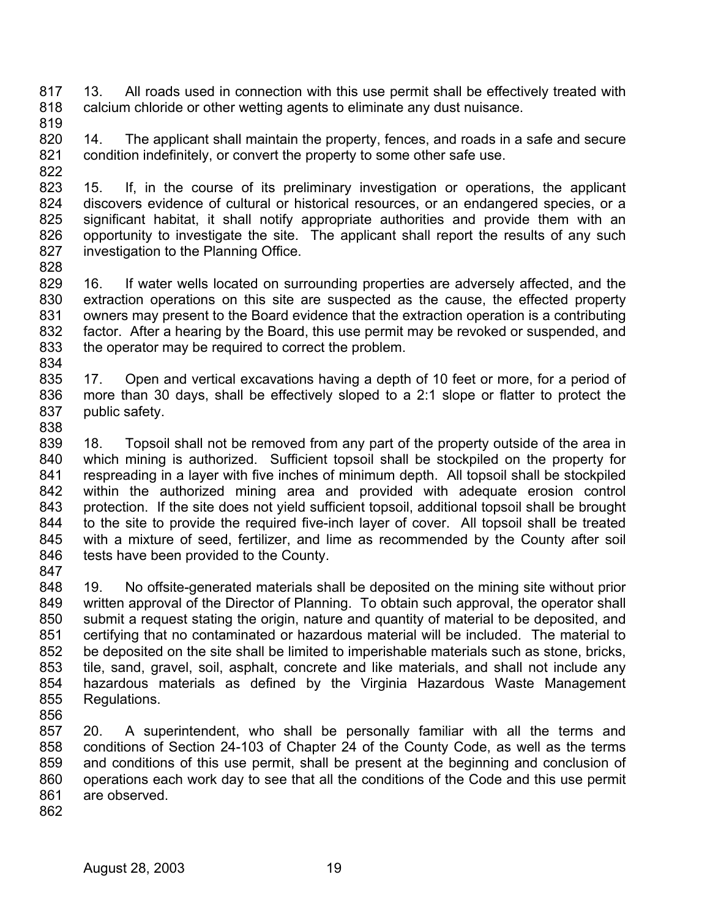817 818 13. All roads used in connection with this use permit shall be effectively treated with calcium chloride or other wetting agents to eliminate any dust nuisance.

819

828

820 821 822 14. The applicant shall maintain the property, fences, and roads in a safe and secure condition indefinitely, or convert the property to some other safe use.

823 824 825 826 827 15. If, in the course of its preliminary investigation or operations, the applicant discovers evidence of cultural or historical resources, or an endangered species, or a significant habitat, it shall notify appropriate authorities and provide them with an opportunity to investigate the site. The applicant shall report the results of any such investigation to the Planning Office.

- 829 830 831 832 833 834 16. If water wells located on surrounding properties are adversely affected, and the extraction operations on this site are suspected as the cause, the effected property owners may present to the Board evidence that the extraction operation is a contributing factor. After a hearing by the Board, this use permit may be revoked or suspended, and the operator may be required to correct the problem.
- 835 836 837 17. Open and vertical excavations having a depth of 10 feet or more, for a period of more than 30 days, shall be effectively sloped to a 2:1 slope or flatter to protect the public safety.
- 838

839 840 841 842 843 844 845 846 847 18. Topsoil shall not be removed from any part of the property outside of the area in which mining is authorized. Sufficient topsoil shall be stockpiled on the property for respreading in a layer with five inches of minimum depth. All topsoil shall be stockpiled within the authorized mining area and provided with adequate erosion control protection. If the site does not yield sufficient topsoil, additional topsoil shall be brought to the site to provide the required five-inch layer of cover. All topsoil shall be treated with a mixture of seed, fertilizer, and lime as recommended by the County after soil tests have been provided to the County.

848 849 850 851 852 853 854 855 19. No offsite-generated materials shall be deposited on the mining site without prior written approval of the Director of Planning. To obtain such approval, the operator shall submit a request stating the origin, nature and quantity of material to be deposited, and certifying that no contaminated or hazardous material will be included. The material to be deposited on the site shall be limited to imperishable materials such as stone, bricks, tile, sand, gravel, soil, asphalt, concrete and like materials, and shall not include any hazardous materials as defined by the Virginia Hazardous Waste Management Regulations.

856

857 858 859 860 861 20. A superintendent, who shall be personally familiar with all the terms and conditions of Section 24-103 of Chapter 24 of the County Code, as well as the terms and conditions of this use permit, shall be present at the beginning and conclusion of operations each work day to see that all the conditions of the Code and this use permit are observed.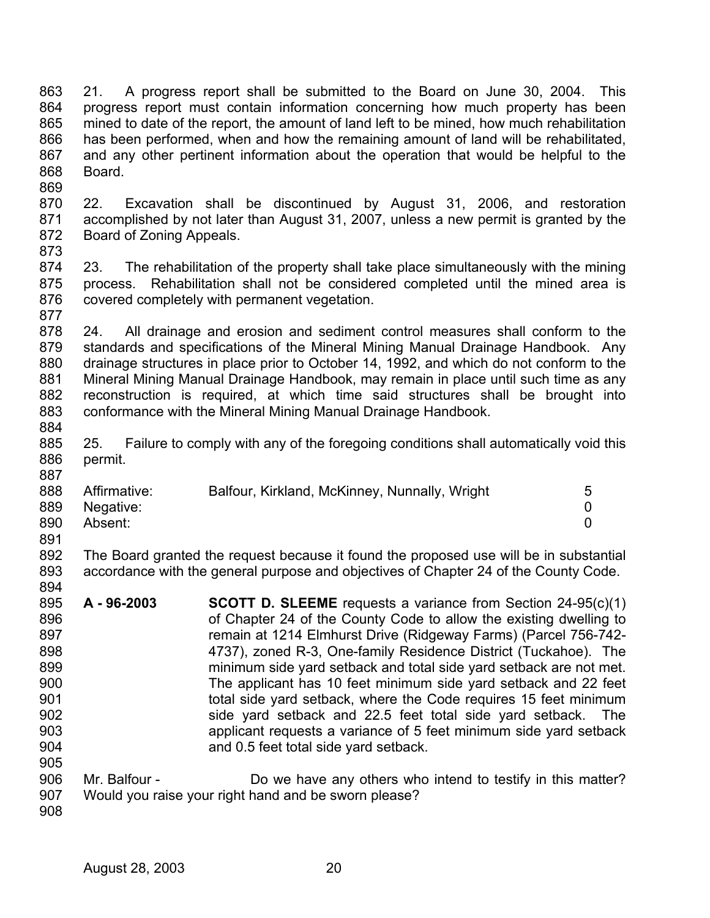863 864 865 866 867 868 869 21. A progress report shall be submitted to the Board on June 30, 2004. This progress report must contain information concerning how much property has been mined to date of the report, the amount of land left to be mined, how much rehabilitation has been performed, when and how the remaining amount of land will be rehabilitated, and any other pertinent information about the operation that would be helpful to the Board.

870 871 872 22. Excavation shall be discontinued by August 31, 2006, and restoration accomplished by not later than August 31, 2007, unless a new permit is granted by the Board of Zoning Appeals.

873

874 875 876 877 23. The rehabilitation of the property shall take place simultaneously with the mining process. Rehabilitation shall not be considered completed until the mined area is covered completely with permanent vegetation.

878 879 880 881 882 883 24. All drainage and erosion and sediment control measures shall conform to the standards and specifications of the Mineral Mining Manual Drainage Handbook. Any drainage structures in place prior to October 14, 1992, and which do not conform to the Mineral Mining Manual Drainage Handbook, may remain in place until such time as any reconstruction is required, at which time said structures shall be brought into conformance with the Mineral Mining Manual Drainage Handbook.

884

885 886 887 25. Failure to comply with any of the foregoing conditions shall automatically void this permit.

| 888 | Affirmative: | Balfour, Kirkland, McKinney, Nunnally, Wright | 5        |
|-----|--------------|-----------------------------------------------|----------|
| 889 | Negative:    |                                               | $\Omega$ |
| 890 | Absent:      |                                               |          |
| 891 |              |                                               |          |

892 893 894 The Board granted the request because it found the proposed use will be in substantial accordance with the general purpose and objectives of Chapter 24 of the County Code.

895 896 897 898 899 900 901 902 903 904 905 **A - 96-2003 SCOTT D. SLEEME** requests a variance from Section 24-95(c)(1) of Chapter 24 of the County Code to allow the existing dwelling to remain at 1214 Elmhurst Drive (Ridgeway Farms) (Parcel 756-742- 4737), zoned R-3, One-family Residence District (Tuckahoe). The minimum side yard setback and total side yard setback are not met. The applicant has 10 feet minimum side yard setback and 22 feet total side yard setback, where the Code requires 15 feet minimum side yard setback and 22.5 feet total side yard setback. The applicant requests a variance of 5 feet minimum side yard setback and 0.5 feet total side yard setback.

906 907 Mr. Balfour - Do we have any others who intend to testify in this matter? Would you raise your right hand and be sworn please?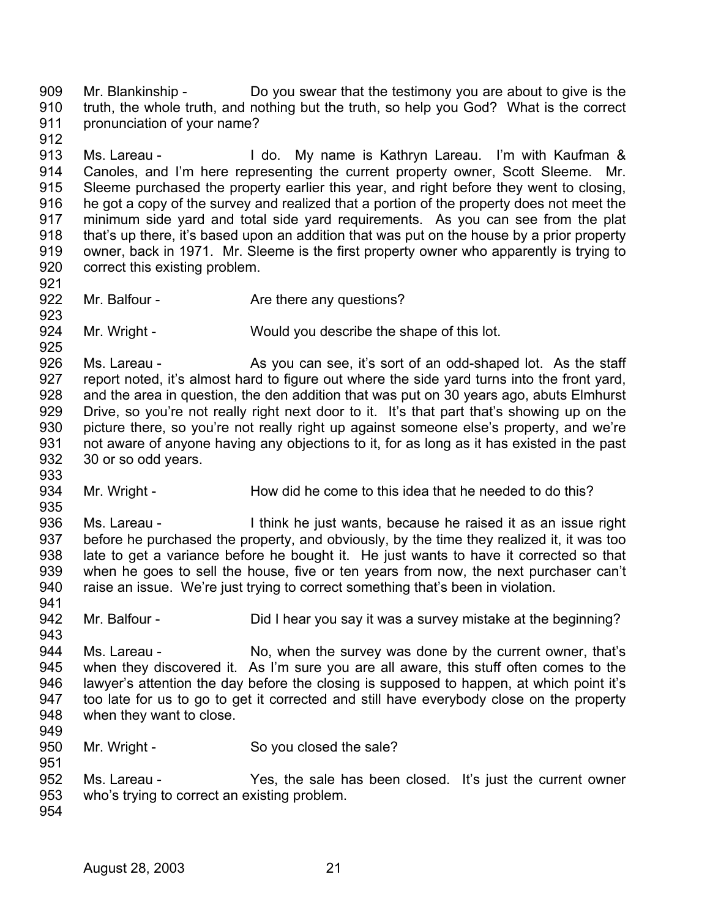909 910 911 912 913 914 915 916 917 918 919 920 921 922 923 924 925 926 927 928 929 930 931 932 933 934 935 936 937 938 939 940 941 942 943 944 945 946 947 948 949 950 951 952 953 954 Mr. Blankinship - Do you swear that the testimony you are about to give is the truth, the whole truth, and nothing but the truth, so help you God? What is the correct pronunciation of your name? Ms. Lareau - I do. My name is Kathryn Lareau. I'm with Kaufman & Canoles, and I'm here representing the current property owner, Scott Sleeme. Mr. Sleeme purchased the property earlier this year, and right before they went to closing, he got a copy of the survey and realized that a portion of the property does not meet the minimum side yard and total side yard requirements. As you can see from the plat that's up there, it's based upon an addition that was put on the house by a prior property owner, back in 1971. Mr. Sleeme is the first property owner who apparently is trying to correct this existing problem. Mr. Balfour - **Are there any questions?** Mr. Wright - Would you describe the shape of this lot. Ms. Lareau - As you can see, it's sort of an odd-shaped lot. As the staff report noted, it's almost hard to figure out where the side yard turns into the front yard, and the area in question, the den addition that was put on 30 years ago, abuts Elmhurst Drive, so you're not really right next door to it. It's that part that's showing up on the picture there, so you're not really right up against someone else's property, and we're not aware of anyone having any objections to it, for as long as it has existed in the past 30 or so odd years. Mr. Wright - How did he come to this idea that he needed to do this? Ms. Lareau - I think he just wants, because he raised it as an issue right before he purchased the property, and obviously, by the time they realized it, it was too late to get a variance before he bought it. He just wants to have it corrected so that when he goes to sell the house, five or ten years from now, the next purchaser can't raise an issue. We're just trying to correct something that's been in violation. Mr. Balfour - Did I hear you say it was a survey mistake at the beginning? Ms. Lareau - No, when the survey was done by the current owner, that's when they discovered it. As I'm sure you are all aware, this stuff often comes to the lawyer's attention the day before the closing is supposed to happen, at which point it's too late for us to go to get it corrected and still have everybody close on the property when they want to close. Mr. Wright - So you closed the sale? Ms. Lareau - The Yes, the sale has been closed. It's just the current owner who's trying to correct an existing problem.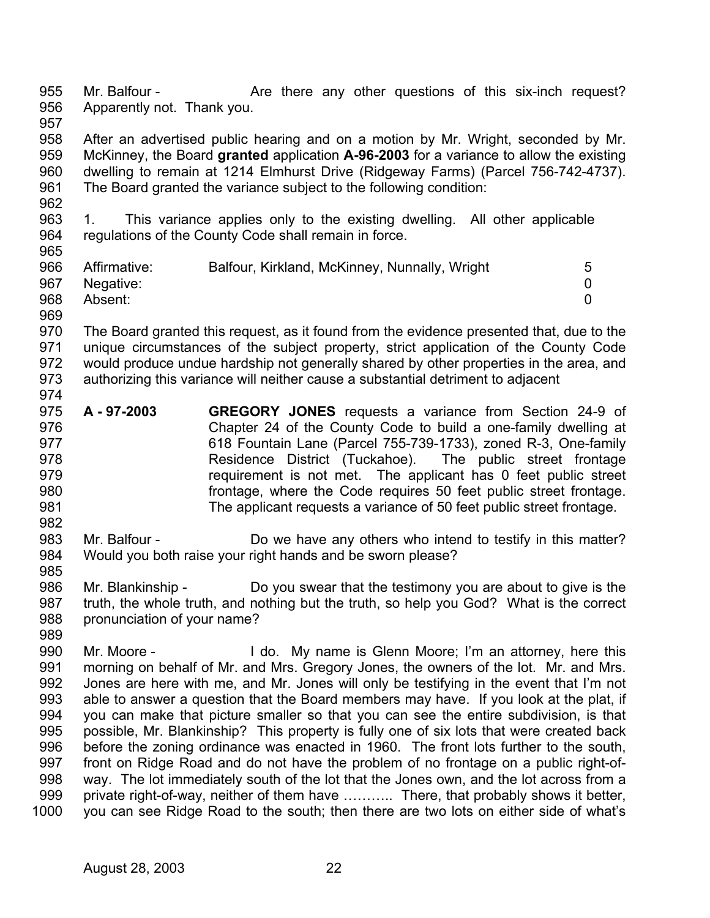955 956 957 Mr. Balfour - The Are there any other questions of this six-inch request? Apparently not. Thank you.

958 959 960 961 After an advertised public hearing and on a motion by Mr. Wright, seconded by Mr. McKinney, the Board **granted** application **A-96-2003** for a variance to allow the existing dwelling to remain at 1214 Elmhurst Drive (Ridgeway Farms) (Parcel 756-742-4737). The Board granted the variance subject to the following condition:

963 964 965 1. This variance applies only to the existing dwelling. All other applicable regulations of the County Code shall remain in force.

| 966 | Affirmative:  | Balfour, Kirkland, McKinney, Nunnally, Wright | 5 |
|-----|---------------|-----------------------------------------------|---|
|     | 967 Negative: |                                               |   |
| 968 | Absent:       |                                               |   |
| 969 |               |                                               |   |

970 971 972 973 974 The Board granted this request, as it found from the evidence presented that, due to the unique circumstances of the subject property, strict application of the County Code would produce undue hardship not generally shared by other properties in the area, and authorizing this variance will neither cause a substantial detriment to adjacent

975 976 977 978 979 980 981 **A - 97-2003 GREGORY JONES** requests a variance from Section 24-9 of Chapter 24 of the County Code to build a one-family dwelling at 618 Fountain Lane (Parcel 755-739-1733), zoned R-3, One-family Residence District (Tuckahoe). The public street frontage requirement is not met. The applicant has 0 feet public street frontage, where the Code requires 50 feet public street frontage. The applicant requests a variance of 50 feet public street frontage.

983 984 Mr. Balfour - Do we have any others who intend to testify in this matter? Would you both raise your right hands and be sworn please?

986 987 988 989 Mr. Blankinship - Do you swear that the testimony you are about to give is the truth, the whole truth, and nothing but the truth, so help you God? What is the correct pronunciation of your name?

990 991 992 993 994 995 996 997 998 999 1000 Mr. Moore - The Mull do. My name is Glenn Moore; I'm an attorney, here this morning on behalf of Mr. and Mrs. Gregory Jones, the owners of the lot. Mr. and Mrs. Jones are here with me, and Mr. Jones will only be testifying in the event that I'm not able to answer a question that the Board members may have. If you look at the plat, if you can make that picture smaller so that you can see the entire subdivision, is that possible, Mr. Blankinship? This property is fully one of six lots that were created back before the zoning ordinance was enacted in 1960. The front lots further to the south, front on Ridge Road and do not have the problem of no frontage on a public right-ofway. The lot immediately south of the lot that the Jones own, and the lot across from a private right-of-way, neither of them have ……….. There, that probably shows it better, you can see Ridge Road to the south; then there are two lots on either side of what's

962

982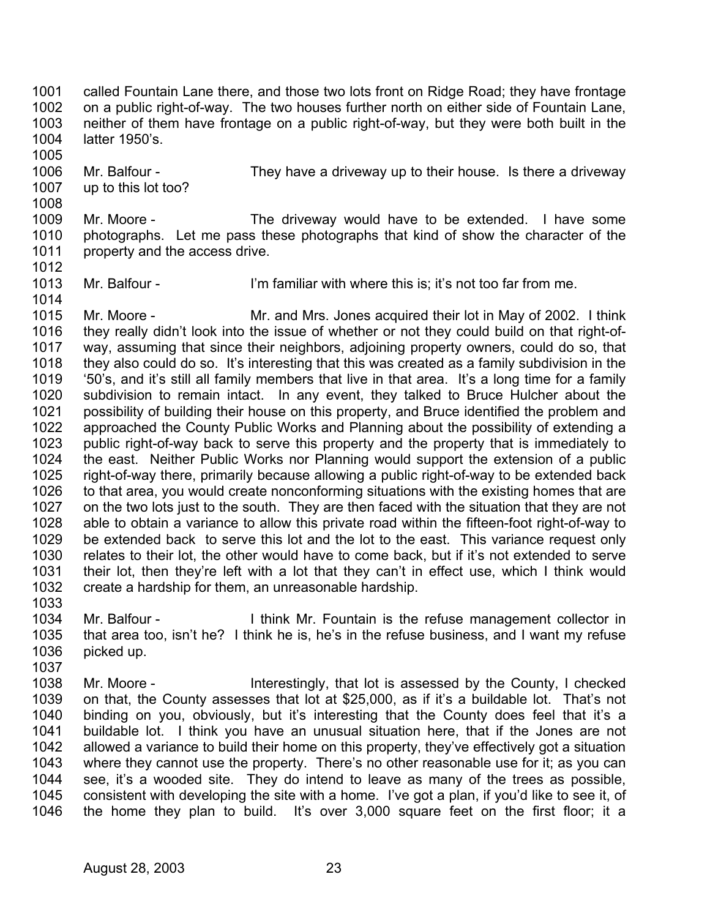1001 1002 1003 1004 called Fountain Lane there, and those two lots front on Ridge Road; they have frontage on a public right-of-way. The two houses further north on either side of Fountain Lane, neither of them have frontage on a public right-of-way, but they were both built in the latter 1950's.

1006 1007 Mr. Balfour - They have a driveway up to their house. Is there a driveway up to this lot too?

1009 1010 1011 1012 Mr. Moore - The driveway would have to be extended. I have some photographs. Let me pass these photographs that kind of show the character of the property and the access drive.

1013 Mr. Balfour - I'm familiar with where this is; it's not too far from me.

1015 1016 1017 1018 1019 1020 1021 1022 1023 1024 1025 1026 1027 1028 1029 1030 1031 1032 Mr. Moore - Mr. and Mrs. Jones acquired their lot in May of 2002. I think they really didn't look into the issue of whether or not they could build on that right-ofway, assuming that since their neighbors, adjoining property owners, could do so, that they also could do so. It's interesting that this was created as a family subdivision in the '50's, and it's still all family members that live in that area. It's a long time for a family subdivision to remain intact. In any event, they talked to Bruce Hulcher about the possibility of building their house on this property, and Bruce identified the problem and approached the County Public Works and Planning about the possibility of extending a public right-of-way back to serve this property and the property that is immediately to the east. Neither Public Works nor Planning would support the extension of a public right-of-way there, primarily because allowing a public right-of-way to be extended back to that area, you would create nonconforming situations with the existing homes that are on the two lots just to the south. They are then faced with the situation that they are not able to obtain a variance to allow this private road within the fifteen-foot right-of-way to be extended back to serve this lot and the lot to the east. This variance request only relates to their lot, the other would have to come back, but if it's not extended to serve their lot, then they're left with a lot that they can't in effect use, which I think would create a hardship for them, an unreasonable hardship.

1033

1005

1008

1014

1034 1035 1036 1037 Mr. Balfour - I think Mr. Fountain is the refuse management collector in that area too, isn't he? I think he is, he's in the refuse business, and I want my refuse picked up.

1038 1039 1040 1041 1042 1043 1044 1045 1046 Mr. Moore - The Interestingly, that lot is assessed by the County, I checked on that, the County assesses that lot at \$25,000, as if it's a buildable lot. That's not binding on you, obviously, but it's interesting that the County does feel that it's a buildable lot. I think you have an unusual situation here, that if the Jones are not allowed a variance to build their home on this property, they've effectively got a situation where they cannot use the property. There's no other reasonable use for it; as you can see, it's a wooded site. They do intend to leave as many of the trees as possible, consistent with developing the site with a home. I've got a plan, if you'd like to see it, of the home they plan to build. It's over 3,000 square feet on the first floor; it a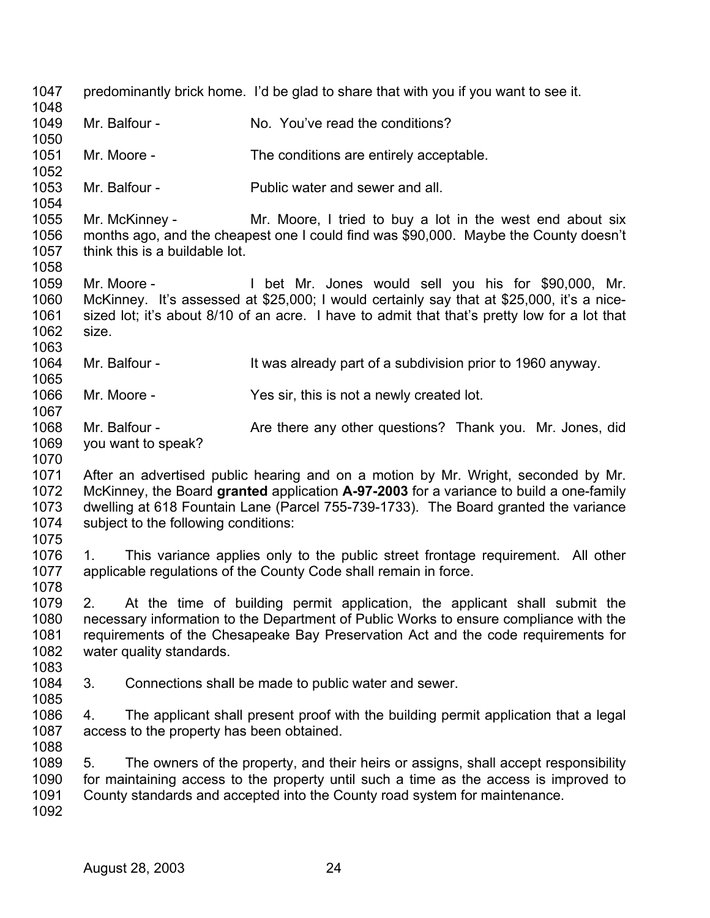| 1047         |       |                                           | predominantly brick home. I'd be glad to share that with you if you want to see it.                                                               |
|--------------|-------|-------------------------------------------|---------------------------------------------------------------------------------------------------------------------------------------------------|
| 1048         |       |                                           |                                                                                                                                                   |
| 1049         |       | Mr. Balfour -                             | No. You've read the conditions?                                                                                                                   |
| 1050<br>1051 |       | Mr. Moore -                               | The conditions are entirely acceptable.                                                                                                           |
| 1052         |       |                                           |                                                                                                                                                   |
| 1053<br>1054 |       | Mr. Balfour -                             | Public water and sewer and all.                                                                                                                   |
| 1055         |       | Mr. McKinney -                            | Mr. Moore, I tried to buy a lot in the west end about six                                                                                         |
| 1056         |       |                                           | months ago, and the cheapest one I could find was \$90,000. Maybe the County doesn't                                                              |
| 1057         |       | think this is a buildable lot.            |                                                                                                                                                   |
| 1058         |       |                                           |                                                                                                                                                   |
| 1059<br>1060 |       | Mr. Moore -                               | I bet Mr. Jones would sell you his for \$90,000, Mr.<br>McKinney. It's assessed at \$25,000; I would certainly say that at \$25,000, it's a nice- |
| 1061         |       |                                           | sized lot; it's about 8/10 of an acre. I have to admit that that's pretty low for a lot that                                                      |
| 1062         | size. |                                           |                                                                                                                                                   |
| 1063         |       |                                           |                                                                                                                                                   |
| 1064         |       | Mr. Balfour -                             | It was already part of a subdivision prior to 1960 anyway.                                                                                        |
| 1065         |       |                                           |                                                                                                                                                   |
| 1066         |       | Mr. Moore -                               | Yes sir, this is not a newly created lot.                                                                                                         |
| 1067         |       |                                           |                                                                                                                                                   |
| 1068         |       | Mr. Balfour -                             | Are there any other questions? Thank you. Mr. Jones, did                                                                                          |
| 1069         |       | you want to speak?                        |                                                                                                                                                   |
| 1070         |       |                                           |                                                                                                                                                   |
| 1071         |       |                                           | After an advertised public hearing and on a motion by Mr. Wright, seconded by Mr.                                                                 |
| 1072         |       |                                           | McKinney, the Board granted application A-97-2003 for a variance to build a one-family                                                            |
| 1073         |       |                                           | dwelling at 618 Fountain Lane (Parcel 755-739-1733). The Board granted the variance                                                               |
| 1074         |       | subject to the following conditions:      |                                                                                                                                                   |
| 1075         |       |                                           |                                                                                                                                                   |
|              |       |                                           |                                                                                                                                                   |
| 1076         | 1.    |                                           | This variance applies only to the public street frontage requirement. All other                                                                   |
| 1077         |       |                                           | applicable regulations of the County Code shall remain in force.                                                                                  |
| 1078         |       |                                           |                                                                                                                                                   |
| 1079         | 2.    |                                           | At the time of building permit application, the applicant shall submit the                                                                        |
| 1080         |       |                                           | necessary information to the Department of Public Works to ensure compliance with the                                                             |
| 1081         |       |                                           | requirements of the Chesapeake Bay Preservation Act and the code requirements for                                                                 |
| 1082         |       | water quality standards.                  |                                                                                                                                                   |
| 1083         |       |                                           |                                                                                                                                                   |
| 1084         | 3.    |                                           | Connections shall be made to public water and sewer.                                                                                              |
| 1085         |       |                                           |                                                                                                                                                   |
| 1086         | 4.    |                                           | The applicant shall present proof with the building permit application that a legal                                                               |
| 1087         |       | access to the property has been obtained. |                                                                                                                                                   |
| 1088         |       |                                           |                                                                                                                                                   |
| 1089         | 5.    |                                           | The owners of the property, and their heirs or assigns, shall accept responsibility                                                               |
| 1090         |       |                                           | for maintaining access to the property until such a time as the access is improved to                                                             |
| 1091         |       |                                           | County standards and accepted into the County road system for maintenance.                                                                        |
| 1092         |       |                                           |                                                                                                                                                   |
|              |       |                                           |                                                                                                                                                   |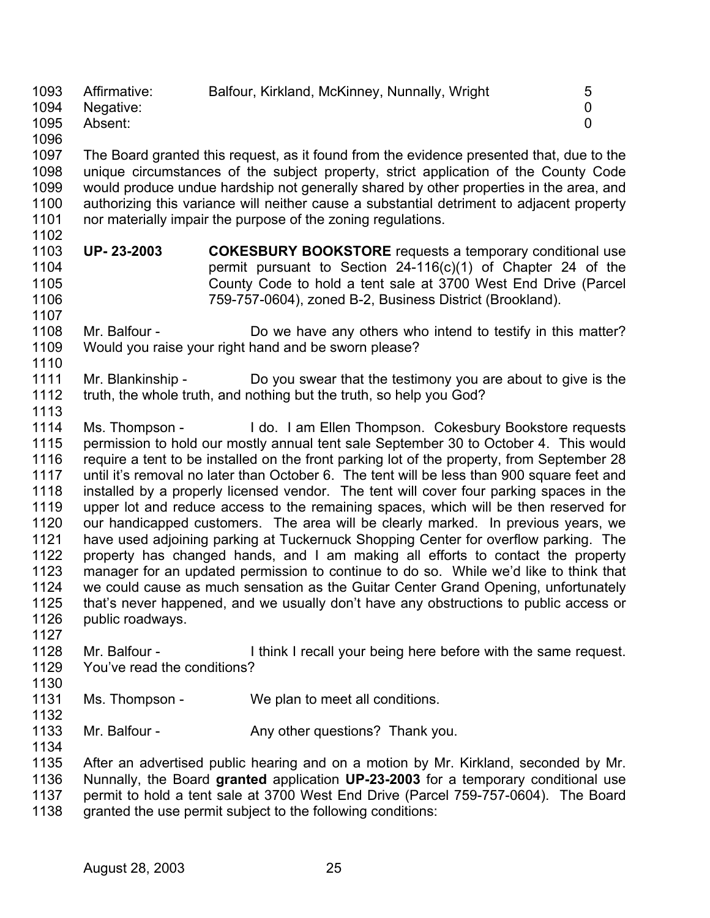| 1093 | Affirmative: | Balfour, Kirkland, McKinney, Nunnally, Wright | 5 |
|------|--------------|-----------------------------------------------|---|
| 1094 | Negative:    |                                               |   |
| 1095 | Absent:      |                                               |   |
| 1096 |              |                                               |   |

1097 1098 1099 1100 1101 1102 The Board granted this request, as it found from the evidence presented that, due to the unique circumstances of the subject property, strict application of the County Code would produce undue hardship not generally shared by other properties in the area, and authorizing this variance will neither cause a substantial detriment to adjacent property nor materially impair the purpose of the zoning regulations.

1103 1104 1105 1106 **UP- 23-2003 COKESBURY BOOKSTORE** requests a temporary conditional use permit pursuant to Section 24-116(c)(1) of Chapter 24 of the County Code to hold a tent sale at 3700 West End Drive (Parcel 759-757-0604), zoned B-2, Business District (Brookland).

## 1108 1109 1110 Mr. Balfour - Do we have any others who intend to testify in this matter? Would you raise your right hand and be sworn please?

- 1111 1112 Mr. Blankinship - Do you swear that the testimony you are about to give is the truth, the whole truth, and nothing but the truth, so help you God?
- 1114 1115 1116 1117 1118 1119 1120 1121 1122 1123 1124 1125 1126 Ms. Thompson - I do. I am Ellen Thompson. Cokesbury Bookstore requests permission to hold our mostly annual tent sale September 30 to October 4. This would require a tent to be installed on the front parking lot of the property, from September 28 until it's removal no later than October 6. The tent will be less than 900 square feet and installed by a properly licensed vendor. The tent will cover four parking spaces in the upper lot and reduce access to the remaining spaces, which will be then reserved for our handicapped customers. The area will be clearly marked. In previous years, we have used adjoining parking at Tuckernuck Shopping Center for overflow parking. The property has changed hands, and I am making all efforts to contact the property manager for an updated permission to continue to do so. While we'd like to think that we could cause as much sensation as the Guitar Center Grand Opening, unfortunately that's never happened, and we usually don't have any obstructions to public access or public roadways.
- 1127

1107

1113

- 1128 1129 Mr. Balfour - I think I recall your being here before with the same request. You've read the conditions?
- 1131 Ms. Thompson - We plan to meet all conditions.
- 1132

1130

1133 Mr. Balfour - Any other questions? Thank you.

1134 1135

1136 1137 1138 After an advertised public hearing and on a motion by Mr. Kirkland, seconded by Mr. Nunnally, the Board **granted** application **UP-23-2003** for a temporary conditional use permit to hold a tent sale at 3700 West End Drive (Parcel 759-757-0604). The Board granted the use permit subject to the following conditions: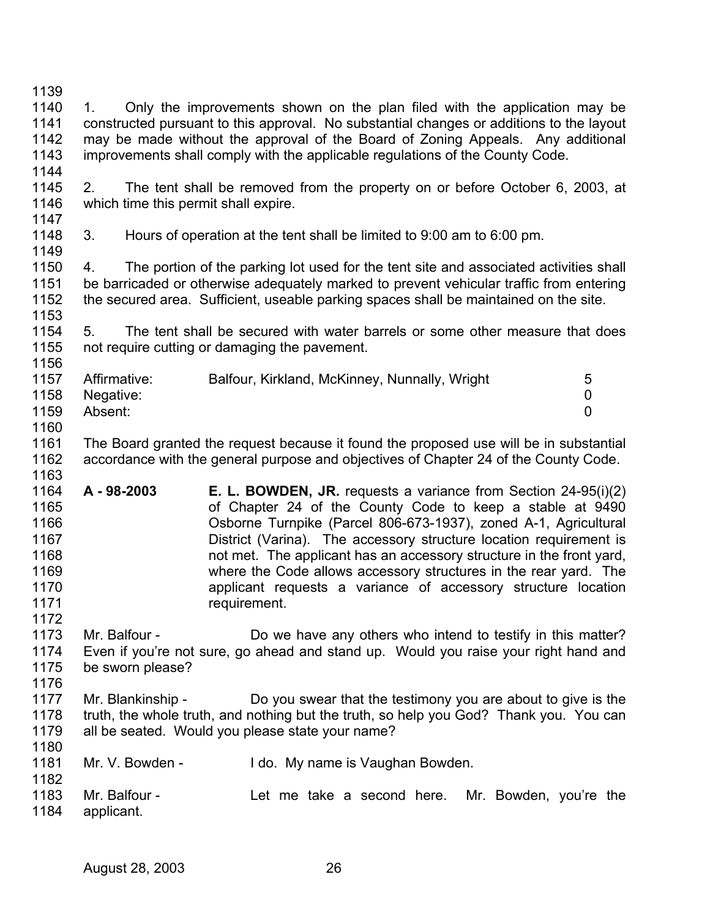- 1139 1140 1141 1142 1143 1144 1. Only the improvements shown on the plan filed with the application may be constructed pursuant to this approval. No substantial changes or additions to the layout may be made without the approval of the Board of Zoning Appeals. Any additional improvements shall comply with the applicable regulations of the County Code.
- 1145 1146 1147 2. The tent shall be removed from the property on or before October 6, 2003, at which time this permit shall expire.
- 1148 3. Hours of operation at the tent shall be limited to 9:00 am to 6:00 pm.

1150 1151 1152 1153 4. The portion of the parking lot used for the tent site and associated activities shall be barricaded or otherwise adequately marked to prevent vehicular traffic from entering the secured area. Sufficient, useable parking spaces shall be maintained on the site.

1154 1155 5. The tent shall be secured with water barrels or some other measure that does not require cutting or damaging the pavement.

| 1157 | Affirmative:   | Balfour, Kirkland, McKinney, Nunnally, Wright | 5 |
|------|----------------|-----------------------------------------------|---|
|      | 1158 Negative: |                                               |   |
| 1159 | Absent:        |                                               |   |
| 1160 |                |                                               |   |

- 1161 1162 The Board granted the request because it found the proposed use will be in substantial accordance with the general purpose and objectives of Chapter 24 of the County Code.
- 1164 1165 1166 1167 1168 1169 1170 1171 **A - 98-2003 E. L. BOWDEN, JR.** requests a variance from Section 24-95(i)(2) of Chapter 24 of the County Code to keep a stable at 9490 Osborne Turnpike (Parcel 806-673-1937), zoned A-1, Agricultural District (Varina). The accessory structure location requirement is not met. The applicant has an accessory structure in the front yard, where the Code allows accessory structures in the rear yard. The applicant requests a variance of accessory structure location requirement.
- 1173 1174 1175 Mr. Balfour - Do we have any others who intend to testify in this matter? Even if you're not sure, go ahead and stand up. Would you raise your right hand and be sworn please?
- 1177 1178 1179 Mr. Blankinship - Do you swear that the testimony you are about to give is the truth, the whole truth, and nothing but the truth, so help you God? Thank you. You can all be seated. Would you please state your name?
- 1181 Mr. V. Bowden - I do. My name is Vaughan Bowden.
- 1183 1184 Mr. Balfour - The Let me take a second here. Mr. Bowden, you're the applicant.

1149

1156

1163

1172

1176

1180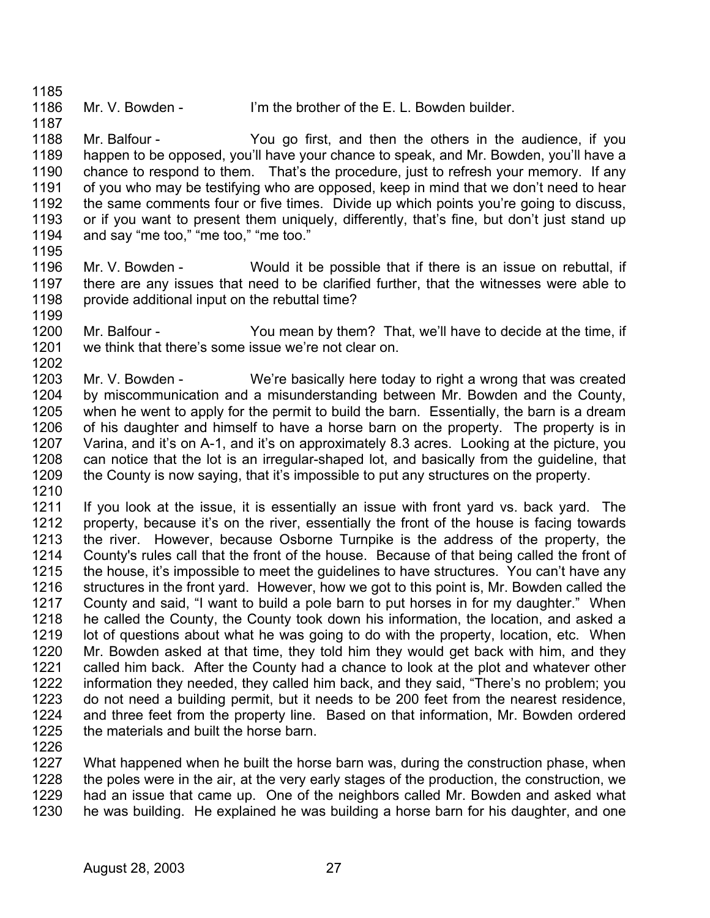1185

1187

1186

Mr. V. Bowden - I'm the brother of the E. L. Bowden builder.

- 1188 1189 1190 1191 1192 1193 1194 Mr. Balfour - The You go first, and then the others in the audience, if you happen to be opposed, you'll have your chance to speak, and Mr. Bowden, you'll have a chance to respond to them. That's the procedure, just to refresh your memory. If any of you who may be testifying who are opposed, keep in mind that we don't need to hear the same comments four or five times. Divide up which points you're going to discuss, or if you want to present them uniquely, differently, that's fine, but don't just stand up and say "me too," "me too," "me too."
- 1195

1202

- 1196 1197 1198 1199 Mr. V. Bowden - Would it be possible that if there is an issue on rebuttal, if there are any issues that need to be clarified further, that the witnesses were able to provide additional input on the rebuttal time?
- 1200 1201 Mr. Balfour - You mean by them? That, we'll have to decide at the time, if we think that there's some issue we're not clear on.
- 1203 1204 1205 1206 1207 1208 1209 1210 Mr. V. Bowden - We're basically here today to right a wrong that was created by miscommunication and a misunderstanding between Mr. Bowden and the County, when he went to apply for the permit to build the barn. Essentially, the barn is a dream of his daughter and himself to have a horse barn on the property. The property is in Varina, and it's on A-1, and it's on approximately 8.3 acres. Looking at the picture, you can notice that the lot is an irregular-shaped lot, and basically from the guideline, that the County is now saying, that it's impossible to put any structures on the property.
- 1211 1212 1213 1214 1215 1216 1217 1218 1219 1220 1221 1222 1223 1224 1225 If you look at the issue, it is essentially an issue with front yard vs. back yard. The property, because it's on the river, essentially the front of the house is facing towards the river. However, because Osborne Turnpike is the address of the property, the County's rules call that the front of the house. Because of that being called the front of the house, it's impossible to meet the guidelines to have structures. You can't have any structures in the front yard. However, how we got to this point is, Mr. Bowden called the County and said, "I want to build a pole barn to put horses in for my daughter." When he called the County, the County took down his information, the location, and asked a lot of questions about what he was going to do with the property, location, etc. When Mr. Bowden asked at that time, they told him they would get back with him, and they called him back. After the County had a chance to look at the plot and whatever other information they needed, they called him back, and they said, "There's no problem; you do not need a building permit, but it needs to be 200 feet from the nearest residence, and three feet from the property line. Based on that information, Mr. Bowden ordered the materials and built the horse barn.
- 1226

1227 1228 1229 1230 What happened when he built the horse barn was, during the construction phase, when the poles were in the air, at the very early stages of the production, the construction, we had an issue that came up. One of the neighbors called Mr. Bowden and asked what he was building. He explained he was building a horse barn for his daughter, and one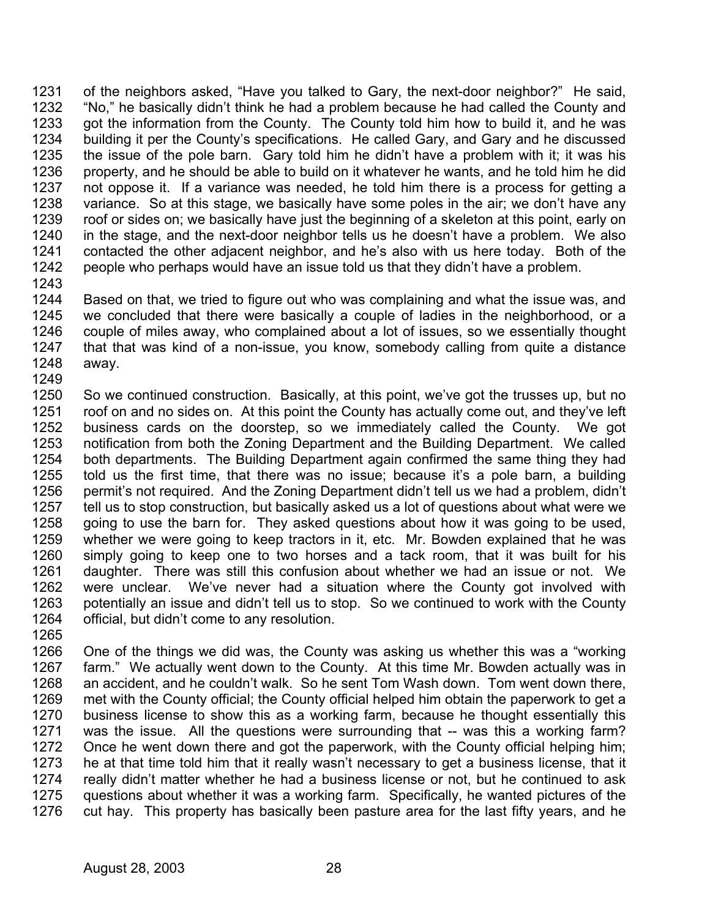1231 1232 1233 1234 1235 1236 1237 1238 1239 1240 1241 1242 1243 of the neighbors asked, "Have you talked to Gary, the next-door neighbor?" He said, "No," he basically didn't think he had a problem because he had called the County and got the information from the County. The County told him how to build it, and he was building it per the County's specifications. He called Gary, and Gary and he discussed the issue of the pole barn. Gary told him he didn't have a problem with it; it was his property, and he should be able to build on it whatever he wants, and he told him he did not oppose it. If a variance was needed, he told him there is a process for getting a variance. So at this stage, we basically have some poles in the air; we don't have any roof or sides on; we basically have just the beginning of a skeleton at this point, early on in the stage, and the next-door neighbor tells us he doesn't have a problem. We also contacted the other adjacent neighbor, and he's also with us here today. Both of the people who perhaps would have an issue told us that they didn't have a problem.

1244 1245 1246 1247 1248 1249 Based on that, we tried to figure out who was complaining and what the issue was, and we concluded that there were basically a couple of ladies in the neighborhood, or a couple of miles away, who complained about a lot of issues, so we essentially thought that that was kind of a non-issue, you know, somebody calling from quite a distance away.

- 1250 1251 1252 1253 1254 1255 1256 1257 1258 1259 1260 1261 1262 1263 1264 So we continued construction. Basically, at this point, we've got the trusses up, but no roof on and no sides on. At this point the County has actually come out, and they've left business cards on the doorstep, so we immediately called the County. We got notification from both the Zoning Department and the Building Department. We called both departments. The Building Department again confirmed the same thing they had told us the first time, that there was no issue; because it's a pole barn, a building permit's not required. And the Zoning Department didn't tell us we had a problem, didn't tell us to stop construction, but basically asked us a lot of questions about what were we going to use the barn for. They asked questions about how it was going to be used, whether we were going to keep tractors in it, etc. Mr. Bowden explained that he was simply going to keep one to two horses and a tack room, that it was built for his daughter. There was still this confusion about whether we had an issue or not. We were unclear. We've never had a situation where the County got involved with potentially an issue and didn't tell us to stop. So we continued to work with the County official, but didn't come to any resolution.
- 1265

1266 1267 1268 1269 1270 1271 1272 1273 1274 1275 1276 One of the things we did was, the County was asking us whether this was a "working farm." We actually went down to the County. At this time Mr. Bowden actually was in an accident, and he couldn't walk. So he sent Tom Wash down. Tom went down there, met with the County official; the County official helped him obtain the paperwork to get a business license to show this as a working farm, because he thought essentially this was the issue. All the questions were surrounding that -- was this a working farm? Once he went down there and got the paperwork, with the County official helping him; he at that time told him that it really wasn't necessary to get a business license, that it really didn't matter whether he had a business license or not, but he continued to ask questions about whether it was a working farm. Specifically, he wanted pictures of the cut hay. This property has basically been pasture area for the last fifty years, and he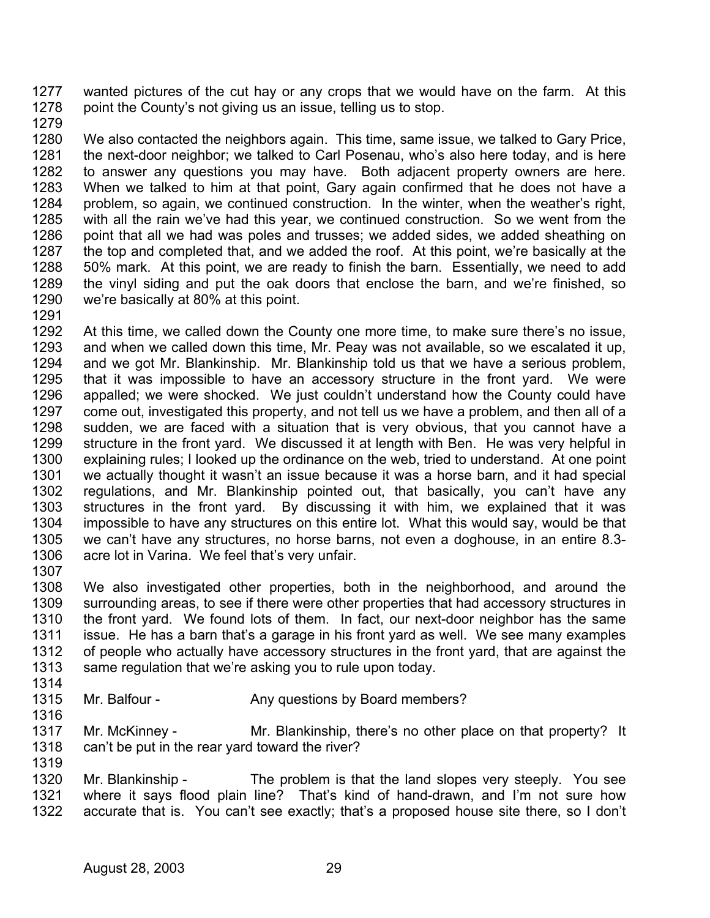1277 1278 wanted pictures of the cut hay or any crops that we would have on the farm. At this point the County's not giving us an issue, telling us to stop.

1279

1280 1281 1282 1283 1284 1285 1286 1287 1288 1289 1290 We also contacted the neighbors again. This time, same issue, we talked to Gary Price, the next-door neighbor; we talked to Carl Posenau, who's also here today, and is here to answer any questions you may have. Both adjacent property owners are here. When we talked to him at that point, Gary again confirmed that he does not have a problem, so again, we continued construction. In the winter, when the weather's right, with all the rain we've had this year, we continued construction. So we went from the point that all we had was poles and trusses; we added sides, we added sheathing on the top and completed that, and we added the roof. At this point, we're basically at the 50% mark. At this point, we are ready to finish the barn. Essentially, we need to add the vinyl siding and put the oak doors that enclose the barn, and we're finished, so we're basically at 80% at this point.

1291

1316

1319

1292 1293 1294 1295 1296 1297 1298 1299 1300 1301 1302 1303 1304 1305 1306 1307 At this time, we called down the County one more time, to make sure there's no issue, and when we called down this time, Mr. Peay was not available, so we escalated it up, and we got Mr. Blankinship. Mr. Blankinship told us that we have a serious problem, that it was impossible to have an accessory structure in the front yard. We were appalled; we were shocked. We just couldn't understand how the County could have come out, investigated this property, and not tell us we have a problem, and then all of a sudden, we are faced with a situation that is very obvious, that you cannot have a structure in the front yard. We discussed it at length with Ben. He was very helpful in explaining rules; I looked up the ordinance on the web, tried to understand. At one point we actually thought it wasn't an issue because it was a horse barn, and it had special regulations, and Mr. Blankinship pointed out, that basically, you can't have any structures in the front yard. By discussing it with him, we explained that it was impossible to have any structures on this entire lot. What this would say, would be that we can't have any structures, no horse barns, not even a doghouse, in an entire 8.3 acre lot in Varina. We feel that's very unfair.

1308 1309 1310 1311 1312 1313 1314 We also investigated other properties, both in the neighborhood, and around the surrounding areas, to see if there were other properties that had accessory structures in the front yard. We found lots of them. In fact, our next-door neighbor has the same issue. He has a barn that's a garage in his front yard as well. We see many examples of people who actually have accessory structures in the front yard, that are against the same regulation that we're asking you to rule upon today.

- 1315 Mr. Balfour - Any questions by Board members?
- 1317 1318 Mr. McKinney - The Mr. Blankinship, there's no other place on that property? It can't be put in the rear yard toward the river?

1320 1321 1322 Mr. Blankinship - The problem is that the land slopes very steeply. You see where it says flood plain line? That's kind of hand-drawn, and I'm not sure how accurate that is. You can't see exactly; that's a proposed house site there, so I don't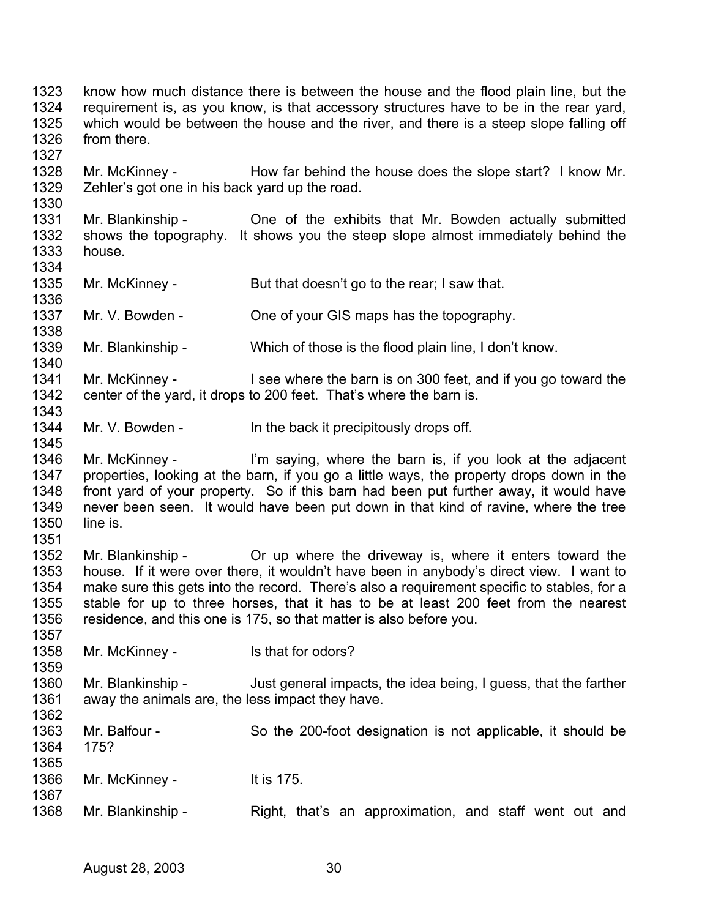1323 1324 1325 1326 1327 know how much distance there is between the house and the flood plain line, but the requirement is, as you know, is that accessory structures have to be in the rear yard, which would be between the house and the river, and there is a steep slope falling off from there.

1328 1329 Mr. McKinney - How far behind the house does the slope start? I know Mr. Zehler's got one in his back yard up the road.

1331 1332 1333 1334 Mr. Blankinship - One of the exhibits that Mr. Bowden actually submitted shows the topography. It shows you the steep slope almost immediately behind the house.

1335 Mr. McKinney - But that doesn't go to the rear; I saw that.

1337 Mr. V. Bowden - Che of your GIS maps has the topography.

1339 Mr. Blankinship - Which of those is the flood plain line, I don't know.

- 1341 1342 Mr. McKinney - I see where the barn is on 300 feet, and if you go toward the center of the yard, it drops to 200 feet. That's where the barn is.
- 1344 Mr. V. Bowden - In the back it precipitously drops off.

1346 1347 1348 1349 1350 Mr. McKinney - I'm saying, where the barn is, if you look at the adjacent properties, looking at the barn, if you go a little ways, the property drops down in the front yard of your property. So if this barn had been put further away, it would have never been seen. It would have been put down in that kind of ravine, where the tree line is.

1352 1353 1354 1355 1356 Mr. Blankinship - The Or up where the driveway is, where it enters toward the house. If it were over there, it wouldn't have been in anybody's direct view. I want to make sure this gets into the record. There's also a requirement specific to stables, for a stable for up to three horses, that it has to be at least 200 feet from the nearest residence, and this one is 175, so that matter is also before you.

1358 Mr. McKinney - Is that for odors?

1360 1361 1362 Mr. Blankinship - Just general impacts, the idea being, I guess, that the farther away the animals are, the less impact they have.

| 1363<br>1364<br>1365 | Mr. Balfour -<br>1752 | So the 200-foot designation is not applicable, it should be |  |
|----------------------|-----------------------|-------------------------------------------------------------|--|
| 1366<br>1367         | Mr. McKinney -        | It is 175.                                                  |  |
| 1368                 | Mr. Blankinship -     | Right, that's an approximation, and staff went out and      |  |

1330

1336

1338

1340

1343

1345

1351

1357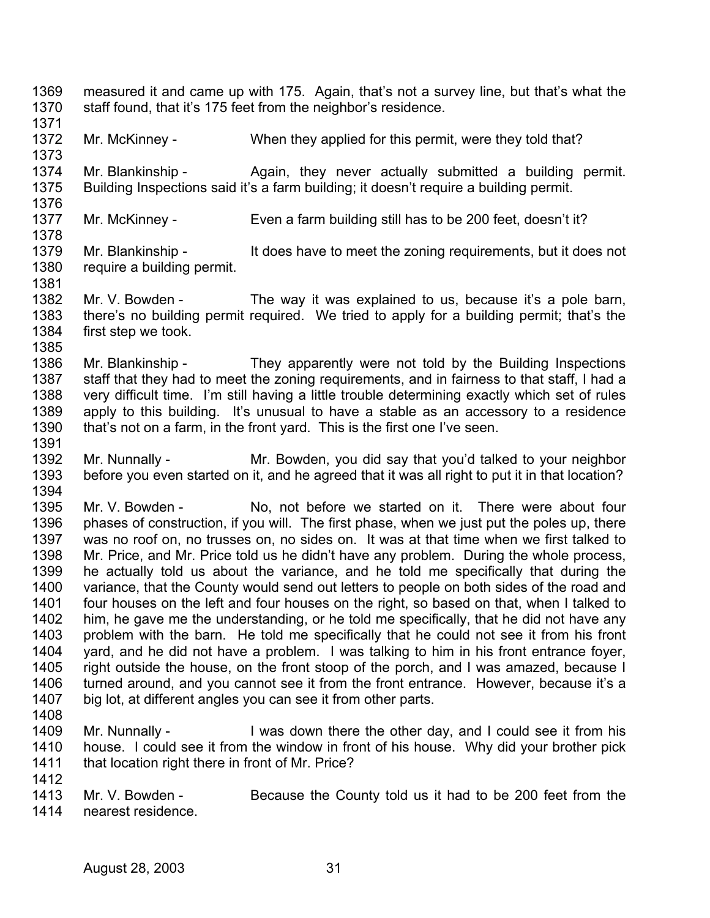- 1369 1370 measured it and came up with 175. Again, that's not a survey line, but that's what the staff found, that it's 175 feet from the neighbor's residence.
- 1371 1372 Mr. McKinney - When they applied for this permit, were they told that?
- 1374 1375 Mr. Blankinship - Again, they never actually submitted a building permit. Building Inspections said it's a farm building; it doesn't require a building permit.
- 1377 Mr. McKinney - Even a farm building still has to be 200 feet, doesn't it?
- 1379 1380 Mr. Blankinship - It does have to meet the zoning requirements, but it does not require a building permit.
- 1382 1383 1384 Mr. V. Bowden - The way it was explained to us, because it's a pole barn, there's no building permit required. We tried to apply for a building permit; that's the first step we took.
- 1386 1387 1388 1389 1390 Mr. Blankinship - They apparently were not told by the Building Inspections staff that they had to meet the zoning requirements, and in fairness to that staff, I had a very difficult time. I'm still having a little trouble determining exactly which set of rules apply to this building. It's unusual to have a stable as an accessory to a residence that's not on a farm, in the front yard. This is the first one I've seen.
- 1392 1393 1394 Mr. Nunnally - Mr. Bowden, you did say that you'd talked to your neighbor before you even started on it, and he agreed that it was all right to put it in that location?
- 1395 1396 1397 1398 1399 1400 1401 1402 1403 1404 1405 1406 1407 Mr. V. Bowden - No, not before we started on it. There were about four phases of construction, if you will. The first phase, when we just put the poles up, there was no roof on, no trusses on, no sides on. It was at that time when we first talked to Mr. Price, and Mr. Price told us he didn't have any problem. During the whole process, he actually told us about the variance, and he told me specifically that during the variance, that the County would send out letters to people on both sides of the road and four houses on the left and four houses on the right, so based on that, when I talked to him, he gave me the understanding, or he told me specifically, that he did not have any problem with the barn. He told me specifically that he could not see it from his front yard, and he did not have a problem. I was talking to him in his front entrance foyer, right outside the house, on the front stoop of the porch, and I was amazed, because I turned around, and you cannot see it from the front entrance. However, because it's a big lot, at different angles you can see it from other parts.
- 1408

1373

1376

1378

1381

1385

- 1409 1410 1411 1412 Mr. Nunnally - I was down there the other day, and I could see it from his house. I could see it from the window in front of his house. Why did your brother pick that location right there in front of Mr. Price?
- 1413 1414 Mr. V. Bowden - Because the County told us it had to be 200 feet from the nearest residence.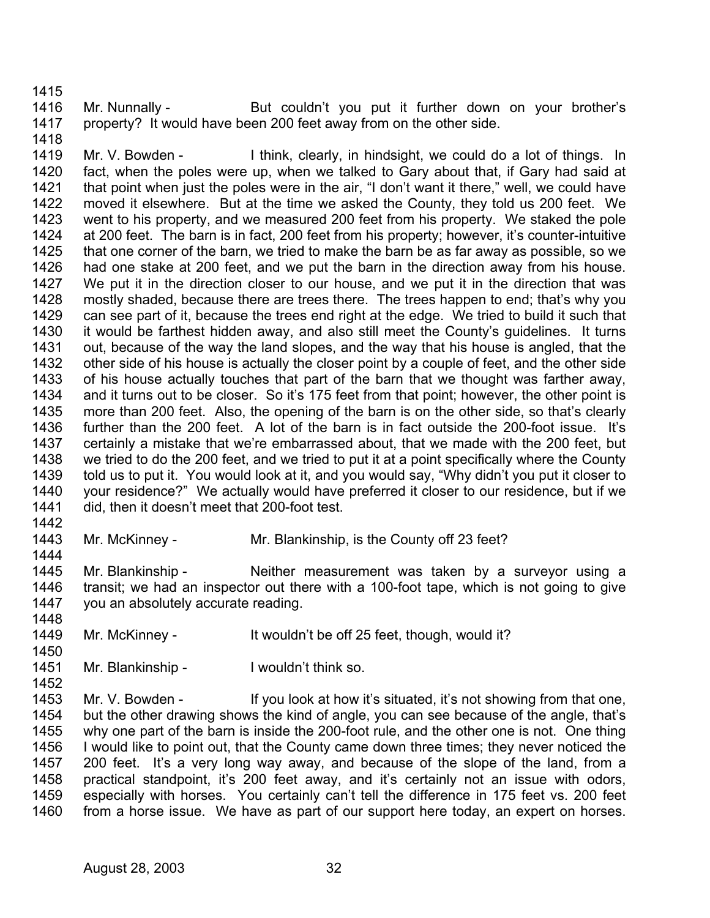1416 1417 Mr. Nunnally - But couldn't you put it further down on your brother's property? It would have been 200 feet away from on the other side.

1419 1420 1421 1422 1423 1424 1425 1426 1427 1428 1429 1430 1431 1432 1433 1434 1435 1436 1437 1438 1439 1440 1441 Mr. V. Bowden - Think, clearly, in hindsight, we could do a lot of things. In fact, when the poles were up, when we talked to Gary about that, if Gary had said at that point when just the poles were in the air, "I don't want it there," well, we could have moved it elsewhere. But at the time we asked the County, they told us 200 feet. We went to his property, and we measured 200 feet from his property. We staked the pole at 200 feet. The barn is in fact, 200 feet from his property; however, it's counter-intuitive that one corner of the barn, we tried to make the barn be as far away as possible, so we had one stake at 200 feet, and we put the barn in the direction away from his house. We put it in the direction closer to our house, and we put it in the direction that was mostly shaded, because there are trees there. The trees happen to end; that's why you can see part of it, because the trees end right at the edge. We tried to build it such that it would be farthest hidden away, and also still meet the County's guidelines. It turns out, because of the way the land slopes, and the way that his house is angled, that the other side of his house is actually the closer point by a couple of feet, and the other side of his house actually touches that part of the barn that we thought was farther away, and it turns out to be closer. So it's 175 feet from that point; however, the other point is more than 200 feet. Also, the opening of the barn is on the other side, so that's clearly further than the 200 feet. A lot of the barn is in fact outside the 200-foot issue. It's certainly a mistake that we're embarrassed about, that we made with the 200 feet, but we tried to do the 200 feet, and we tried to put it at a point specifically where the County told us to put it. You would look at it, and you would say, "Why didn't you put it closer to your residence?" We actually would have preferred it closer to our residence, but if we did, then it doesn't meet that 200-foot test.

1442

1448

1450

1452

1415

1418

1443 1444 Mr. McKinney - Mr. Blankinship, is the County off 23 feet?

1445 1446 1447 Mr. Blankinship - Neither measurement was taken by a surveyor using a transit; we had an inspector out there with a 100-foot tape, which is not going to give you an absolutely accurate reading.

- 1449 Mr. McKinney - It wouldn't be off 25 feet, though, would it?
- 1451 Mr. Blankinship - I wouldn't think so.

1453 1454 1455 1456 1457 1458 1459 1460 Mr. V. Bowden - If you look at how it's situated, it's not showing from that one, but the other drawing shows the kind of angle, you can see because of the angle, that's why one part of the barn is inside the 200-foot rule, and the other one is not. One thing I would like to point out, that the County came down three times; they never noticed the 200 feet. It's a very long way away, and because of the slope of the land, from a practical standpoint, it's 200 feet away, and it's certainly not an issue with odors, especially with horses. You certainly can't tell the difference in 175 feet vs. 200 feet from a horse issue. We have as part of our support here today, an expert on horses.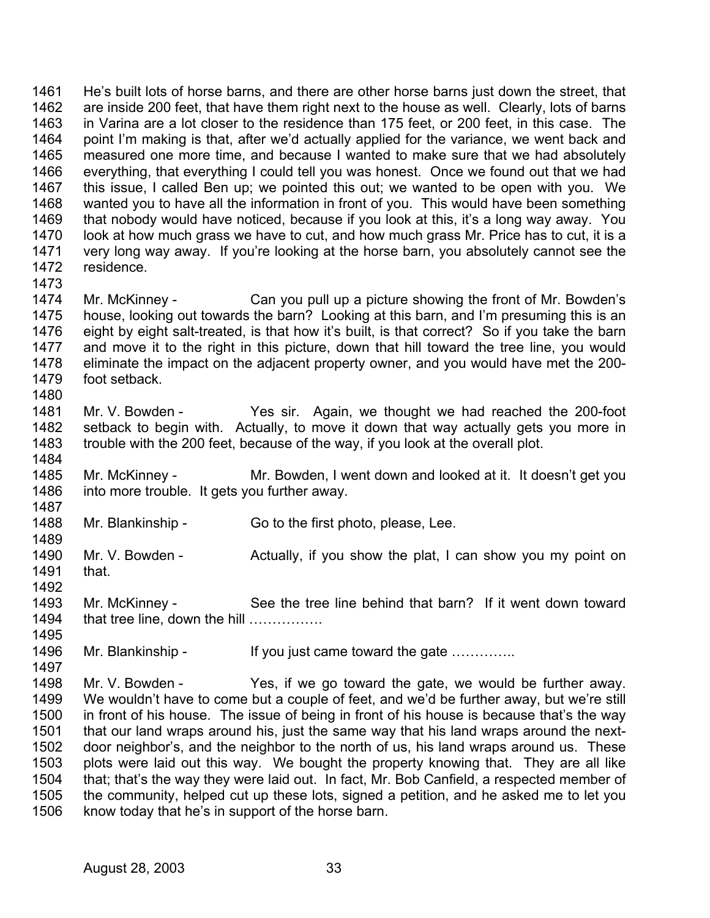1461 1462 1463 1464 1465 1466 1467 1468 1469 1470 1471 1472 1473 He's built lots of horse barns, and there are other horse barns just down the street, that are inside 200 feet, that have them right next to the house as well. Clearly, lots of barns in Varina are a lot closer to the residence than 175 feet, or 200 feet, in this case. The point I'm making is that, after we'd actually applied for the variance, we went back and measured one more time, and because I wanted to make sure that we had absolutely everything, that everything I could tell you was honest. Once we found out that we had this issue, I called Ben up; we pointed this out; we wanted to be open with you. We wanted you to have all the information in front of you. This would have been something that nobody would have noticed, because if you look at this, it's a long way away. You look at how much grass we have to cut, and how much grass Mr. Price has to cut, it is a very long way away. If you're looking at the horse barn, you absolutely cannot see the residence.

1474 1475 1476 1477 1478 1479 1480 Mr. McKinney - Can you pull up a picture showing the front of Mr. Bowden's house, looking out towards the barn? Looking at this barn, and I'm presuming this is an eight by eight salt-treated, is that how it's built, is that correct? So if you take the barn and move it to the right in this picture, down that hill toward the tree line, you would eliminate the impact on the adjacent property owner, and you would have met the 200 foot setback.

- 1481 1482 1483 1484 Mr. V. Bowden - Yes sir. Again, we thought we had reached the 200-foot setback to begin with. Actually, to move it down that way actually gets you more in trouble with the 200 feet, because of the way, if you look at the overall plot.
- 1485 1486 1487 Mr. McKinney - Mr. Bowden, I went down and looked at it. It doesn't get you into more trouble. It gets you further away.
- 1488 Mr. Blankinship - Go to the first photo, please, Lee.

1489 1490 1491 1492 Mr. V. Bowden - Actually, if you show the plat, I can show you my point on that.

1493 1494 1495 Mr. McKinney - See the tree line behind that barn? If it went down toward that tree line, down the hill …………….

1496 Mr. Blankinship - If you just came toward the gate …………..

1498 1499 1500 1501 1502 1503 1504 1505 1506 Mr. V. Bowden - Yes, if we go toward the gate, we would be further away. We wouldn't have to come but a couple of feet, and we'd be further away, but we're still in front of his house. The issue of being in front of his house is because that's the way that our land wraps around his, just the same way that his land wraps around the nextdoor neighbor's, and the neighbor to the north of us, his land wraps around us. These plots were laid out this way. We bought the property knowing that. They are all like that; that's the way they were laid out. In fact, Mr. Bob Canfield, a respected member of the community, helped cut up these lots, signed a petition, and he asked me to let you know today that he's in support of the horse barn.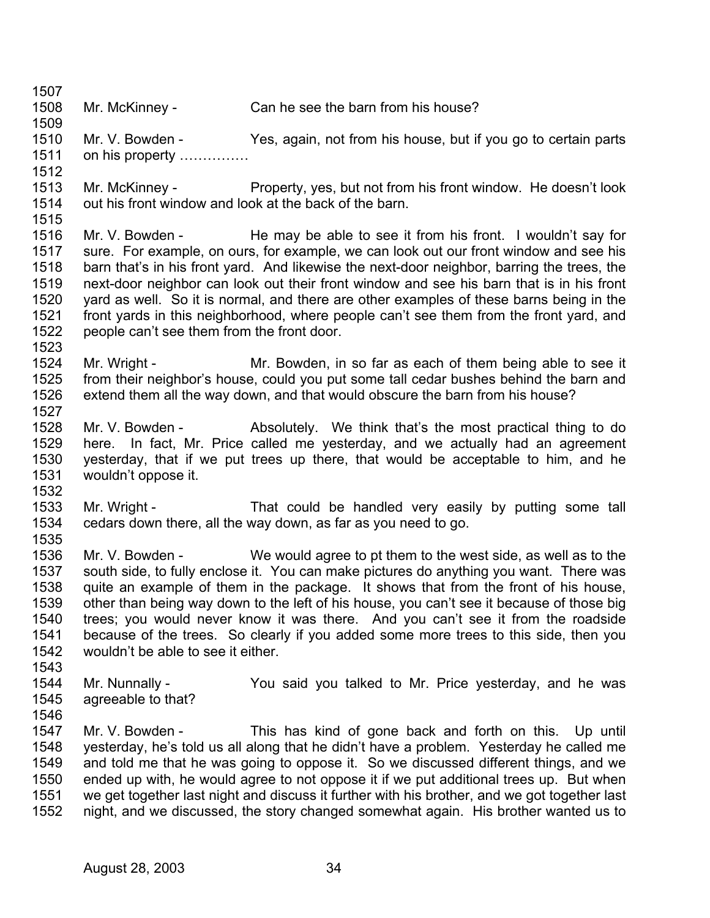1507 1508 1509 1510 1511 1512 1513 1514 1515 1516 1517 1518 1519 1520 1521 1522 1523 1524 1525 1526 1527 1528 1529 1530 1531 1532 1533 1534 1535 1536 1537 1538 1539 1540 1541 1542 1543 1544 1545 1546 1547 1548 1549 1550 1551 Mr. McKinney - Can he see the barn from his house? Mr. V. Bowden - Yes, again, not from his house, but if you go to certain parts on his property …………… Mr. McKinney - Property, yes, but not from his front window. He doesn't look out his front window and look at the back of the barn. Mr. V. Bowden - He may be able to see it from his front. I wouldn't say for sure. For example, on ours, for example, we can look out our front window and see his barn that's in his front yard. And likewise the next-door neighbor, barring the trees, the next-door neighbor can look out their front window and see his barn that is in his front yard as well. So it is normal, and there are other examples of these barns being in the front yards in this neighborhood, where people can't see them from the front yard, and people can't see them from the front door. Mr. Wright - Mr. Bowden, in so far as each of them being able to see it from their neighbor's house, could you put some tall cedar bushes behind the barn and extend them all the way down, and that would obscure the barn from his house? Mr. V. Bowden - Absolutely. We think that's the most practical thing to do here. In fact, Mr. Price called me yesterday, and we actually had an agreement yesterday, that if we put trees up there, that would be acceptable to him, and he wouldn't oppose it. Mr. Wright - That could be handled very easily by putting some tall cedars down there, all the way down, as far as you need to go. Mr. V. Bowden - We would agree to pt them to the west side, as well as to the south side, to fully enclose it. You can make pictures do anything you want. There was quite an example of them in the package. It shows that from the front of his house, other than being way down to the left of his house, you can't see it because of those big trees; you would never know it was there. And you can't see it from the roadside because of the trees. So clearly if you added some more trees to this side, then you wouldn't be able to see it either. Mr. Nunnally - You said you talked to Mr. Price yesterday, and he was agreeable to that? Mr. V. Bowden - This has kind of gone back and forth on this. Up until yesterday, he's told us all along that he didn't have a problem. Yesterday he called me and told me that he was going to oppose it. So we discussed different things, and we ended up with, he would agree to not oppose it if we put additional trees up. But when we get together last night and discuss it further with his brother, and we got together last

1552 night, and we discussed, the story changed somewhat again. His brother wanted us to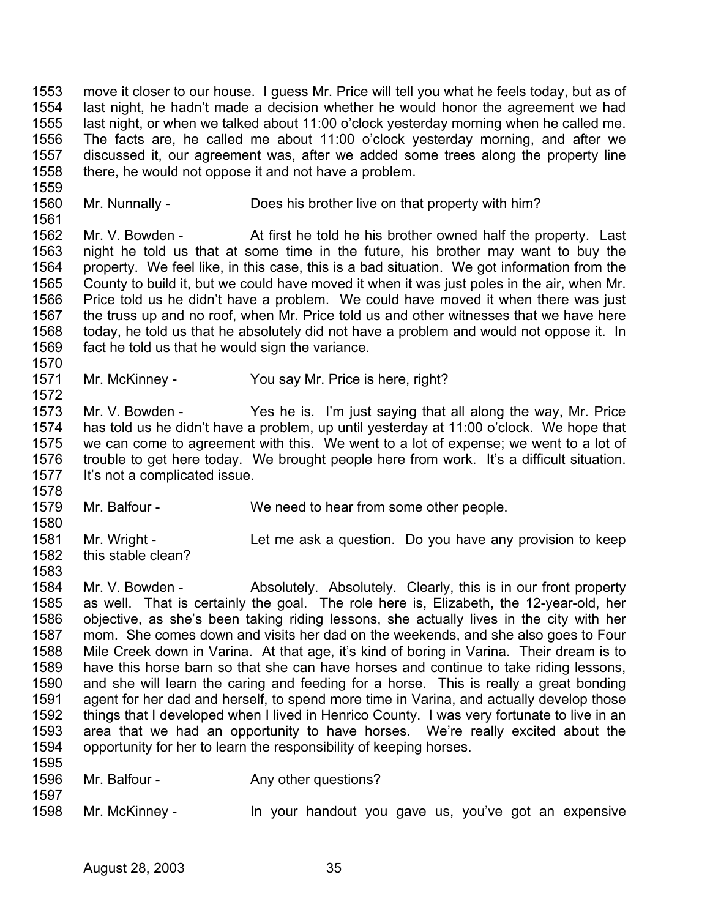1553 1554 1555 1556 1557 1558 move it closer to our house. I guess Mr. Price will tell you what he feels today, but as of last night, he hadn't made a decision whether he would honor the agreement we had last night, or when we talked about 11:00 o'clock yesterday morning when he called me. The facts are, he called me about 11:00 o'clock yesterday morning, and after we discussed it, our agreement was, after we added some trees along the property line there, he would not oppose it and not have a problem.

1560 1561 Mr. Nunnally - Does his brother live on that property with him?

1562 1563 1564 1565 1566 1567 1568 1569 Mr. V. Bowden - At first he told he his brother owned half the property. Last night he told us that at some time in the future, his brother may want to buy the property. We feel like, in this case, this is a bad situation. We got information from the County to build it, but we could have moved it when it was just poles in the air, when Mr. Price told us he didn't have a problem. We could have moved it when there was just the truss up and no roof, when Mr. Price told us and other witnesses that we have here today, he told us that he absolutely did not have a problem and would not oppose it. In fact he told us that he would sign the variance.

1571 1572 Mr. McKinney - You say Mr. Price is here, right?

1573 1574 1575 1576 1577 Mr. V. Bowden - Yes he is. I'm just saying that all along the way, Mr. Price has told us he didn't have a problem, up until yesterday at 11:00 o'clock. We hope that we can come to agreement with this. We went to a lot of expense; we went to a lot of trouble to get here today. We brought people here from work. It's a difficult situation. It's not a complicated issue.

- 1578 1579 Mr. Balfour - We need to hear from some other people.
- 1580 1581 1582 Mr. Wright - Let me ask a question. Do you have any provision to keep this stable clean?
- 1584 1585 1586 1587 1588 1589 1590 1591 1592 1593 1594 1595 Mr. V. Bowden - Absolutely. Absolutely. Clearly, this is in our front property as well. That is certainly the goal. The role here is, Elizabeth, the 12-year-old, her objective, as she's been taking riding lessons, she actually lives in the city with her mom. She comes down and visits her dad on the weekends, and she also goes to Four Mile Creek down in Varina. At that age, it's kind of boring in Varina. Their dream is to have this horse barn so that she can have horses and continue to take riding lessons, and she will learn the caring and feeding for a horse. This is really a great bonding agent for her dad and herself, to spend more time in Varina, and actually develop those things that I developed when I lived in Henrico County. I was very fortunate to live in an area that we had an opportunity to have horses. We're really excited about the opportunity for her to learn the responsibility of keeping horses.
- 1596 1597

1559

1570

- Mr. Balfour Any other questions?
- 1598 Mr. McKinney - In your handout you gave us, you've got an expensive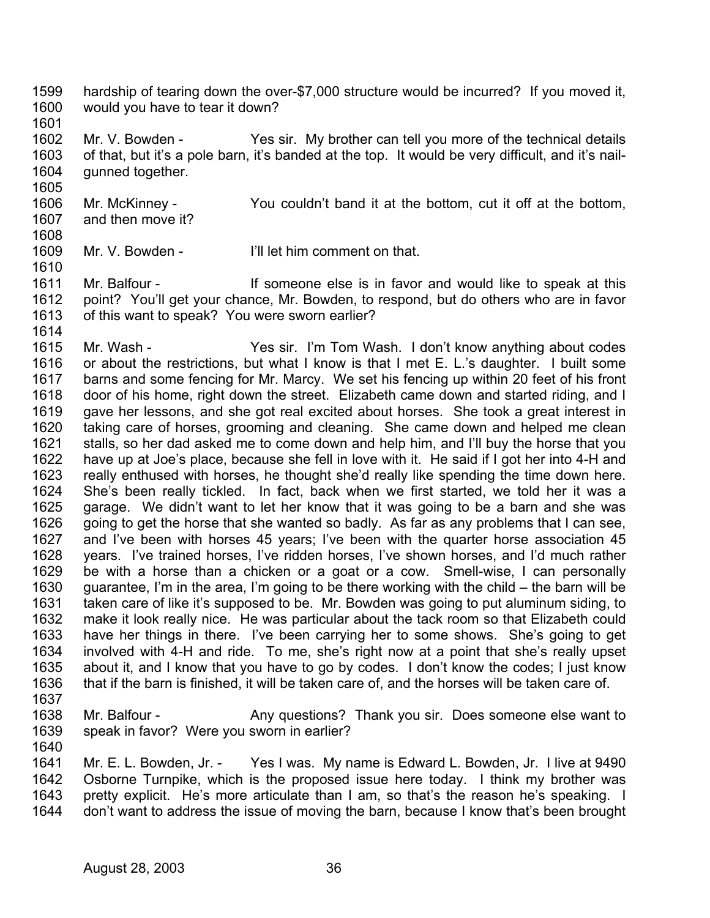- 1599 1600 hardship of tearing down the over-\$7,000 structure would be incurred? If you moved it, would you have to tear it down?
- 1601

1605

1610

1602 1603 1604 Mr. V. Bowden - Yes sir. My brother can tell you more of the technical details of that, but it's a pole barn, it's banded at the top. It would be very difficult, and it's nailgunned together.

1606 1607 1608 Mr. McKinney - You couldn't band it at the bottom, cut it off at the bottom, and then move it?

1609 Mr. V. Bowden - I'll let him comment on that.

1611 1612 1613 Mr. Balfour - If someone else is in favor and would like to speak at this point? You'll get your chance, Mr. Bowden, to respond, but do others who are in favor of this want to speak? You were sworn earlier?

1614 1615 1616 1617 1618 1619 1620 1621 1622 1623 1624 1625 1626 1627 1628 1629 1630 1631 1632 1633 1634 1635 1636 Mr. Wash - Yes sir. I'm Tom Wash. I don't know anything about codes or about the restrictions, but what I know is that I met E. L.'s daughter. I built some barns and some fencing for Mr. Marcy. We set his fencing up within 20 feet of his front door of his home, right down the street. Elizabeth came down and started riding, and I gave her lessons, and she got real excited about horses. She took a great interest in taking care of horses, grooming and cleaning. She came down and helped me clean stalls, so her dad asked me to come down and help him, and I'll buy the horse that you have up at Joe's place, because she fell in love with it. He said if I got her into 4-H and really enthused with horses, he thought she'd really like spending the time down here. She's been really tickled. In fact, back when we first started, we told her it was a garage. We didn't want to let her know that it was going to be a barn and she was going to get the horse that she wanted so badly. As far as any problems that I can see, and I've been with horses 45 years; I've been with the quarter horse association 45 years. I've trained horses, I've ridden horses, I've shown horses, and I'd much rather be with a horse than a chicken or a goat or a cow. Smell-wise, I can personally guarantee, I'm in the area, I'm going to be there working with the child – the barn will be taken care of like it's supposed to be. Mr. Bowden was going to put aluminum siding, to make it look really nice. He was particular about the tack room so that Elizabeth could have her things in there. I've been carrying her to some shows. She's going to get involved with 4-H and ride. To me, she's right now at a point that she's really upset about it, and I know that you have to go by codes. I don't know the codes; I just know that if the barn is finished, it will be taken care of, and the horses will be taken care of.

- 1637
- 1638 1639 1640 Mr. Balfour - Any questions? Thank you sir. Does someone else want to speak in favor? Were you sworn in earlier?

1641 1642 1643 1644 Mr. E. L. Bowden, Jr. - Yes I was. My name is Edward L. Bowden, Jr. I live at 9490 Osborne Turnpike, which is the proposed issue here today. I think my brother was pretty explicit. He's more articulate than I am, so that's the reason he's speaking. I don't want to address the issue of moving the barn, because I know that's been brought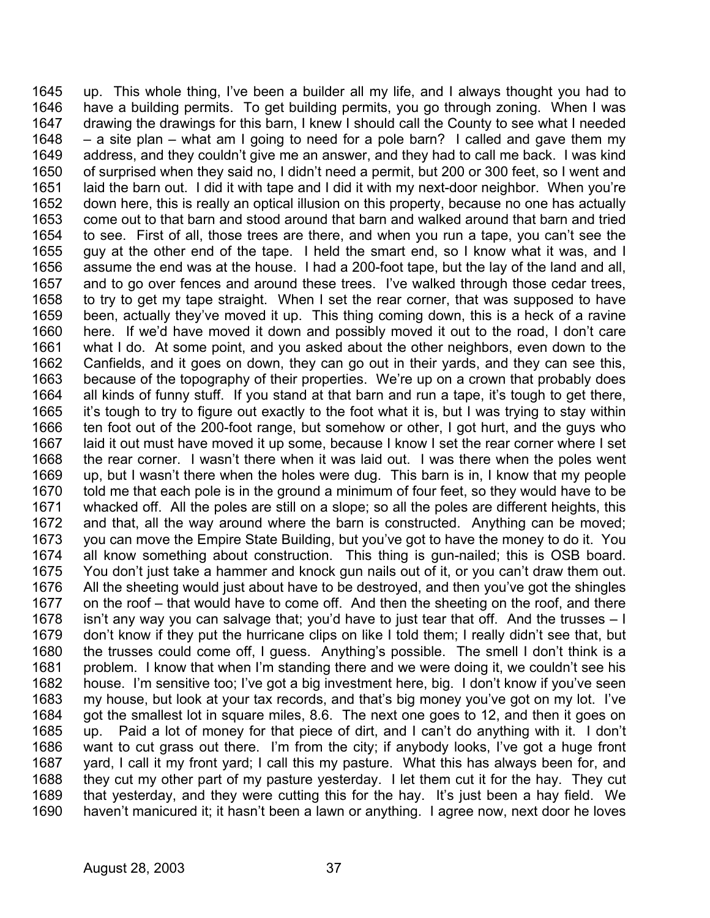up. This whole thing, I've been a builder all my life, and I always thought you had to have a building permits. To get building permits, you go through zoning. When I was drawing the drawings for this barn, I knew I should call the County to see what I needed – a site plan – what am I going to need for a pole barn? I called and gave them my address, and they couldn't give me an answer, and they had to call me back. I was kind of surprised when they said no, I didn't need a permit, but 200 or 300 feet, so I went and laid the barn out. I did it with tape and I did it with my next-door neighbor. When you're down here, this is really an optical illusion on this property, because no one has actually come out to that barn and stood around that barn and walked around that barn and tried to see. First of all, those trees are there, and when you run a tape, you can't see the guy at the other end of the tape. I held the smart end, so I know what it was, and I assume the end was at the house. I had a 200-foot tape, but the lay of the land and all, and to go over fences and around these trees. I've walked through those cedar trees, to try to get my tape straight. When I set the rear corner, that was supposed to have been, actually they've moved it up. This thing coming down, this is a heck of a ravine here. If we'd have moved it down and possibly moved it out to the road, I don't care what I do. At some point, and you asked about the other neighbors, even down to the Canfields, and it goes on down, they can go out in their yards, and they can see this, because of the topography of their properties. We're up on a crown that probably does all kinds of funny stuff. If you stand at that barn and run a tape, it's tough to get there, it's tough to try to figure out exactly to the foot what it is, but I was trying to stay within ten foot out of the 200-foot range, but somehow or other, I got hurt, and the guys who laid it out must have moved it up some, because I know I set the rear corner where I set the rear corner. I wasn't there when it was laid out. I was there when the poles went up, but I wasn't there when the holes were dug. This barn is in, I know that my people told me that each pole is in the ground a minimum of four feet, so they would have to be whacked off. All the poles are still on a slope; so all the poles are different heights, this and that, all the way around where the barn is constructed. Anything can be moved; you can move the Empire State Building, but you've got to have the money to do it. You all know something about construction. This thing is gun-nailed; this is OSB board. You don't just take a hammer and knock gun nails out of it, or you can't draw them out. All the sheeting would just about have to be destroyed, and then you've got the shingles on the roof – that would have to come off. And then the sheeting on the roof, and there isn't any way you can salvage that; you'd have to just tear that off. And the trusses  $-1$ don't know if they put the hurricane clips on like I told them; I really didn't see that, but the trusses could come off, I guess. Anything's possible. The smell I don't think is a problem. I know that when I'm standing there and we were doing it, we couldn't see his house. I'm sensitive too; I've got a big investment here, big. I don't know if you've seen my house, but look at your tax records, and that's big money you've got on my lot. I've got the smallest lot in square miles, 8.6. The next one goes to 12, and then it goes on up. Paid a lot of money for that piece of dirt, and I can't do anything with it. I don't want to cut grass out there. I'm from the city; if anybody looks, I've got a huge front yard, I call it my front yard; I call this my pasture. What this has always been for, and they cut my other part of my pasture yesterday. I let them cut it for the hay. They cut that yesterday, and they were cutting this for the hay. It's just been a hay field. We haven't manicured it; it hasn't been a lawn or anything. I agree now, next door he loves 1645 1646 1647 1648 1649 1650 1651 1652 1653 1654 1655 1656 1657 1658 1659 1660 1661 1662 1663 1664 1665 1666 1667 1668 1669 1670 1671 1672 1673 1674 1675 1676 1677 1678 1679 1680 1681 1682 1683 1684 1685 1686 1687 1688 1689 1690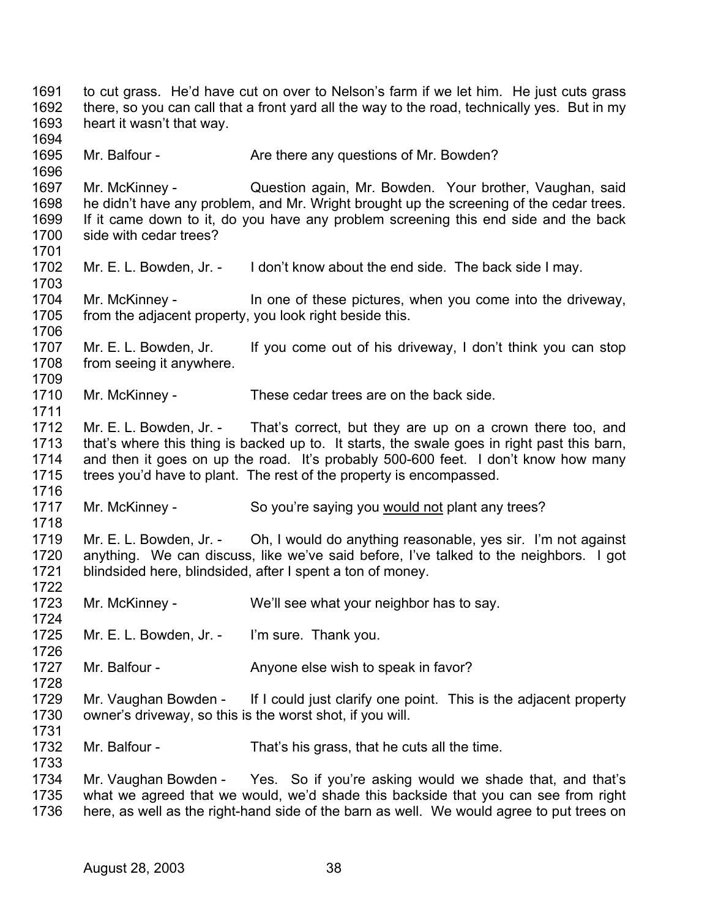1691 1692 1693 1694 1695 1696 1697 1698 1699 1700 1701 1702 1703 1704 1705 1706 1707 1708 1709 1710 1711 1712 1713 1714 1715 1716 to cut grass. He'd have cut on over to Nelson's farm if we let him. He just cuts grass there, so you can call that a front yard all the way to the road, technically yes. But in my heart it wasn't that way. Mr. Balfour - There any questions of Mr. Bowden? Mr. McKinney - **Question again, Mr. Bowden.** Your brother, Vaughan, said he didn't have any problem, and Mr. Wright brought up the screening of the cedar trees. If it came down to it, do you have any problem screening this end side and the back side with cedar trees? Mr. E. L. Bowden, Jr. - I don't know about the end side. The back side I may. Mr. McKinney - In one of these pictures, when you come into the driveway, from the adjacent property, you look right beside this. Mr. E. L. Bowden, Jr. If you come out of his driveway, I don't think you can stop from seeing it anywhere. Mr. McKinney - These cedar trees are on the back side. Mr. E. L. Bowden, Jr. - That's correct, but they are up on a crown there too, and that's where this thing is backed up to. It starts, the swale goes in right past this barn, and then it goes on up the road. It's probably 500-600 feet. I don't know how many trees you'd have to plant. The rest of the property is encompassed. 1717 Mr. McKinney - So you're saying you would not plant any trees? 1718 1719 1720 1721 1722 1723 1724 1725 1726 1727 1728 1729 1730 1731 1732 1733 1734 1735 1736 Mr. E. L. Bowden, Jr. - Oh, I would do anything reasonable, yes sir. I'm not against anything. We can discuss, like we've said before, I've talked to the neighbors. I got blindsided here, blindsided, after I spent a ton of money. Mr. McKinney - We'll see what your neighbor has to say. Mr. E. L. Bowden, Jr. - I'm sure. Thank you. Mr. Balfour - Anyone else wish to speak in favor? Mr. Vaughan Bowden - If I could just clarify one point. This is the adjacent property owner's driveway, so this is the worst shot, if you will. Mr. Balfour - That's his grass, that he cuts all the time. Mr. Vaughan Bowden - Yes. So if you're asking would we shade that, and that's what we agreed that we would, we'd shade this backside that you can see from right here, as well as the right-hand side of the barn as well. We would agree to put trees on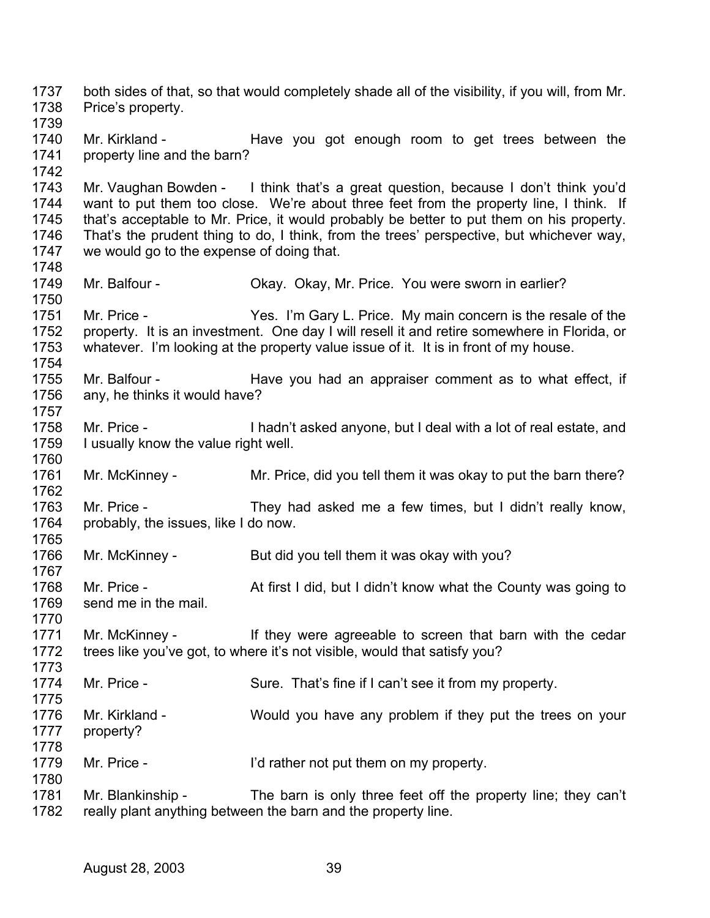1737 1738 1739 1740 1741 1742 1743 1744 1745 1746 1747 1748 1749 1750 1751 1752 1753 1754 1755 1756 1757 1758 1759 1760 1761 1762 1763 1764 1765 1766 1767 1768 1769 1770 1771 1772 1773 1774 1775 1776 1777 1778 1779 1780 1781 1782 both sides of that, so that would completely shade all of the visibility, if you will, from Mr. Price's property. Mr. Kirkland - Thave you got enough room to get trees between the property line and the barn? Mr. Vaughan Bowden - I think that's a great question, because I don't think you'd want to put them too close. We're about three feet from the property line, I think. If that's acceptable to Mr. Price, it would probably be better to put them on his property. That's the prudent thing to do, I think, from the trees' perspective, but whichever way, we would go to the expense of doing that. Mr. Balfour - Chay. Okay. Okay, Mr. Price. You were sworn in earlier? Mr. Price - Yes. I'm Gary L. Price. My main concern is the resale of the property. It is an investment. One day I will resell it and retire somewhere in Florida, or whatever. I'm looking at the property value issue of it. It is in front of my house. Mr. Balfour - The Have you had an appraiser comment as to what effect, if any, he thinks it would have? Mr. Price - I hadn't asked anyone, but I deal with a lot of real estate, and I usually know the value right well. Mr. McKinney - Mr. Price, did you tell them it was okay to put the barn there? Mr. Price - They had asked me a few times, but I didn't really know, probably, the issues, like I do now. Mr. McKinney - But did you tell them it was okay with you? Mr. Price - At first I did, but I didn't know what the County was going to send me in the mail. Mr. McKinney - They were agreeable to screen that barn with the cedar trees like you've got, to where it's not visible, would that satisfy you? Mr. Price - Sure. That's fine if I can't see it from my property. Mr. Kirkland - Would you have any problem if they put the trees on your property? Mr. Price - I'd rather not put them on my property. Mr. Blankinship - The barn is only three feet off the property line; they can't really plant anything between the barn and the property line.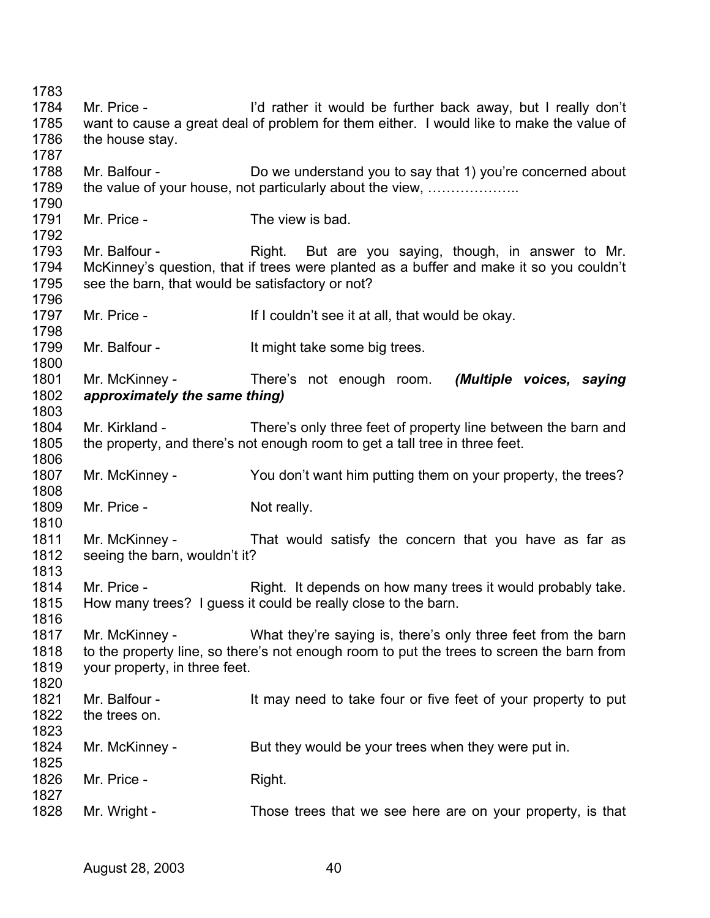Mr. Price - I'd rather it would be further back away, but I really don't want to cause a great deal of problem for them either. I would like to make the value of the house stay. Mr. Balfour - Do we understand you to say that 1) you're concerned about the value of your house, not particularly about the view, ……………….. Mr. Price - The view is bad. Mr. Balfour - The Right. But are you saying, though, in answer to Mr. McKinney's question, that if trees were planted as a buffer and make it so you couldn't see the barn, that would be satisfactory or not? Mr. Price - The Muslim of I couldn't see it at all, that would be okay. Mr. Balfour - It might take some big trees. Mr. McKinney - There's not enough room. *(Multiple voices, saying approximately the same thing)*  Mr. Kirkland - There's only three feet of property line between the barn and the property, and there's not enough room to get a tall tree in three feet. Mr. McKinney - You don't want him putting them on your property, the trees? Mr. Price - Not really. Mr. McKinney - That would satisfy the concern that you have as far as seeing the barn, wouldn't it? Mr. Price - Right. It depends on how many trees it would probably take. How many trees? I guess it could be really close to the barn. Mr. McKinney - What they're saying is, there's only three feet from the barn to the property line, so there's not enough room to put the trees to screen the barn from your property, in three feet. Mr. Balfour - It may need to take four or five feet of your property to put the trees on. Mr. McKinney - But they would be your trees when they were put in. Mr. Price - Right. Mr. Wright - Those trees that we see here are on your property, is that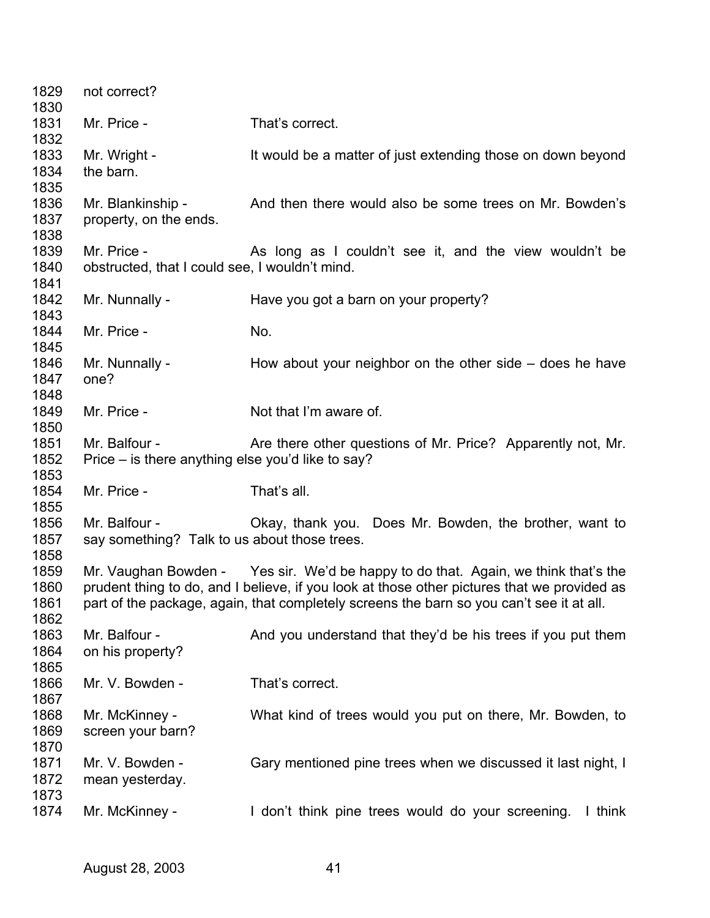| 1829<br>1830                 | not correct?                                                       |                                                                                                                                                                                                                                                                               |
|------------------------------|--------------------------------------------------------------------|-------------------------------------------------------------------------------------------------------------------------------------------------------------------------------------------------------------------------------------------------------------------------------|
| 1831<br>1832                 | Mr. Price -                                                        | That's correct.                                                                                                                                                                                                                                                               |
| 1833<br>1834<br>1835         | Mr. Wright -<br>the barn.                                          | It would be a matter of just extending those on down beyond                                                                                                                                                                                                                   |
| 1836<br>1837<br>1838         | Mr. Blankinship -<br>property, on the ends.                        | And then there would also be some trees on Mr. Bowden's                                                                                                                                                                                                                       |
| 1839<br>1840<br>1841         | Mr. Price -<br>obstructed, that I could see, I wouldn't mind.      | As long as I couldn't see it, and the view wouldn't be                                                                                                                                                                                                                        |
| 1842<br>1843                 | Mr. Nunnally -                                                     | Have you got a barn on your property?                                                                                                                                                                                                                                         |
| 1844<br>1845                 | Mr. Price -                                                        | No.                                                                                                                                                                                                                                                                           |
| 1846<br>1847<br>1848         | Mr. Nunnally -<br>one?                                             | How about your neighbor on the other side $-$ does he have                                                                                                                                                                                                                    |
| 1849<br>1850                 | Mr. Price -                                                        | Not that I'm aware of.                                                                                                                                                                                                                                                        |
| 1851<br>1852<br>1853         | Mr. Balfour -<br>Price – is there anything else you'd like to say? | Are there other questions of Mr. Price? Apparently not, Mr.                                                                                                                                                                                                                   |
| 1854<br>1855                 | Mr. Price -                                                        | That's all.                                                                                                                                                                                                                                                                   |
| 1856<br>1857<br>1858         | Mr. Balfour -<br>say something? Talk to us about those trees.      | Okay, thank you. Does Mr. Bowden, the brother, want to                                                                                                                                                                                                                        |
| 1859<br>1860<br>1861<br>1862 |                                                                    | Mr. Vaughan Bowden - Yes sir. We'd be happy to do that. Again, we think that's the<br>prudent thing to do, and I believe, if you look at those other pictures that we provided as<br>part of the package, again, that completely screens the barn so you can't see it at all. |
| 1863<br>1864<br>1865         | Mr. Balfour -<br>on his property?                                  | And you understand that they'd be his trees if you put them                                                                                                                                                                                                                   |
| 1866<br>1867                 | Mr. V. Bowden -                                                    | That's correct.                                                                                                                                                                                                                                                               |
| 1868<br>1869<br>1870         | Mr. McKinney -<br>screen your barn?                                | What kind of trees would you put on there, Mr. Bowden, to                                                                                                                                                                                                                     |
| 1871<br>1872<br>1873         | Mr. V. Bowden -<br>mean yesterday.                                 | Gary mentioned pine trees when we discussed it last night, I                                                                                                                                                                                                                  |
| 1874                         | Mr. McKinney -                                                     | I don't think pine trees would do your screening.<br>I think                                                                                                                                                                                                                  |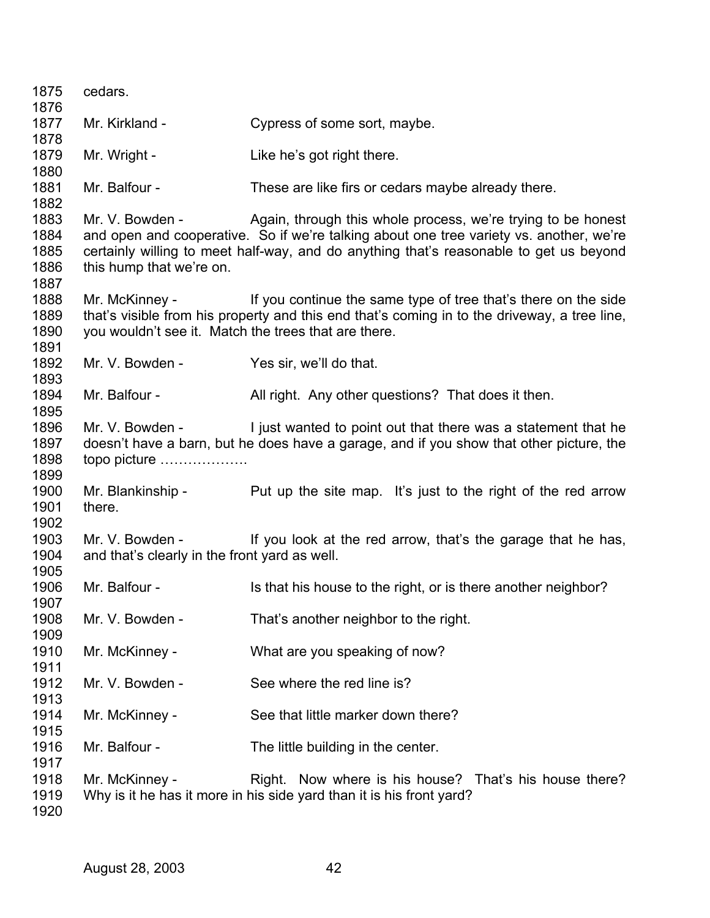| 1875 | cedars.                                              |                                                                                              |
|------|------------------------------------------------------|----------------------------------------------------------------------------------------------|
| 1876 |                                                      |                                                                                              |
| 1877 | Mr. Kirkland -                                       | Cypress of some sort, maybe.                                                                 |
| 1878 |                                                      |                                                                                              |
| 1879 | Mr. Wright -                                         | Like he's got right there.                                                                   |
| 1880 |                                                      |                                                                                              |
| 1881 | Mr. Balfour -                                        | These are like firs or cedars maybe already there.                                           |
| 1882 |                                                      |                                                                                              |
| 1883 | Mr. V. Bowden -                                      | Again, through this whole process, we're trying to be honest                                 |
| 1884 |                                                      | and open and cooperative. So if we're talking about one tree variety vs. another, we're      |
| 1885 |                                                      | certainly willing to meet half-way, and do anything that's reasonable to get us beyond       |
| 1886 | this hump that we're on.                             |                                                                                              |
| 1887 |                                                      |                                                                                              |
| 1888 | Mr. McKinney -                                       | If you continue the same type of tree that's there on the side                               |
| 1889 |                                                      | that's visible from his property and this end that's coming in to the driveway, a tree line, |
| 1890 | you wouldn't see it. Match the trees that are there. |                                                                                              |
| 1891 |                                                      |                                                                                              |
| 1892 | Mr. V. Bowden -                                      | Yes sir, we'll do that.                                                                      |
| 1893 |                                                      |                                                                                              |
| 1894 | Mr. Balfour -                                        | All right. Any other questions? That does it then.                                           |
| 1895 |                                                      |                                                                                              |
| 1896 | Mr. V. Bowden -                                      | I just wanted to point out that there was a statement that he                                |
| 1897 |                                                      | doesn't have a barn, but he does have a garage, and if you show that other picture, the      |
| 1898 | topo picture                                         |                                                                                              |
| 1899 |                                                      |                                                                                              |
| 1900 | Mr. Blankinship -                                    | Put up the site map. It's just to the right of the red arrow                                 |
| 1901 | there.                                               |                                                                                              |
| 1902 |                                                      |                                                                                              |
| 1903 | Mr. V. Bowden -                                      | If you look at the red arrow, that's the garage that he has,                                 |
| 1904 | and that's clearly in the front yard as well.        |                                                                                              |
| 1905 |                                                      |                                                                                              |
| 1906 | Mr. Balfour -                                        | Is that his house to the right, or is there another neighbor?                                |
| 1907 |                                                      |                                                                                              |
| 1908 | Mr. V. Bowden -                                      | That's another neighbor to the right.                                                        |
| 1909 |                                                      |                                                                                              |
| 1910 | Mr. McKinney -                                       | What are you speaking of now?                                                                |
| 1911 |                                                      |                                                                                              |
| 1912 | Mr. V. Bowden -                                      | See where the red line is?                                                                   |
| 1913 |                                                      |                                                                                              |
| 1914 | Mr. McKinney -                                       | See that little marker down there?                                                           |
| 1915 |                                                      |                                                                                              |
| 1916 | Mr. Balfour -                                        | The little building in the center.                                                           |
| 1917 |                                                      |                                                                                              |
| 1918 | Mr. McKinney -                                       | Right. Now where is his house? That's his house there?                                       |
| 1919 |                                                      |                                                                                              |
|      |                                                      | Why is it he has it more in his side yard than it is his front yard?                         |
| 1920 |                                                      |                                                                                              |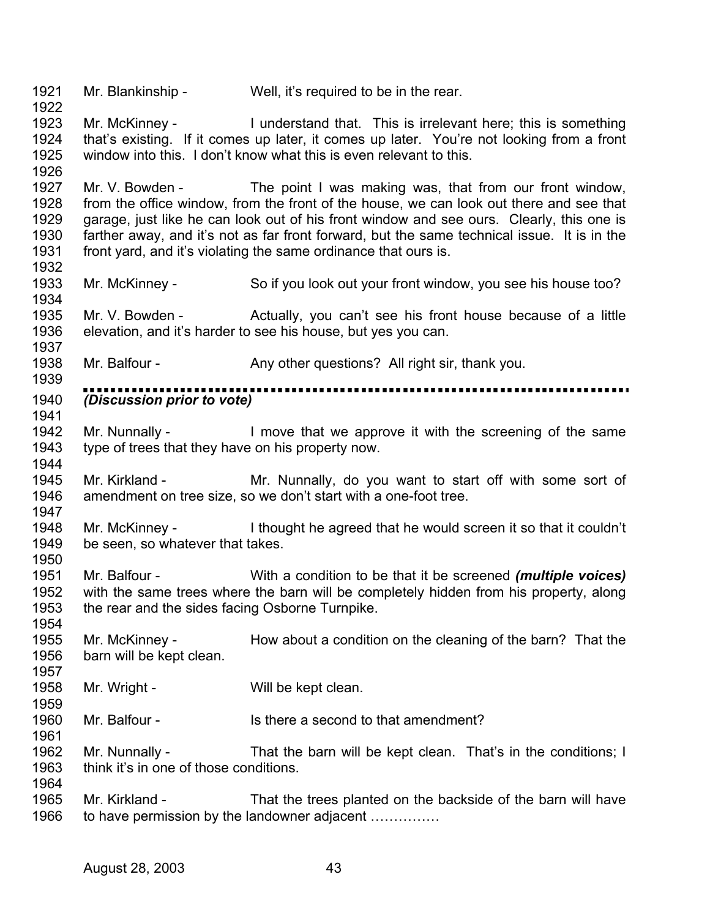1921 Mr. Blankinship - Well, it's required to be in the rear.

1922

1926

1934

1937

1954

1957

1961

1923 1924 1925 Mr. McKinney - I understand that. This is irrelevant here; this is something that's existing. If it comes up later, it comes up later. You're not looking from a front window into this. I don't know what this is even relevant to this.

1927 1928 1929 1930 1931 1932 Mr. V. Bowden - The point I was making was, that from our front window, from the office window, from the front of the house, we can look out there and see that garage, just like he can look out of his front window and see ours. Clearly, this one is farther away, and it's not as far front forward, but the same technical issue. It is in the front yard, and it's violating the same ordinance that ours is.

1933 Mr. McKinney - So if you look out your front window, you see his house too?

1935 1936 Mr. V. Bowden - Actually, you can't see his front house because of a little elevation, and it's harder to see his house, but yes you can.

1938 Mr. Balfour - Any other questions? All right sir, thank you.

1939 ,,,,,,,,,,,,,,, 1940 *(Discussion prior to vote)*  1941

1942 1943 1944 Mr. Nunnally - I move that we approve it with the screening of the same type of trees that they have on his property now.

1945 1946 1947 Mr. Kirkland - The Mr. Nunnally, do you want to start off with some sort of amendment on tree size, so we don't start with a one-foot tree.

1948 1949 1950 Mr. McKinney - I thought he agreed that he would screen it so that it couldn't be seen, so whatever that takes.

1951 1952 1953 Mr. Balfour - With a condition to be that it be screened *(multiple voices)*  with the same trees where the barn will be completely hidden from his property, along the rear and the sides facing Osborne Turnpike.

1955 1956 Mr. McKinney - How about a condition on the cleaning of the barn? That the barn will be kept clean.

1958 1959 Mr. Wright - Will be kept clean.

1960 Mr. Balfour - Is there a second to that amendment?

1962 1963 1964 Mr. Nunnally - That the barn will be kept clean. That's in the conditions; I think it's in one of those conditions.

1965 1966 Mr. Kirkland - That the trees planted on the backside of the barn will have to have permission by the landowner adjacent ……………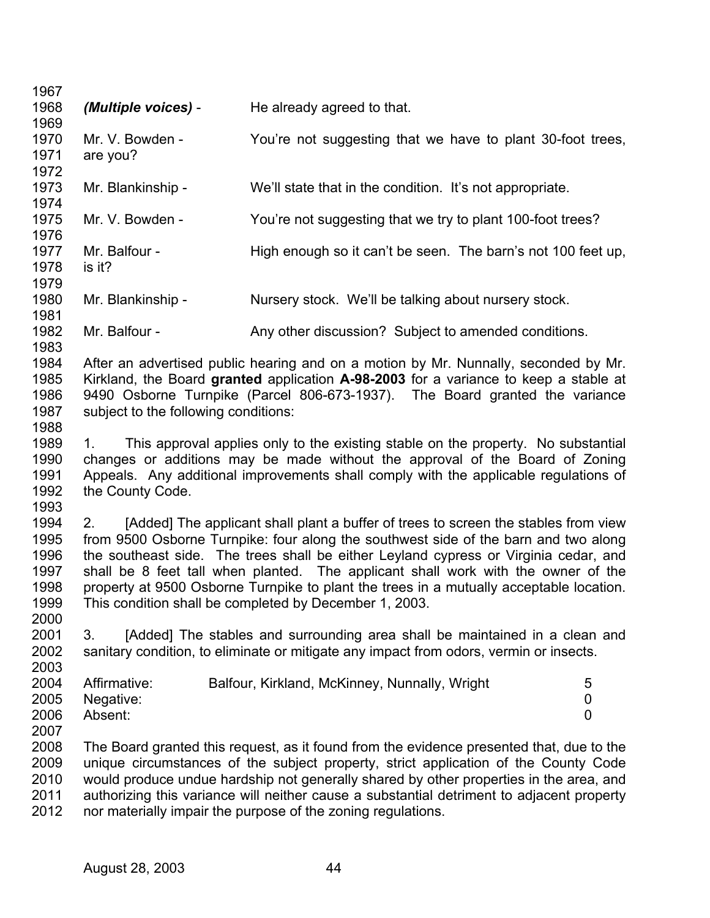| 1967 |                                      |                                                                                           |                |
|------|--------------------------------------|-------------------------------------------------------------------------------------------|----------------|
| 1968 | (Multiple voices) -                  | He already agreed to that.                                                                |                |
| 1969 |                                      |                                                                                           |                |
| 1970 | Mr. V. Bowden -                      | You're not suggesting that we have to plant 30-foot trees,                                |                |
| 1971 | are you?                             |                                                                                           |                |
| 1972 |                                      |                                                                                           |                |
| 1973 | Mr. Blankinship -                    | We'll state that in the condition. It's not appropriate.                                  |                |
| 1974 |                                      |                                                                                           |                |
| 1975 | Mr. V. Bowden -                      | You're not suggesting that we try to plant 100-foot trees?                                |                |
| 1976 |                                      |                                                                                           |                |
| 1977 | Mr. Balfour -                        | High enough so it can't be seen. The barn's not 100 feet up,                              |                |
| 1978 | is it?                               |                                                                                           |                |
| 1979 |                                      |                                                                                           |                |
| 1980 | Mr. Blankinship -                    | Nursery stock. We'll be talking about nursery stock.                                      |                |
| 1981 |                                      |                                                                                           |                |
| 1982 | Mr. Balfour -                        | Any other discussion? Subject to amended conditions.                                      |                |
| 1983 |                                      |                                                                                           |                |
| 1984 |                                      | After an advertised public hearing and on a motion by Mr. Nunnally, seconded by Mr.       |                |
| 1985 |                                      | Kirkland, the Board granted application A-98-2003 for a variance to keep a stable at      |                |
| 1986 |                                      | 9490 Osborne Turnpike (Parcel 806-673-1937). The Board granted the variance               |                |
| 1987 | subject to the following conditions: |                                                                                           |                |
| 1988 |                                      |                                                                                           |                |
| 1989 | 1.                                   | This approval applies only to the existing stable on the property. No substantial         |                |
| 1990 |                                      | changes or additions may be made without the approval of the Board of Zoning              |                |
| 1991 |                                      | Appeals. Any additional improvements shall comply with the applicable regulations of      |                |
| 1992 |                                      |                                                                                           |                |
| 1993 | the County Code.                     |                                                                                           |                |
|      |                                      |                                                                                           |                |
| 1994 | 2.                                   | [Added] The applicant shall plant a buffer of trees to screen the stables from view       |                |
| 1995 |                                      | from 9500 Osborne Turnpike: four along the southwest side of the barn and two along       |                |
| 1996 |                                      | the southeast side. The trees shall be either Leyland cypress or Virginia cedar, and      |                |
| 1997 |                                      | shall be 8 feet tall when planted. The applicant shall work with the owner of the         |                |
| 1998 |                                      | property at 9500 Osborne Turnpike to plant the trees in a mutually acceptable location.   |                |
| 1999 |                                      | This condition shall be completed by December 1, 2003.                                    |                |
| 2000 |                                      |                                                                                           |                |
| 2001 | 3.                                   | [Added] The stables and surrounding area shall be maintained in a clean and               |                |
| 2002 |                                      | sanitary condition, to eliminate or mitigate any impact from odors, vermin or insects.    |                |
| 2003 |                                      |                                                                                           |                |
| 2004 | Affirmative:                         | Balfour, Kirkland, McKinney, Nunnally, Wright                                             | 5              |
| 2005 | Negative:                            |                                                                                           | 0              |
| 2006 | Absent:                              |                                                                                           | $\overline{0}$ |
| 2007 |                                      |                                                                                           |                |
| 2008 |                                      | The Board granted this request, as it found from the evidence presented that, due to the  |                |
| 2009 |                                      | unique circumstances of the subject property, strict application of the County Code       |                |
| 2010 |                                      | would produce undue hardship not generally shared by other properties in the area, and    |                |
| 2011 |                                      | authorizing this variance will neither cause a substantial detriment to adjacent property |                |
| 2012 |                                      | nor materially impair the purpose of the zoning regulations.                              |                |
|      |                                      |                                                                                           |                |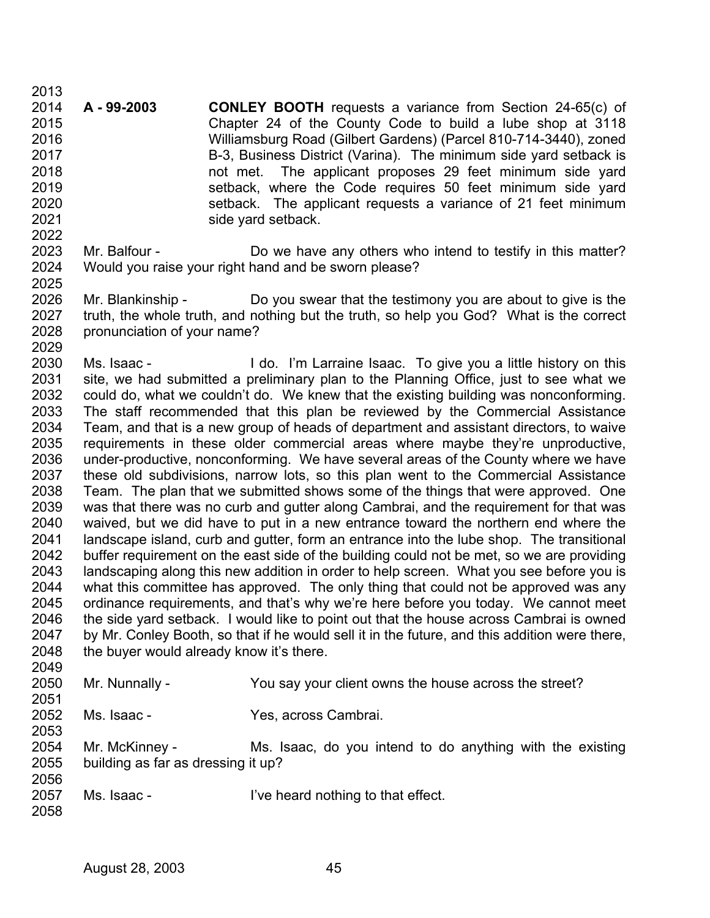2013 2014 2015 2016 2017 2018 2019 2020 2021 2022 **A - 99-2003 CONLEY BOOTH** requests a variance from Section 24-65(c) of Chapter 24 of the County Code to build a lube shop at 3118 Williamsburg Road (Gilbert Gardens) (Parcel 810-714-3440), zoned B-3, Business District (Varina). The minimum side yard setback is not met. The applicant proposes 29 feet minimum side yard setback, where the Code requires 50 feet minimum side yard setback. The applicant requests a variance of 21 feet minimum side yard setback.

- 2023 2024 2025 Mr. Balfour - Do we have any others who intend to testify in this matter? Would you raise your right hand and be sworn please?
- 2026 2027 2028 2029 Mr. Blankinship - Do you swear that the testimony you are about to give is the truth, the whole truth, and nothing but the truth, so help you God? What is the correct pronunciation of your name?

2030 2031 2032 2033 2034 2035 2036 2037 2038 2039 2040 2041 2042 2043 2044 2045 2046 2047 2048 2049 Ms. Isaac - I do. I'm Larraine Isaac. To give you a little history on this site, we had submitted a preliminary plan to the Planning Office, just to see what we could do, what we couldn't do. We knew that the existing building was nonconforming. The staff recommended that this plan be reviewed by the Commercial Assistance Team, and that is a new group of heads of department and assistant directors, to waive requirements in these older commercial areas where maybe they're unproductive, under-productive, nonconforming. We have several areas of the County where we have these old subdivisions, narrow lots, so this plan went to the Commercial Assistance Team. The plan that we submitted shows some of the things that were approved. One was that there was no curb and gutter along Cambrai, and the requirement for that was waived, but we did have to put in a new entrance toward the northern end where the landscape island, curb and gutter, form an entrance into the lube shop. The transitional buffer requirement on the east side of the building could not be met, so we are providing landscaping along this new addition in order to help screen. What you see before you is what this committee has approved. The only thing that could not be approved was any ordinance requirements, and that's why we're here before you today. We cannot meet the side yard setback. I would like to point out that the house across Cambrai is owned by Mr. Conley Booth, so that if he would sell it in the future, and this addition were there, the buyer would already know it's there.

| 2050 | Mr. Nunnally -                     | You say your client owns the house across the street?     |
|------|------------------------------------|-----------------------------------------------------------|
| 2051 |                                    |                                                           |
| 2052 | Ms. Isaac -                        | Yes, across Cambrai.                                      |
| 2053 |                                    |                                                           |
| 2054 | Mr. McKinney -                     | Ms. Isaac, do you intend to do anything with the existing |
| 2055 | building as far as dressing it up? |                                                           |
| 2056 |                                    |                                                           |
| 2057 | Ms. Isaac -                        | I've heard nothing to that effect.                        |
| 2058 |                                    |                                                           |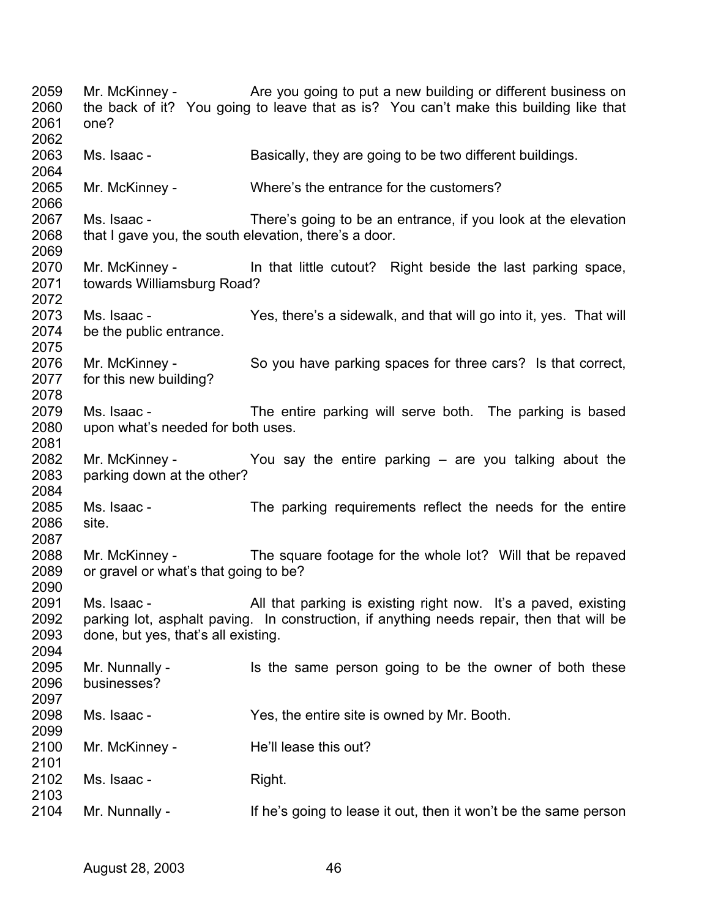| 2059<br>2060<br>2061         | one?                                                                 | Mr. McKinney - The State you going to put a new building or different business on<br>the back of it? You going to leave that as is? You can't make this building like that |
|------------------------------|----------------------------------------------------------------------|----------------------------------------------------------------------------------------------------------------------------------------------------------------------------|
| 2062<br>2063<br>2064         | Ms. Isaac -                                                          | Basically, they are going to be two different buildings.                                                                                                                   |
| 2065<br>2066                 | Mr. McKinney -                                                       | Where's the entrance for the customers?                                                                                                                                    |
| 2067<br>2068<br>2069         | Ms. Isaac -<br>that I gave you, the south elevation, there's a door. | There's going to be an entrance, if you look at the elevation                                                                                                              |
| 2070<br>2071<br>2072         | towards Williamsburg Road?                                           | Mr. McKinney - In that little cutout? Right beside the last parking space,                                                                                                 |
| 2073<br>2074<br>2075         | Ms. Isaac -<br>be the public entrance.                               | Yes, there's a sidewalk, and that will go into it, yes. That will                                                                                                          |
| 2076<br>2077<br>2078         | Mr. McKinney -<br>for this new building?                             | So you have parking spaces for three cars? Is that correct,                                                                                                                |
| 2079<br>2080<br>2081         | Ms. Isaac -<br>upon what's needed for both uses.                     | The entire parking will serve both. The parking is based                                                                                                                   |
| 2082<br>2083<br>2084         | parking down at the other?                                           | Mr. McKinney - $\sim$ You say the entire parking $-$ are you talking about the                                                                                             |
| 2085<br>2086<br>2087         | Ms. Isaac -<br>site.                                                 | The parking requirements reflect the needs for the entire                                                                                                                  |
| 2088<br>2089<br>2090         | or gravel or what's that going to be?                                | Mr. McKinney - The square footage for the whole lot? Will that be repaved                                                                                                  |
| 2091<br>2092<br>2093<br>2094 | Ms. Isaac -<br>done, but yes, that's all existing.                   | All that parking is existing right now. It's a paved, existing<br>parking lot, asphalt paving. In construction, if anything needs repair, then that will be                |
| 2095<br>2096<br>2097         | Mr. Nunnally -<br>businesses?                                        | Is the same person going to be the owner of both these                                                                                                                     |
| 2098<br>2099                 | Ms. Isaac -                                                          | Yes, the entire site is owned by Mr. Booth.                                                                                                                                |
| 2100<br>2101                 | Mr. McKinney -                                                       | He'll lease this out?                                                                                                                                                      |
| 2102<br>2103                 | Ms. Isaac -                                                          | Right.                                                                                                                                                                     |
| 2104                         | Mr. Nunnally -                                                       | If he's going to lease it out, then it won't be the same person                                                                                                            |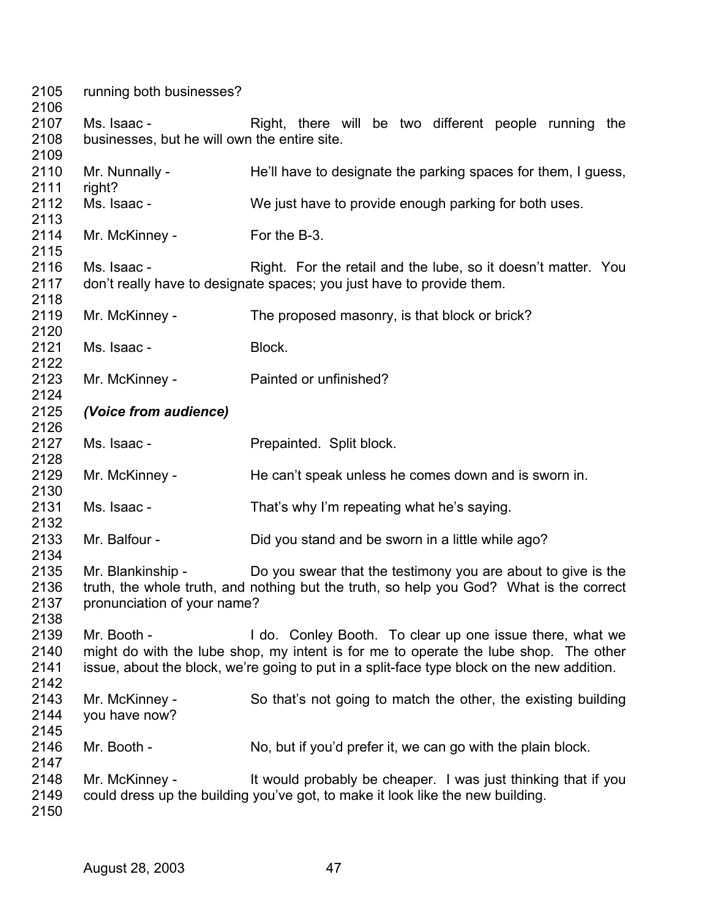| 2105<br>2106                                                                                                 | running both businesses?                                                                                                                                                                                                                                      |                                                                                                                                                 |  |  |  |
|--------------------------------------------------------------------------------------------------------------|---------------------------------------------------------------------------------------------------------------------------------------------------------------------------------------------------------------------------------------------------------------|-------------------------------------------------------------------------------------------------------------------------------------------------|--|--|--|
| 2107<br>2108<br>2109<br>2110<br>2111<br>2112<br>2113<br>2114<br>2115<br>2116<br>2117<br>2118<br>2119<br>2120 | Ms. Isaac -<br>Right, there will be two different people running the<br>businesses, but he will own the entire site.                                                                                                                                          |                                                                                                                                                 |  |  |  |
|                                                                                                              | Mr. Nunnally -<br>right?                                                                                                                                                                                                                                      | He'll have to designate the parking spaces for them, I guess,                                                                                   |  |  |  |
|                                                                                                              | Ms. Isaac -                                                                                                                                                                                                                                                   | We just have to provide enough parking for both uses.                                                                                           |  |  |  |
|                                                                                                              | Mr. McKinney -                                                                                                                                                                                                                                                | For the B-3.                                                                                                                                    |  |  |  |
|                                                                                                              | Ms. Isaac -                                                                                                                                                                                                                                                   | Right. For the retail and the lube, so it doesn't matter. You<br>don't really have to designate spaces; you just have to provide them.          |  |  |  |
|                                                                                                              | Mr. McKinney -                                                                                                                                                                                                                                                | The proposed masonry, is that block or brick?                                                                                                   |  |  |  |
| 2121<br>2122                                                                                                 | Ms. Isaac -                                                                                                                                                                                                                                                   | Block.                                                                                                                                          |  |  |  |
| 2123<br>2124                                                                                                 | Mr. McKinney -                                                                                                                                                                                                                                                | Painted or unfinished?                                                                                                                          |  |  |  |
| 2125<br>2126                                                                                                 | (Voice from audience)                                                                                                                                                                                                                                         |                                                                                                                                                 |  |  |  |
| 2127<br>2128                                                                                                 | Ms. Isaac -                                                                                                                                                                                                                                                   | Prepainted. Split block.                                                                                                                        |  |  |  |
| 2129<br>2130                                                                                                 | Mr. McKinney -                                                                                                                                                                                                                                                | He can't speak unless he comes down and is sworn in.                                                                                            |  |  |  |
| 2131<br>2132                                                                                                 | Ms. Isaac -                                                                                                                                                                                                                                                   | That's why I'm repeating what he's saying.                                                                                                      |  |  |  |
| 2133<br>2134                                                                                                 | Mr. Balfour -                                                                                                                                                                                                                                                 | Did you stand and be sworn in a little while ago?                                                                                               |  |  |  |
| 2135<br>2136<br>2137<br>2138                                                                                 | Do you swear that the testimony you are about to give is the<br>Mr. Blankinship -<br>truth, the whole truth, and nothing but the truth, so help you God? What is the correct<br>pronunciation of your name?                                                   |                                                                                                                                                 |  |  |  |
| 2139<br>2140<br>2141<br>2142<br>2143<br>2144<br>2145<br>2146<br>2147                                         | Mr. Booth -<br>I do. Conley Booth. To clear up one issue there, what we<br>might do with the lube shop, my intent is for me to operate the lube shop. The other<br>issue, about the block, we're going to put in a split-face type block on the new addition. |                                                                                                                                                 |  |  |  |
|                                                                                                              | Mr. McKinney -<br>you have now?                                                                                                                                                                                                                               | So that's not going to match the other, the existing building                                                                                   |  |  |  |
|                                                                                                              | Mr. Booth -                                                                                                                                                                                                                                                   | No, but if you'd prefer it, we can go with the plain block.                                                                                     |  |  |  |
| 2148<br>2149<br>2150                                                                                         | Mr. McKinney -                                                                                                                                                                                                                                                | It would probably be cheaper. I was just thinking that if you<br>could dress up the building you've got, to make it look like the new building. |  |  |  |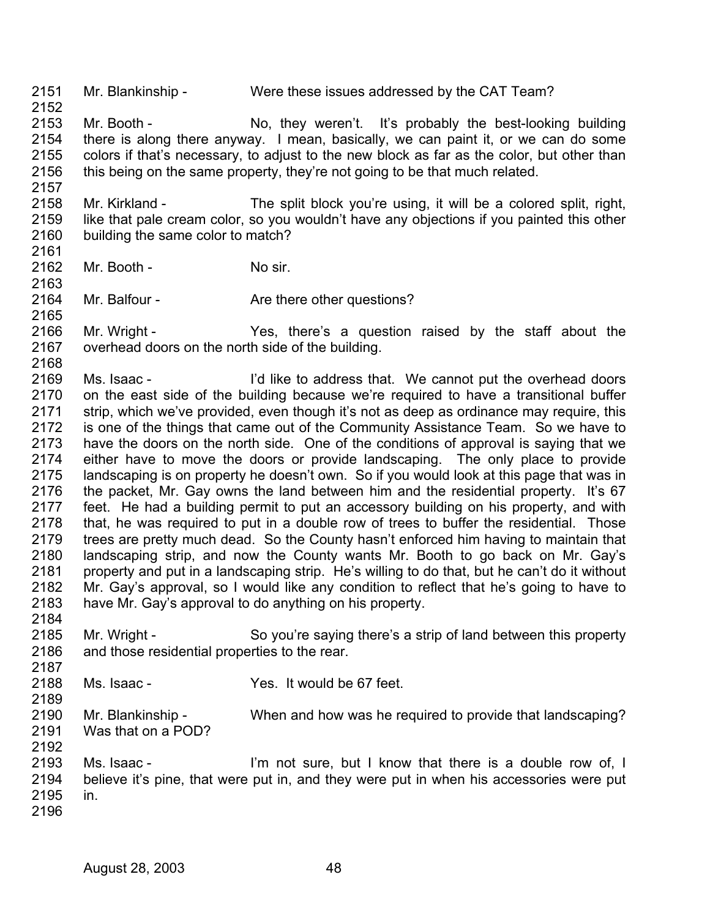2151 Mr. Blankinship - Were these issues addressed by the CAT Team?

2153 2154 2155 2156 2157 Mr. Booth - No, they weren't. It's probably the best-looking building there is along there anyway. I mean, basically, we can paint it, or we can do some colors if that's necessary, to adjust to the new block as far as the color, but other than this being on the same property, they're not going to be that much related.

2158 2159 2160 Mr. Kirkland - The split block you're using, it will be a colored split, right, like that pale cream color, so you wouldn't have any objections if you painted this other building the same color to match?

- 2162 Mr. Booth - No sir.
- 2164 Mr. Balfour - **Are there other questions?**
- 2166 2167 Mr. Wright - Yes, there's a question raised by the staff about the overhead doors on the north side of the building.
- 2168 2169 2170 2171 2172 2173 2174 2175 2176 2177 2178 2179 2180 2181 2182 2183 Ms. Isaac - I'd like to address that. We cannot put the overhead doors on the east side of the building because we're required to have a transitional buffer strip, which we've provided, even though it's not as deep as ordinance may require, this is one of the things that came out of the Community Assistance Team. So we have to have the doors on the north side. One of the conditions of approval is saying that we either have to move the doors or provide landscaping. The only place to provide landscaping is on property he doesn't own. So if you would look at this page that was in the packet, Mr. Gay owns the land between him and the residential property. It's 67 feet. He had a building permit to put an accessory building on his property, and with that, he was required to put in a double row of trees to buffer the residential. Those trees are pretty much dead. So the County hasn't enforced him having to maintain that landscaping strip, and now the County wants Mr. Booth to go back on Mr. Gay's property and put in a landscaping strip. He's willing to do that, but he can't do it without Mr. Gay's approval, so I would like any condition to reflect that he's going to have to have Mr. Gay's approval to do anything on his property.
- 2185 2186 Mr. Wright - So you're saying there's a strip of land between this property and those residential properties to the rear.
- 2188 Ms. Isaac - Yes. It would be 67 feet.
- 2190 2191 2192 Mr. Blankinship - When and how was he required to provide that landscaping? Was that on a POD?
- 2193 2194 2195 Ms. Isaac - The same of I'm not sure, but I know that there is a double row of, I believe it's pine, that were put in, and they were put in when his accessories were put in.
- 2196

2184

2187

2189

2152

2161

2163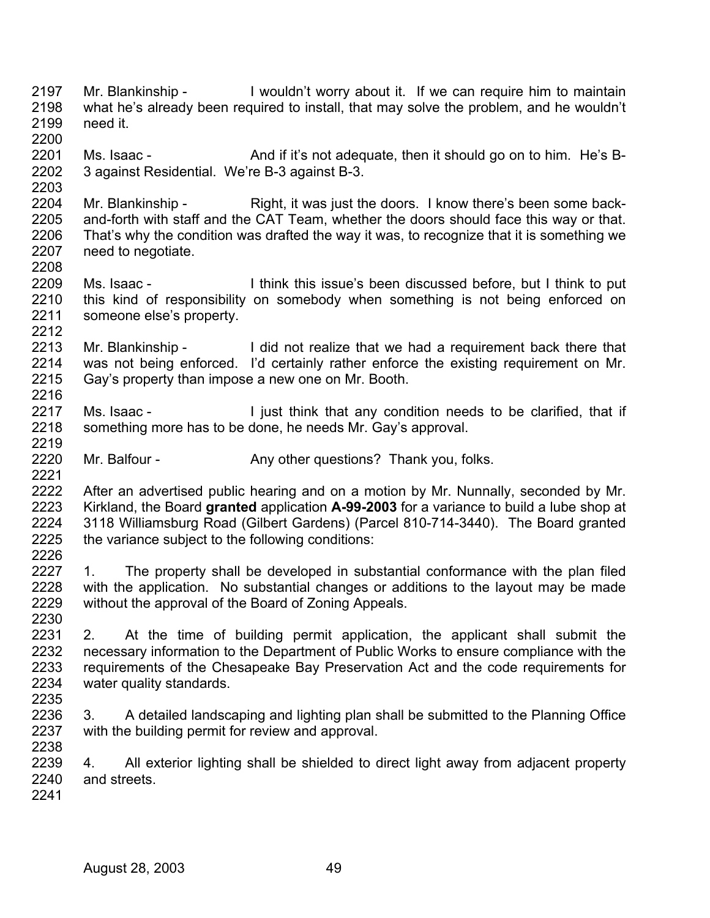- 2197 2198 2199 Mr. Blankinship - I wouldn't worry about it. If we can require him to maintain what he's already been required to install, that may solve the problem, and he wouldn't need it.
- 2201 2202 Ms. Isaac - And if it's not adequate, then it should go on to him. He's B-3 against Residential. We're B-3 against B-3.
- 2204 2205 2206 2207 2208 Mr. Blankinship - Right, it was just the doors. I know there's been some backand-forth with staff and the CAT Team, whether the doors should face this way or that. That's why the condition was drafted the way it was, to recognize that it is something we need to negotiate.
- 2209 2210 2211 Ms. Isaac - I think this issue's been discussed before, but I think to put this kind of responsibility on somebody when something is not being enforced on someone else's property.
- 2213 2214 2215 2216 Mr. Blankinship - I did not realize that we had a requirement back there that was not being enforced. I'd certainly rather enforce the existing requirement on Mr. Gay's property than impose a new one on Mr. Booth.
- 2217 2218 Ms. Isaac - I just think that any condition needs to be clarified, that if something more has to be done, he needs Mr. Gay's approval.
- 2220 Mr. Balfour - Any other questions? Thank you, folks.
- 2222 2223 2224 2225 2226 After an advertised public hearing and on a motion by Mr. Nunnally, seconded by Mr. Kirkland, the Board **granted** application **A-99-2003** for a variance to build a lube shop at 3118 Williamsburg Road (Gilbert Gardens) (Parcel 810-714-3440). The Board granted the variance subject to the following conditions:
- 2227 2228 2229 2230 1. The property shall be developed in substantial conformance with the plan filed with the application. No substantial changes or additions to the layout may be made without the approval of the Board of Zoning Appeals.
- 2231 2232 2233 2234 2235 2. At the time of building permit application, the applicant shall submit the necessary information to the Department of Public Works to ensure compliance with the requirements of the Chesapeake Bay Preservation Act and the code requirements for water quality standards.
- 2236 2237 2238 3. A detailed landscaping and lighting plan shall be submitted to the Planning Office with the building permit for review and approval.
- 2239 2240 4. All exterior lighting shall be shielded to direct light away from adjacent property and streets.
- 2241

2200

2203

2212

2219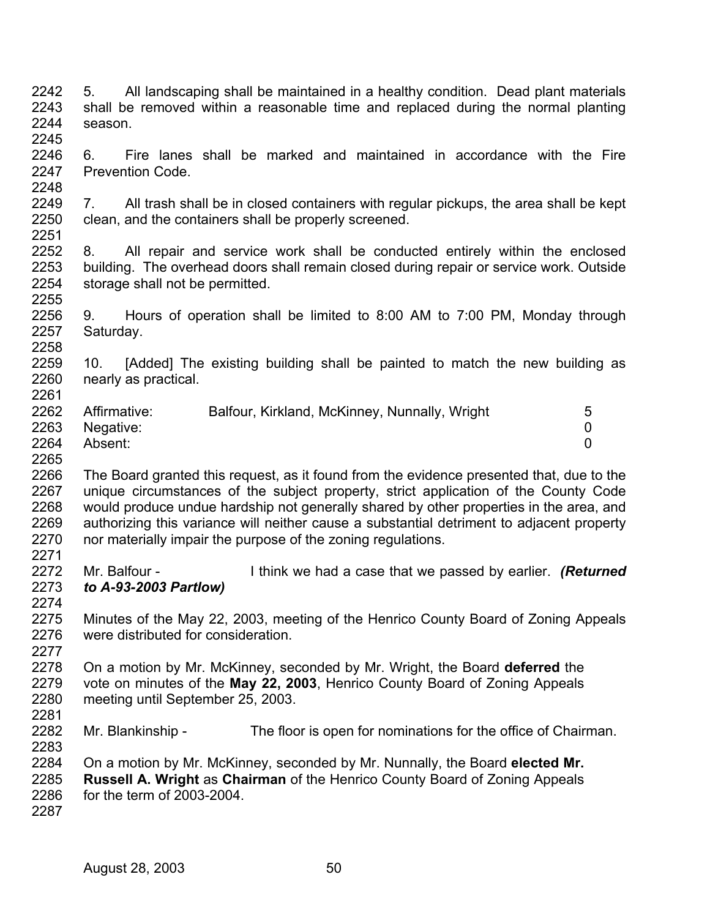2245 2246 2247 2248 2249 2250 2251 2252 2253 2254 2255 2256 2257 2258 2259 2260 2261 2262 2263 2264 2265 2266 2267 2268 2269 2270 2271 2272 2273 2274 2275 2276 2277 2278 2279 2280 2281 2282 2283 2284 2285 2286 2287 6. Fire lanes shall be marked and maintained in accordance with the Fire Prevention Code. 7. All trash shall be in closed containers with regular pickups, the area shall be kept clean, and the containers shall be properly screened. 8. All repair and service work shall be conducted entirely within the enclosed building. The overhead doors shall remain closed during repair or service work. Outside storage shall not be permitted. 9. Hours of operation shall be limited to 8:00 AM to 7:00 PM, Monday through Saturday. 10. [Added] The existing building shall be painted to match the new building as nearly as practical. Affirmative: Balfour, Kirkland, McKinney, Nunnally, Wright 5 Negative: 0 Absent: 0 The Board granted this request, as it found from the evidence presented that, due to the unique circumstances of the subject property, strict application of the County Code would produce undue hardship not generally shared by other properties in the area, and authorizing this variance will neither cause a substantial detriment to adjacent property nor materially impair the purpose of the zoning regulations. Mr. Balfour - **I** think we had a case that we passed by earlier. **(Returned** *to A-93-2003 Partlow)*  Minutes of the May 22, 2003, meeting of the Henrico County Board of Zoning Appeals were distributed for consideration On a motion by Mr. McKinney, seconded by Mr. Wright, the Board **deferred** the vote on minutes of the **May 22, 2003**, Henrico County Board of Zoning Appeals meeting until September 25, 2003. Mr. Blankinship - The floor is open for nominations for the office of Chairman. On a motion by Mr. McKinney, seconded by Mr. Nunnally, the Board **elected Mr. Russell A. Wright** as **Chairman** of the Henrico County Board of Zoning Appeals for the term of 2003-2004.

5. All landscaping shall be maintained in a healthy condition. Dead plant materials shall be removed within a reasonable time and replaced during the normal planting

2242 2243 2244

season.